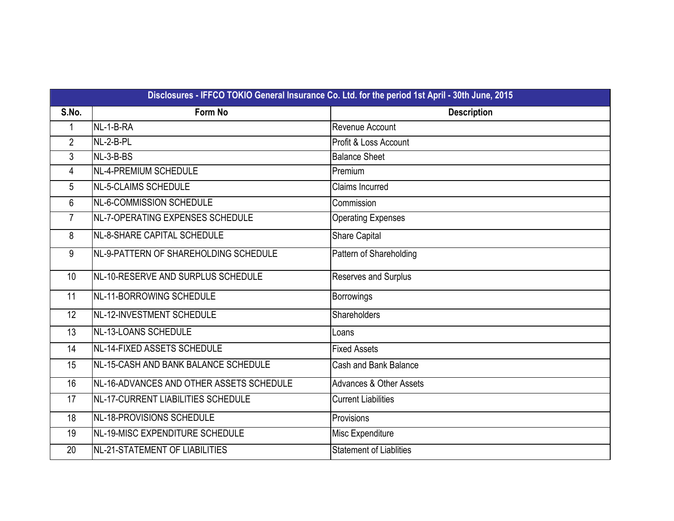|                | Disclosures - IFFCO TOKIO General Insurance Co. Ltd. for the period 1st April - 30th June, 2015 |                                    |  |  |  |  |  |
|----------------|-------------------------------------------------------------------------------------------------|------------------------------------|--|--|--|--|--|
| S.No.          | <b>Form No</b>                                                                                  | <b>Description</b>                 |  |  |  |  |  |
| 1              | NL-1-B-RA                                                                                       | Revenue Account                    |  |  |  |  |  |
| $\overline{2}$ | NL-2-B-PL                                                                                       | Profit & Loss Account              |  |  |  |  |  |
| 3              | NL-3-B-BS                                                                                       | <b>Balance Sheet</b>               |  |  |  |  |  |
| $\overline{4}$ | NL-4-PREMIUM SCHEDULE                                                                           | Premium                            |  |  |  |  |  |
| 5              | NL-5-CLAIMS SCHEDULE                                                                            | <b>Claims Incurred</b>             |  |  |  |  |  |
| 6              | NL-6-COMMISSION SCHEDULE                                                                        | Commission                         |  |  |  |  |  |
| $\overline{7}$ | NL-7-OPERATING EXPENSES SCHEDULE                                                                | <b>Operating Expenses</b>          |  |  |  |  |  |
| 8              | <b>NL-8-SHARE CAPITAL SCHEDULE</b>                                                              | Share Capital                      |  |  |  |  |  |
| 9              | NL-9-PATTERN OF SHAREHOLDING SCHEDULE                                                           | Pattern of Shareholding            |  |  |  |  |  |
| 10             | NL-10-RESERVE AND SURPLUS SCHEDULE                                                              | Reserves and Surplus               |  |  |  |  |  |
| 11             | NL-11-BORROWING SCHEDULE                                                                        | Borrowings                         |  |  |  |  |  |
| 12             | NL-12-INVESTMENT SCHEDULE                                                                       | Shareholders                       |  |  |  |  |  |
| 13             | NL-13-LOANS SCHEDULE                                                                            | Loans                              |  |  |  |  |  |
| 14             | <b>NL-14-FIXED ASSETS SCHEDULE</b>                                                              | <b>Fixed Assets</b>                |  |  |  |  |  |
| 15             | NL-15-CASH AND BANK BALANCE SCHEDULE                                                            | Cash and Bank Balance              |  |  |  |  |  |
| 16             | INL-16-ADVANCES AND OTHER ASSETS SCHEDULE                                                       | <b>Advances &amp; Other Assets</b> |  |  |  |  |  |
| 17             | NL-17-CURRENT LIABILITIES SCHEDULE                                                              | <b>Current Liabilities</b>         |  |  |  |  |  |
| 18             | NL-18-PROVISIONS SCHEDULE                                                                       | Provisions                         |  |  |  |  |  |
| 19             | NL-19-MISC EXPENDITURE SCHEDULE                                                                 | Misc Expenditure                   |  |  |  |  |  |
| 20             | NL-21-STATEMENT OF LIABILITIES                                                                  | <b>Statement of Liablities</b>     |  |  |  |  |  |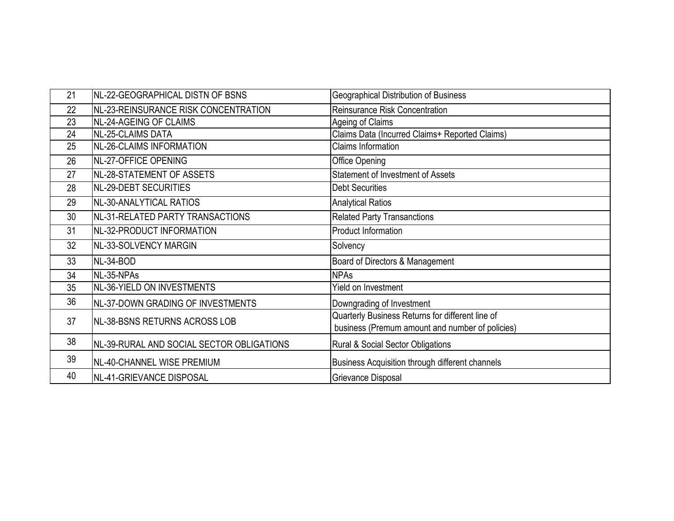| 21 | NL-22-GEOGRAPHICAL DISTN OF BSNS          | <b>Geographical Distribution of Business</b>                                                        |
|----|-------------------------------------------|-----------------------------------------------------------------------------------------------------|
| 22 | NL-23-REINSURANCE RISK CONCENTRATION      | Reinsurance Risk Concentration                                                                      |
| 23 | NL-24-AGEING OF CLAIMS                    | Ageing of Claims                                                                                    |
| 24 | NL-25-CLAIMS DATA                         | Claims Data (Incurred Claims+ Reported Claims)                                                      |
| 25 | <b>NL-26-CLAIMS INFORMATION</b>           | Claims Information                                                                                  |
| 26 | NL-27-OFFICE OPENING                      | <b>Office Opening</b>                                                                               |
| 27 | NL-28-STATEMENT OF ASSETS                 | <b>Statement of Investment of Assets</b>                                                            |
| 28 | NL-29-DEBT SECURITIES                     | <b>Debt Securities</b>                                                                              |
| 29 | NL-30-ANALYTICAL RATIOS                   | <b>Analytical Ratios</b>                                                                            |
| 30 | NL-31-RELATED PARTY TRANSACTIONS          | <b>Related Party Transanctions</b>                                                                  |
| 31 | NL-32-PRODUCT INFORMATION                 | <b>Product Information</b>                                                                          |
| 32 | NL-33-SOLVENCY MARGIN                     | Solvency                                                                                            |
| 33 | NL-34-BOD                                 | Board of Directors & Management                                                                     |
| 34 | NL-35-NPAs                                | <b>NPAs</b>                                                                                         |
| 35 | NL-36-YIELD ON INVESTMENTS                | Yield on Investment                                                                                 |
| 36 | NL-37-DOWN GRADING OF INVESTMENTS         | Downgrading of Investment                                                                           |
| 37 | <b>INL-38-BSNS RETURNS ACROSS LOB</b>     | Quarterly Business Returns for different line of<br>business (Premum amount and number of policies) |
| 38 | NL-39-RURAL AND SOCIAL SECTOR OBLIGATIONS | Rural & Social Sector Obligations                                                                   |
| 39 | NL-40-CHANNEL WISE PREMIUM                | Business Acquisition through different channels                                                     |
| 40 | NL-41-GRIEVANCE DISPOSAL                  | Grievance Disposal                                                                                  |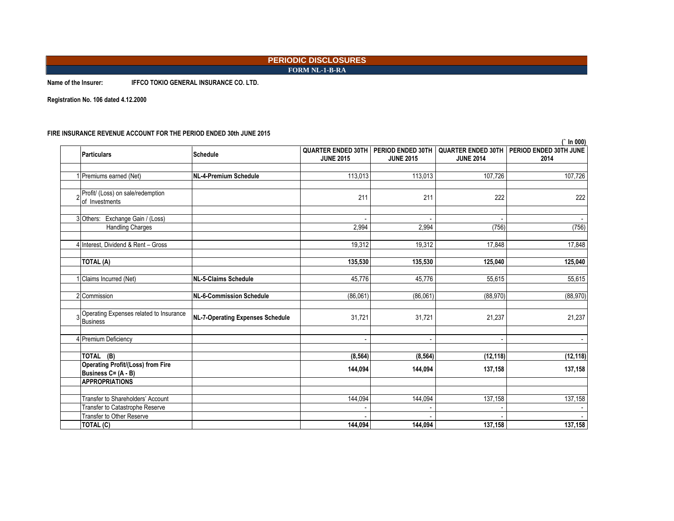### **PERIODIC DISCLOSURES FORM NL-1-B-RA**

**Name of the Insurer: IFFCO TOKIO GENERAL INSURANCE CO. LTD.**

**Registration No. 106 dated 4.12.2000**

### **FIRE INSURANCE REVENUE ACCOUNT FOR THE PERIOD ENDED 30th JUNE 2015**

| <b>Particulars</b>                                                   | <b>Schedule</b>                         | <b>QUARTER ENDED 30TH</b> | PERIOD ENDED 30TH |                          | QUARTER ENDED 30TH   PERIOD ENDED 30TH JUNE |
|----------------------------------------------------------------------|-----------------------------------------|---------------------------|-------------------|--------------------------|---------------------------------------------|
|                                                                      |                                         | <b>JUNE 2015</b>          | <b>JUNE 2015</b>  | <b>JUNE 2014</b>         | 2014                                        |
| 1 Premiums earned (Net)                                              | <b>NL-4-Premium Schedule</b>            | 113,013                   | 113,013           | 107,726                  | 107,726                                     |
| 2 Profit/ (Loss) on sale/redemption<br>of Investments                |                                         | 211                       | 211               | 222                      | 222                                         |
| 3 Others: Exchange Gain / (Loss)                                     |                                         |                           |                   |                          |                                             |
| <b>Handling Charges</b>                                              |                                         | 2,994                     | 2,994             | (756)                    | (756)                                       |
| 4 Interest, Dividend & Rent - Gross                                  |                                         | 19,312                    | 19,312            | 17,848                   | 17,848                                      |
| TOTAL (A)                                                            |                                         | 135,530                   | 135,530           | 125,040                  | 125,040                                     |
| 1 Claims Incurred (Net)                                              | <b>NL-5-Claims Schedule</b>             | 45.776                    | 45.776            | 55,615                   | 55,615                                      |
| 2 Commission                                                         | NL-6-Commission Schedule                | (86,061)                  | (86,061)          | (88, 970)                | (88, 970)                                   |
| 3 Operating Expenses related to Insurance<br><b>Business</b>         | <b>NL-7-Operating Expenses Schedule</b> | 31,721                    | 31,721            | 21,237                   | 21,237                                      |
| 4 Premium Deficiency                                                 |                                         |                           |                   | $\overline{\phantom{a}}$ |                                             |
| TOTAL (B)                                                            |                                         | (8, 564)                  | (8, 564)          | (12, 118)                | (12, 118)                                   |
| <b>Operating Profit/(Loss) from Fire</b><br>Business C= (A - B)      |                                         | 144,094                   | 144,094           | 137,158                  | 137,158                                     |
| <b>APPROPRIATIONS</b>                                                |                                         |                           |                   |                          |                                             |
| Transfer to Shareholders' Account<br>Transfer to Catastrophe Reserve |                                         | 144,094                   | 144,094           | 137,158                  | 137,158                                     |
| Transfer to Other Reserve<br>TOTAL (C)                               |                                         | 144.094                   | 144.094           | 137,158                  | 137,158                                     |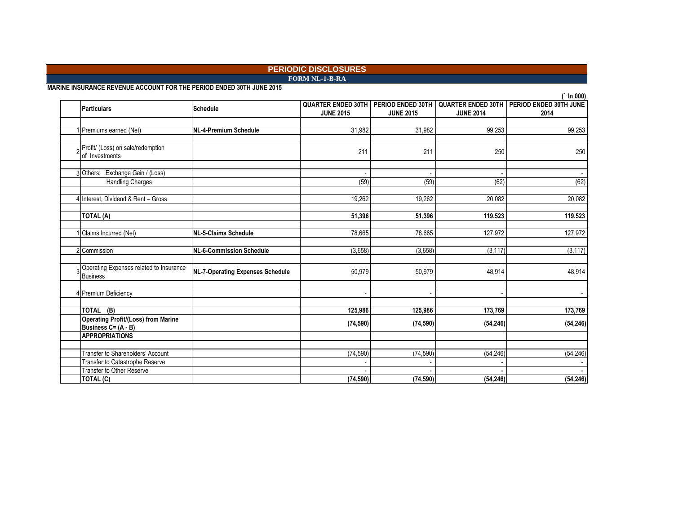**FORM NL-1-B-RA**

**MARINE INSURANCE REVENUE ACCOUNT FOR THE PERIOD ENDED 30TH JUNE 2015**

|                                                                      |                                         |                                                                   |                          |                          | In 000)                                                    |
|----------------------------------------------------------------------|-----------------------------------------|-------------------------------------------------------------------|--------------------------|--------------------------|------------------------------------------------------------|
| Particulars                                                          | Schedule                                | <b>QUARTER ENDED 30TH   PERIOD ENDED 30TH</b><br><b>JUNE 2015</b> | <b>JUNE 2015</b>         | <b>JUNE 2014</b>         | <b>QUARTER ENDED 30TH   PERIOD ENDED 30TH JUNE</b><br>2014 |
| 1 Premiums earned (Net)                                              | NL-4-Premium Schedule                   | 31,982                                                            | 31,982                   | 99,253                   | 99,253                                                     |
| Profit/ (Loss) on sale/redemption<br>of Investments                  |                                         | 211                                                               | 211                      | 250                      | 250                                                        |
| 3 Others: Exchange Gain / (Loss)                                     |                                         |                                                                   |                          |                          |                                                            |
| <b>Handling Charges</b>                                              |                                         | (59)                                                              | (59)                     | (62)                     | (62)                                                       |
| 4 Interest, Dividend & Rent - Gross                                  |                                         | 19,262                                                            | 19,262                   | 20,082                   | 20,082                                                     |
| <b>TOTAL (A)</b>                                                     |                                         | 51,396                                                            | 51,396                   | 119,523                  | 119,523                                                    |
| Claims Incurred (Net)                                                | <b>NL-5-Claims Schedule</b>             | 78,665                                                            | 78.665                   | 127.972                  | 127,972                                                    |
| 2 Commission                                                         | <b>NL-6-Commission Schedule</b>         | (3,658)                                                           | (3,658)                  | (3, 117)                 | (3, 117)                                                   |
| 3 Operating Expenses related to Insurance<br>Business                | <b>NL-7-Operating Expenses Schedule</b> | 50,979                                                            | 50,979                   | 48,914                   | 48,914                                                     |
| 4 Premium Deficiency                                                 |                                         |                                                                   | $\overline{\phantom{a}}$ | $\overline{\phantom{a}}$ |                                                            |
| TOTAL (B)                                                            |                                         | 125,986                                                           | 125,986                  | 173,769                  | 173,769                                                    |
| <b>Operating Profit/(Loss) from Marine</b><br>Business C= (A - B)    |                                         | (74, 590)                                                         | (74, 590)                | (54, 246)                | (54, 246)                                                  |
| <b>APPROPRIATIONS</b>                                                |                                         |                                                                   |                          |                          |                                                            |
| Transfer to Shareholders' Account<br>Transfer to Catastrophe Reserve |                                         | (74, 590)                                                         | (74, 590)                | (54, 246)                | (54, 246)                                                  |
| Transfer to Other Reserve<br>TOTAL (C)                               |                                         | (74, 590)                                                         | (74, 590)                | (54, 246)                | (54, 246)                                                  |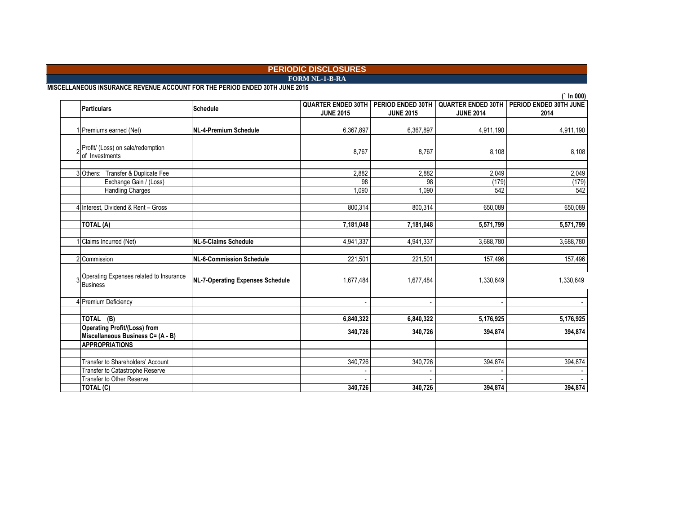**FORM NL-1-B-RA**

**MISCELLANEOUS INSURANCE REVENUE ACCOUNT FOR THE PERIOD ENDED 30TH JUNE 2015**

|                                                                          |                                         |                                               |                                       |                                               | In 000)                        |
|--------------------------------------------------------------------------|-----------------------------------------|-----------------------------------------------|---------------------------------------|-----------------------------------------------|--------------------------------|
| <b>Particulars</b>                                                       | Schedule                                | <b>QUARTER ENDED 30TH</b><br><b>JUNE 2015</b> | PERIOD ENDED 30TH<br><b>JUNE 2015</b> | <b>QUARTER ENDED 30TH</b><br><b>JUNE 2014</b> | PERIOD ENDED 30TH JUNE<br>2014 |
| 1 Premiums earned (Net)                                                  | NL-4-Premium Schedule                   | 6,367,897                                     | 6,367,897                             | 4,911,190                                     | 4,911,190                      |
| Profit/ (Loss) on sale/redemption<br>of Investments                      |                                         | 8,767                                         | 8.767                                 | 8,108                                         | 8,108                          |
| Transfer & Duplicate Fee<br>3 Others:<br>Exchange Gain / (Loss)          |                                         | 2,882<br>98                                   | 2,882<br>98                           | 2,049<br>(179)                                | 2,049<br>(179)                 |
| <b>Handling Charges</b>                                                  |                                         | 1,090                                         | 1,090                                 | 542                                           | 542                            |
| 4 Interest, Dividend & Rent - Gross                                      |                                         | 800,314                                       | 800,314                               | 650,089                                       | 650,089                        |
| TOTAL (A)                                                                |                                         | 7,181,048                                     | 7,181,048                             | 5,571,799                                     | 5,571,799                      |
| Claims Incurred (Net)                                                    | NL-5-Claims Schedule                    | 4,941,337                                     | 4,941,337                             | 3,688,780                                     | 3,688,780                      |
| 2 Commission                                                             | NL-6-Commission Schedule                | 221,501                                       | 221,501                               | 157,496                                       | 157,496                        |
| 3 Operating Expenses related to Insurance<br>Business                    | <b>NL-7-Operating Expenses Schedule</b> | 1,677,484                                     | 1,677,484                             | 1,330,649                                     | 1,330,649                      |
| 4 Premium Deficiency                                                     |                                         | $\blacksquare$                                | $\overline{\phantom{a}}$              | $\overline{\phantom{a}}$                      |                                |
| TOTAL (B)                                                                |                                         | 6,840,322                                     | 6,840,322                             | 5,176,925                                     | 5,176,925                      |
| <b>Operating Profit/(Loss) from</b><br>Miscellaneous Business C= (A - B) |                                         | 340,726                                       | 340,726                               | 394,874                                       | 394,874                        |
| <b>APPROPRIATIONS</b>                                                    |                                         |                                               |                                       |                                               |                                |
| Transfer to Shareholders' Account<br>Transfer to Catastrophe Reserve     |                                         | 340,726                                       | 340,726                               | 394,874                                       | 394,874                        |
| <b>Transfer to Other Reserve</b>                                         |                                         |                                               |                                       |                                               |                                |
| TOTAL (C)                                                                |                                         | 340,726                                       | 340,726                               | 394,874                                       | 394,874                        |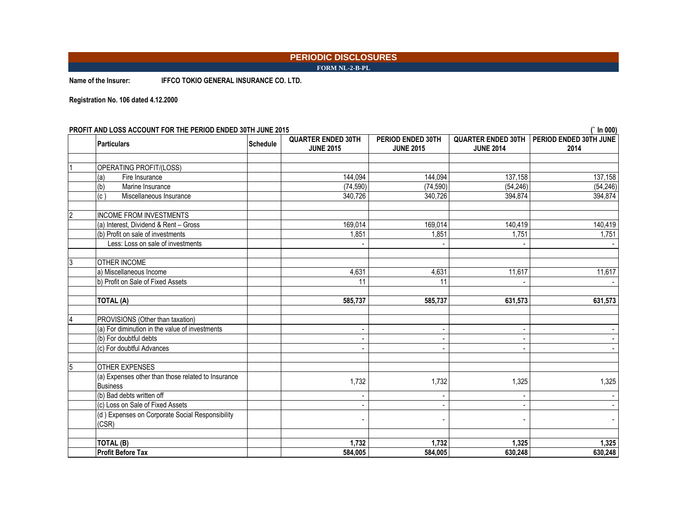**FORM NL-2-B-PL**

**Name of the Insurer: IFFCO TOKIO GENERAL INSURANCE CO. LTD.**

**Registration No. 106 dated 4.12.2000**

**PROFIT AND LOSS ACCOUNT FOR THE PERIOD ENDED 30TH JUNE 2015 (` In 000)**

**Particulars CONSISTER ENDED 30TH JUNE 2015 PERIOD ENDED 30TH JUNE 2015 QUARTER ENDED 30TH PERIOD ENDED 30TH JUNE JUNE 2014 2014 OPERATING PROFIT/(LOSS)** (a) Fire Insurance 144,094 | 144,094 | 137,158 | 137,158 (b) Marine Insurance (74,590) (54,246) (74,590) (74,590) (74,590) (54,246) (54,246) (54,246) (c) Miscellaneous Insurance 340,726 394,874 394,874 394,874 394,874 INCOME FROM INVESTMENTS (a) Interest, Dividend & Rent – Gross (a) 169,014 169,014 169,014 169,014 169,014 169,014 140,419 140,419 140,419 (b) Profit on sale of investments (b) and the control of the control of the control of the control of the control of the control of the control of the control of the control of the control of the control of the control of Less: Loss on sale of investments - - - - **OTHER INCOME** a) Miscellaneous Income 1.617 (a) 11,617 (a) 4,631 (a) 4,631 (a) 4,631 (a) 4,631 (a) 4,631 (a) 4,631 (a) 4,631 (a) 4,631 (a) 4,631 (a) 4,631 (a) 4,631 (a) 4,631 (a) 4,631 (a) 4,631 (a) 4,631 (a) 4,631 (a) 4,631 (a) 4,631 ( b) Profit on Sale of Fixed Assets 2008 12 11 11 11 11 12 11 11 12 12 12 13 14 14 14 14 14 14 15 16 17 17 17 17 1 **TOTAL (A) 585,737 585,737 631,573 631,573**  PROVISIONS (Other than taxation) (a) For diminution in the value of investments - - - - (b) For doubtful debts - - - - (c) For doubtful Advances - - - - 5 OTHER EXPENSES (a) Expenses other than those related to Insurance Business 1,732 1,732 1,325 1,325 (b) Bad debts written off - - - - (c) Loss on Sale of Fixed Assets - - - - (d ) Expenses on Corporate Social Responsibility (CSR) - - - - **TOTAL (B) 1,732 1,732 1,325 1,325**  Profit Before Tax 584,005 | 584,005 | 630,248 | 630,248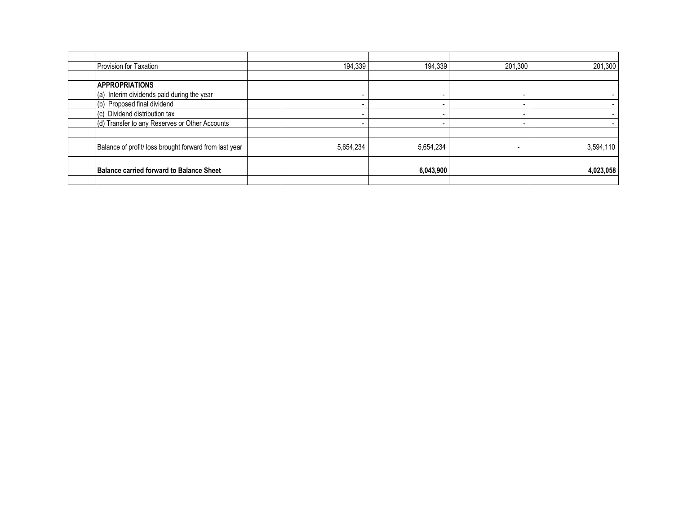| Provision for Taxation                                | 194,339   | 194,339   | 201,300                  |           |
|-------------------------------------------------------|-----------|-----------|--------------------------|-----------|
|                                                       |           |           |                          |           |
| <b>APPROPRIATIONS</b>                                 |           |           |                          |           |
| (a) Interim dividends paid during the year            |           |           |                          |           |
| (b) Proposed final dividend                           |           |           |                          |           |
| (c) Dividend distribution tax                         |           |           | $\overline{\phantom{0}}$ |           |
| (d) Transfer to any Reserves or Other Accounts        |           |           | $\overline{\phantom{0}}$ |           |
| Balance of profit/loss brought forward from last year | 5,654,234 | 5,654,234 |                          | 3,594,110 |
| <b>Balance carried forward to Balance Sheet</b>       |           | 6,043,900 |                          | 4,023,058 |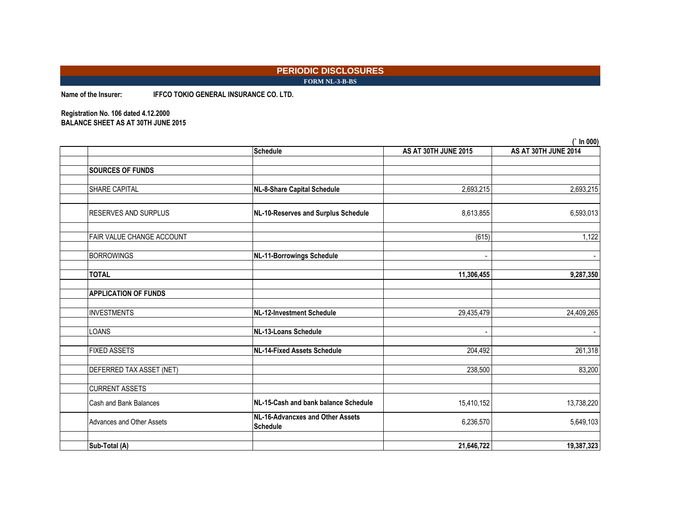### **PERIODIC DISCLOSURES FORM NL-3-B-BS**

**Name of the Insurer: IFFCO TOKIO GENERAL INSURANCE CO. LTD.**

### **Registration No. 106 dated 4.12.2000 BALANCE SHEET AS AT 30TH JUNE 2015**

|                             |                                                     |                          | IN VVV)              |
|-----------------------------|-----------------------------------------------------|--------------------------|----------------------|
|                             | <b>Schedule</b>                                     | AS AT 30TH JUNE 2015     | AS AT 30TH JUNE 2014 |
|                             |                                                     |                          |                      |
| <b>SOURCES OF FUNDS</b>     |                                                     |                          |                      |
| SHARE CAPITAL               | <b>NL-8-Share Capital Schedule</b>                  | 2,693,215                | 2,693,215            |
| <b>RESERVES AND SURPLUS</b> | NL-10-Reserves and Surplus Schedule                 | 8,613,855                | 6,593,013            |
| FAIR VALUE CHANGE ACCOUNT   |                                                     | (615)                    | 1,122                |
| <b>BORROWINGS</b>           | <b>NL-11-Borrowings Schedule</b>                    |                          |                      |
| <b>TOTAL</b>                |                                                     | 11,306,455               | 9,287,350            |
| <b>APPLICATION OF FUNDS</b> |                                                     |                          |                      |
| <b>INVESTMENTS</b>          | <b>NL-12-Investment Schedule</b>                    | 29,435,479               | 24,409,265           |
| LOANS                       | NL-13-Loans Schedule                                | $\overline{\phantom{a}}$ |                      |
| <b>FIXED ASSETS</b>         | <b>NL-14-Fixed Assets Schedule</b>                  | 204,492                  | 261,318              |
| DEFERRED TAX ASSET (NET)    |                                                     | 238,500                  | 83,200               |
| <b>CURRENT ASSETS</b>       |                                                     |                          |                      |
| Cash and Bank Balances      | NL-15-Cash and bank balance Schedule                | 15,410,152               | 13,738,220           |
| Advances and Other Assets   | NL-16-Advancxes and Other Assets<br><b>Schedule</b> | 6,236,570                | 5,649,103            |
| Sub-Total (A)               |                                                     | 21,646,722               | 19,387,323           |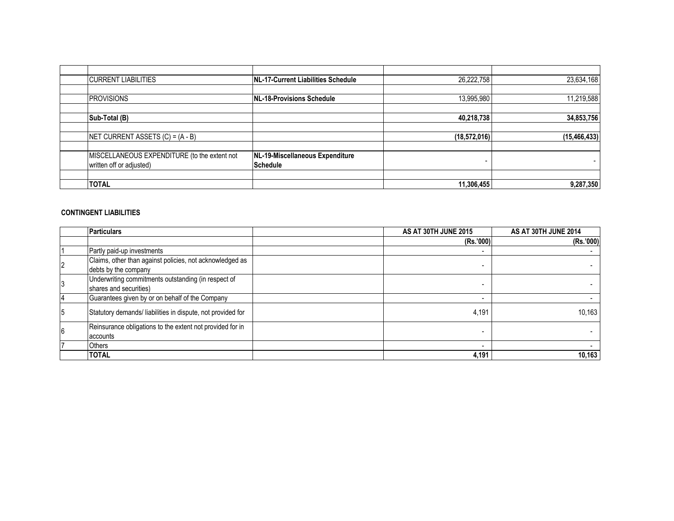| <b>CURRENT LIABILITIES</b>                   | NL-17-Current Liabilities Schedule | 26,222,758     | 23,634,168     |
|----------------------------------------------|------------------------------------|----------------|----------------|
|                                              |                                    |                |                |
| <b>PROVISIONS</b>                            | NL-18-Provisions Schedule          | 13,995,980     | 11,219,588     |
|                                              |                                    |                |                |
| Sub-Total (B)                                |                                    | 40,218,738     | 34,853,756     |
|                                              |                                    |                |                |
| NET CURRENT ASSETS $(C) = (A - B)$           |                                    | (18, 572, 016) | (15, 466, 433) |
|                                              |                                    |                |                |
| MISCELLANEOUS EXPENDITURE (to the extent not | NL-19-Miscellaneous Expenditure    |                |                |
| written off or adjusted)                     | Schedule                           | -              |                |
|                                              |                                    |                |                |
| <b>TOTAL</b>                                 |                                    | 11,306,455     | 9,287,350      |

### **CONTINGENT LIABILITIES**

| <b>Particulars</b>                                          | AS AT 30TH JUNE 2015 | AS AT 30TH JUNE 2014 |
|-------------------------------------------------------------|----------------------|----------------------|
|                                                             | (Rs.'000)            | (Rs.'000)            |
| Partly paid-up investments                                  |                      |                      |
| Claims, other than against policies, not acknowledged as    |                      |                      |
| debts by the company                                        |                      |                      |
| Underwriting commitments outstanding (in respect of         |                      |                      |
| shares and securities)                                      |                      |                      |
| Guarantees given by or on behalf of the Company             |                      |                      |
| Statutory demands/ liabilities in dispute, not provided for | 4,191                | 10,163               |
| Reinsurance obligations to the extent not provided for in   |                      |                      |
| accounts                                                    |                      |                      |
| <b>Others</b>                                               |                      |                      |
| <b>TOTAL</b>                                                | 4,191                | 10,163               |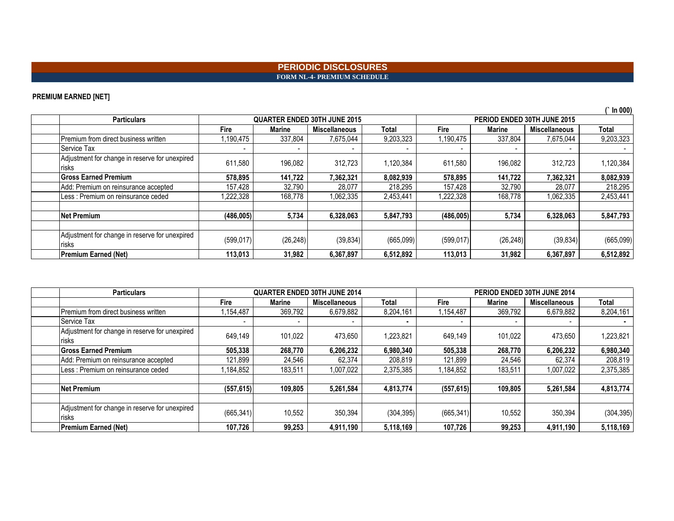### **PERIODIC DISCLOSURES FORM NL-4- PREMIUM SCHEDULE**

### **PREMIUM EARNED [NET]**

| $\cdots$                                                |                          |                                     |               |           |                          |                             |                      |           |  |
|---------------------------------------------------------|--------------------------|-------------------------------------|---------------|-----------|--------------------------|-----------------------------|----------------------|-----------|--|
| <b>Particulars</b>                                      |                          | <b>QUARTER ENDED 30TH JUNE 2015</b> |               |           |                          | PERIOD ENDED 30TH JUNE 2015 |                      |           |  |
|                                                         | Fire                     | Marine                              | Miscellaneous | Total     | Fire                     | <b>Marine</b>               | <b>Miscellaneous</b> | Total     |  |
| Premium from direct business written                    | ,190,475                 | 337,804                             | 7,675,044     | 9,203,323 | 1,190,475                | 337,804                     | 7,675,044            | 9,203,323 |  |
| Service Tax                                             | $\overline{\phantom{0}}$ |                                     |               |           | $\overline{\phantom{0}}$ |                             |                      |           |  |
| Adjustment for change in reserve for unexpired<br>risks | 611,580                  | 196,082                             | 312,723       | 1,120,384 | 611,580                  | 196,082                     | 312,723              | 1,120,384 |  |
| <b>Gross Earned Premium</b>                             | 578,895                  | 141,722                             | 7,362,321     | 8,082,939 | 578,895                  | 141,722                     | 7,362,321            | 8,082,939 |  |
| Add: Premium on reinsurance accepted                    | 157,428                  | 32,790                              | 28,077        | 218,295   | 157,428                  | 32,790                      | 28,077               | 218,295   |  |
| Less: Premium on reinsurance ceded                      | ,222,328                 | 168,778                             | 1,062,335     | 2,453,441 | 1,222,328                | 168,778                     | 1,062,335            | 2,453,441 |  |
|                                                         |                          |                                     |               |           |                          |                             |                      |           |  |
| Net Premium                                             | (486,005)                | 5,734                               | 6,328,063     | 5,847,793 | (486,005)                | 5,734                       | 6,328,063            | 5,847,793 |  |
|                                                         |                          |                                     |               |           |                          |                             |                      |           |  |
| Adjustment for change in reserve for unexpired<br>risks | (599, 017)               | (26, 248)                           | (39, 834)     | (665,099) | (599, 017)               | (26, 248)                   | (39, 834)            | (665,099) |  |
| Premium Earned (Net)                                    | 113,013                  | 31,982                              | 6,367,897     | 6,512,892 | 113,013                  | 31,982                      | 6,367,897            | 6,512,892 |  |

| <b>Particulars</b>                                             |            |         | <b>QUARTER ENDED 30TH JUNE 2014</b> |            |            | PERIOD ENDED 30TH JUNE 2014 |                      |            |  |
|----------------------------------------------------------------|------------|---------|-------------------------------------|------------|------------|-----------------------------|----------------------|------------|--|
|                                                                | Fire       | Marine  | <b>Miscellaneous</b>                | Total      | Fire       | <b>Marine</b>               | <b>Miscellaneous</b> | Total      |  |
| Premium from direct business written                           | 1,154,487  | 369.792 | 6,679,882                           | 8,204,161  | 1,154,487  | 369,792                     | 6,679,882            | 8,204,161  |  |
| Service Tax                                                    |            |         |                                     |            |            |                             |                      |            |  |
| Adjustment for change in reserve for unexpired<br>risks        | 649.149    | 101,022 | 473,650                             | 1,223,821  | 649.149    | 101.022                     | 473.650              | 1,223,821  |  |
| <b>Gross Earned Premium</b>                                    | 505,338    | 268,770 | 6,206,232                           | 6,980,340  | 505,338    | 268,770                     | 6,206,232            | 6,980,340  |  |
| Add: Premium on reinsurance accepted                           | 121,899    | 24,546  | 62,374                              | 208,819    | 121,899    | 24,546                      | 62,374               | 208,819    |  |
| Less : Premium on reinsurance ceded                            | 1,184,852  | 183,511 | 1,007,022                           | 2,375,385  | 1,184,852  | 183,511                     | 1,007,022            | 2,375,385  |  |
|                                                                |            |         |                                     |            |            |                             |                      |            |  |
| <b>Net Premium</b>                                             | (557, 615) | 109.805 | 5,261,584                           | 4.813.774  | (557, 615) | 109,805                     | 5.261.584            | 4,813,774  |  |
|                                                                |            |         |                                     |            |            |                             |                      |            |  |
| Adjustment for change in reserve for unexpired<br><b>risks</b> | (665, 341) | 10,552  | 350,394                             | (304, 395) | (665, 341) | 10,552                      | 350,394              | (304, 395) |  |
| <b>Premium Earned (Net)</b>                                    | 107,726    | 99,253  | 4,911,190                           | 5,118,169  | 107,726    | 99,253                      | 4,911,190            | 5,118,169  |  |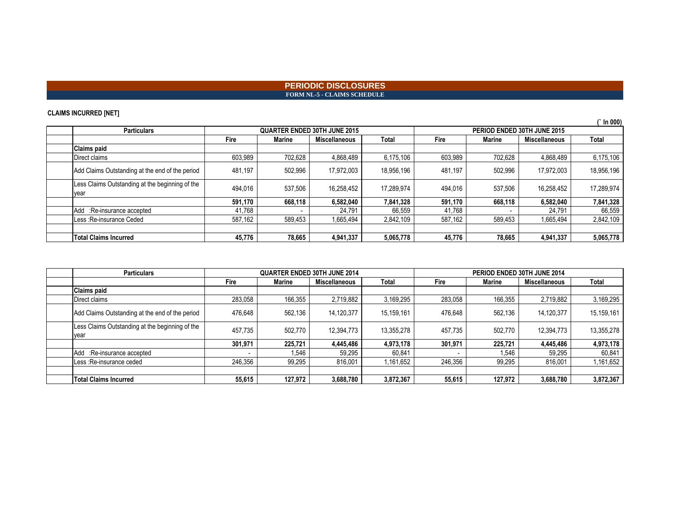### **PERIODIC DISCLOSURES FORM NL-5 - CLAIMS SCHEDULE**

### **CLAIMS INCURRED [NET]**

| . .<br>. .                                              |             |                                     |                      |            |         |                             |                      | $\hat{ }$ In 000) |  |
|---------------------------------------------------------|-------------|-------------------------------------|----------------------|------------|---------|-----------------------------|----------------------|-------------------|--|
| <b>Particulars</b>                                      |             | <b>QUARTER ENDED 30TH JUNE 2015</b> |                      |            |         | PERIOD ENDED 30TH JUNE 2015 |                      |                   |  |
|                                                         | <b>Fire</b> | Marine                              | <b>Miscellaneous</b> | Total      | Fire    | <b>Marine</b>               | <b>Miscellaneous</b> | Total             |  |
| <b>Claims paid</b>                                      |             |                                     |                      |            |         |                             |                      |                   |  |
| Direct claims                                           | 603,989     | 702,628                             | 4,868,489            | 6,175,106  | 603,989 | 702,628                     | 4,868,489            | 6,175,106         |  |
| Add Claims Outstanding at the end of the period         | 481.197     | 502,996                             | 17,972,003           | 18,956,196 | 481.197 | 502.996                     | 17,972,003           | 18,956,196        |  |
| Less Claims Outstanding at the beginning of the<br>vear | 494,016     | 537,506                             | 16,258,452           | 17.289.974 | 494.016 | 537,506                     | 16,258,452           | 17,289,974        |  |
|                                                         | 591.170     | 668.118                             | 6,582,040            | 7,841,328  | 591.170 | 668.118                     | 6,582,040            | 7,841,328         |  |
| Add :Re-insurance accepted                              | 41,768      |                                     | 24.791               | 66,559     | 41,768  |                             | 24,791               | 66,559            |  |
| Less : Re-insurance Ceded                               | 587,162     | 589,453                             | 1,665,494            | 2,842,109  | 587,162 | 589,453                     | 1,665,494            | 2,842,109         |  |
|                                                         |             |                                     |                      |            |         |                             |                      |                   |  |
| <b>Total Claims Incurred</b>                            | 45,776      | 78,665                              | 4,941,337            | 5,065,778  | 45,776  | 78.665                      | 4,941,337            | 5,065,778         |  |

| <b>Particulars</b>                                      | <b>QUARTER ENDED 30TH JUNE 2014</b> |               | PERIOD ENDED 30TH JUNE 2014 |            |         |               |                      |            |
|---------------------------------------------------------|-------------------------------------|---------------|-----------------------------|------------|---------|---------------|----------------------|------------|
|                                                         | Fire                                | <b>Marine</b> | <b>Miscellaneous</b>        | Total      | Fire    | <b>Marine</b> | <b>Miscellaneous</b> | Total      |
| <b>Claims paid</b>                                      |                                     |               |                             |            |         |               |                      |            |
| Direct claims                                           | 283,058                             | 166,355       | 2,719,882                   | 3,169,295  | 283,058 | 166,355       | 2,719,882            | 3,169,295  |
| Add Claims Outstanding at the end of the period         | 476.648                             | 562.136       | 14.120.377                  | 15,159,161 | 476.648 | 562.136       | 14,120,377           | 15,159,161 |
| Less Claims Outstanding at the beginning of the<br>year | 457.735                             | 502.770       | 12,394,773                  | 13,355,278 | 457.735 | 502.770       | 12,394,773           | 13,355,278 |
|                                                         | 301.971                             | 225,721       | 4,445,486                   | 4,973,178  | 301.971 | 225.721       | 4,445,486            | 4,973,178  |
| Add :Re-insurance accepted                              |                                     | 1.546         | 59,295                      | 60.841     |         | 1,546         | 59,295               | 60,841     |
| Less : Re-insurance ceded                               | 246,356                             | 99,295        | 816,001                     | 1,161,652  | 246,356 | 99,295        | 816.001              | 1,161,652  |
|                                                         |                                     |               |                             |            |         |               |                      |            |
| <b>Total Claims Incurred</b>                            | 55.615                              | 127.972       | 3,688,780                   | 3,872,367  | 55,615  | 127.972       | 3,688,780            | 3,872,367  |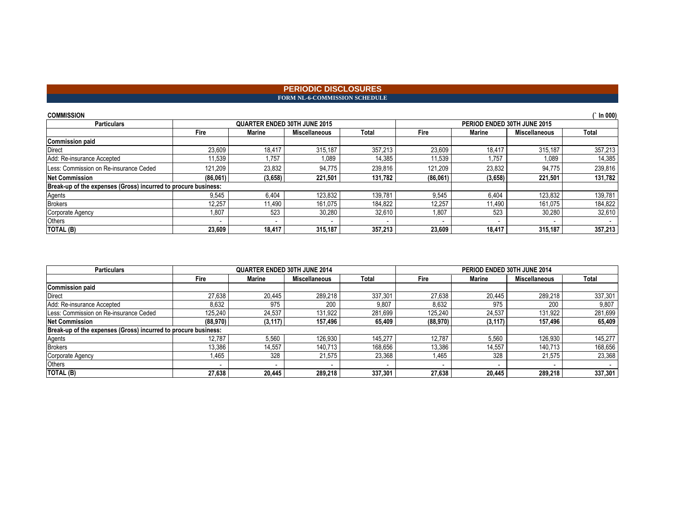### **PERIODIC DISCLOSURES** FORM NL-6-COMMISSION SCHEDULE

| <b>COMMISSION</b>                                              |          |                                     |               |         |          |                             |                      | In $000$ |
|----------------------------------------------------------------|----------|-------------------------------------|---------------|---------|----------|-----------------------------|----------------------|----------|
| <b>Particulars</b>                                             |          | <b>QUARTER ENDED 30TH JUNE 2015</b> |               |         |          | PERIOD ENDED 30TH JUNE 2015 |                      |          |
|                                                                | Fire     | Marine                              | Miscellaneous | Total   | Fire     | Marine                      | <b>Miscellaneous</b> | Total    |
| <b>Commission paid</b>                                         |          |                                     |               |         |          |                             |                      |          |
| <b>Direct</b>                                                  | 23,609   | 18.417                              | 315.187       | 357,213 | 23.609   | 18.417                      | 315,187              | 357,213  |
| Add: Re-insurance Accepted                                     | 11,539   | 1.757                               | 1,089         | 14,385  | 11,539   | .757                        | 1,089                | 14,385   |
| Less: Commission on Re-insurance Ceded                         | 121.209  | 23.832                              | 94.775        | 239,816 | 121,209  | 23,832                      | 94.775               | 239,816  |
| <b>Net Commission</b>                                          | (86,061) | (3,658)                             | 221,501       | 131,782 | (86,061) | (3,658)                     | 221,501              | 131,782  |
| Break-up of the expenses (Gross) incurred to procure business: |          |                                     |               |         |          |                             |                      |          |
| Agents                                                         | 9,545    | 6.404                               | 123,832       | 139.781 | 9.545    | 6,404                       | 123.832              | 139,781  |
| <b>Brokers</b>                                                 | 12.257   | 11.490                              | 161.075       | 184.822 | 12.257   | 11.490                      | 161.075              | 184,822  |
| Corporate Agency                                               | ,807     | 523                                 | 30,280        | 32,610  | .807     | 523                         | 30,280               | 32,610   |
| Others                                                         | -        |                                     |               |         |          |                             |                      |          |
| TOTAL (B)                                                      | 23.609   | 18.417                              | 315.187       | 357.213 | 23.609   | 18.417                      | 315.187              | 357,213  |

| <b>Particulars</b>                                             |          | <b>QUARTER ENDED 30TH JUNE 2014</b> |                      |                          |          |          | PERIOD ENDED 30TH JUNE 2014 |         |
|----------------------------------------------------------------|----------|-------------------------------------|----------------------|--------------------------|----------|----------|-----------------------------|---------|
|                                                                | Fire     | <b>Marine</b>                       | <b>Miscellaneous</b> | Total                    | Fire     | Marine   | <b>Miscellaneous</b>        | Total   |
| <b>Commission paid</b>                                         |          |                                     |                      |                          |          |          |                             |         |
| <b>Direct</b>                                                  | 27,638   | 20,445                              | 289,218              | 337.301                  | 27.638   | 20,445   | 289.218                     | 337,301 |
| Add: Re-insurance Accepted                                     | 8,632    | 975                                 | 200                  | 9,807                    | 8.632    | 975      | 200                         | 9,807   |
| Less: Commission on Re-insurance Ceded                         | 125.240  | 24.537                              | 131.922              | 281.699                  | 125.240  | 24,537   | 131.922                     | 281,699 |
| <b>Net Commission</b>                                          | (88.970) | (3, 117)                            | 157,496              | 65,409                   | (88,970) | (3, 117) | 157.496                     | 65,409  |
| Break-up of the expenses (Gross) incurred to procure business: |          |                                     |                      |                          |          |          |                             |         |
| Agents                                                         | 12.787   | 5.560                               | 126,930              | 145.277                  | 12.787   | 5,560    | 126.930                     | 145,277 |
| <b>Brokers</b>                                                 | 13,386   | 14.557                              | 140,713              | 168.656                  | 13,386   | 14,557   | 140.713                     | 168,656 |
| Corporate Agency                                               | .465     | 328                                 | 21,575               | 23,368                   | 1,465    | 328      | 21,575                      | 23,368  |
| <b>Others</b>                                                  |          |                                     |                      | $\overline{\phantom{a}}$ |          |          | $\overline{\phantom{a}}$    |         |
| TOTAL (B)                                                      | 27,638   | 20.445                              | 289.218              | 337.301                  | 27.638   | 20.445   | 289.218                     | 337,301 |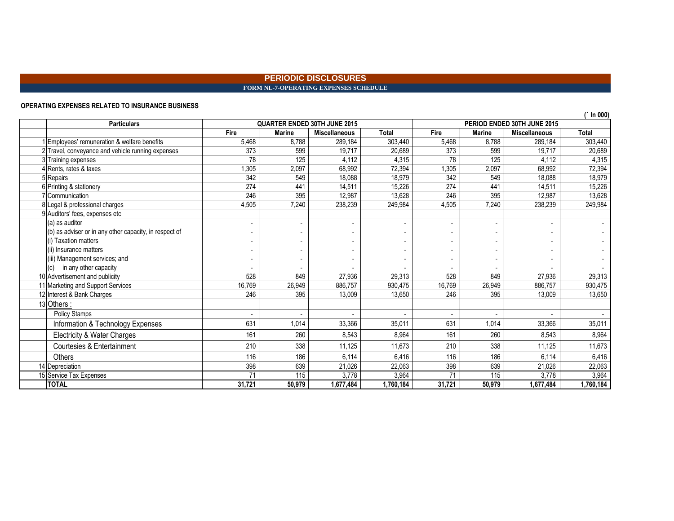### **PERIODIC DISCLOSURES FORM NL-7-OPERATING EXPENSES SCHEDULE**

### **OPERATING EXPENSES RELATED TO INSURANCE BUSINESS**

| <b>Particulars</b>                                     |                          |                | <b>QUARTER ENDED 30TH JUNE 2015</b> |                | PERIOD ENDED 30TH JUNE 2015 |                          |                      |                |
|--------------------------------------------------------|--------------------------|----------------|-------------------------------------|----------------|-----------------------------|--------------------------|----------------------|----------------|
|                                                        | Fire                     | <b>Marine</b>  | <b>Miscellaneous</b>                | <b>Total</b>   | Fire                        | <b>Marine</b>            | <b>Miscellaneous</b> | <b>Total</b>   |
| Employees' remuneration & welfare benefits             | 5,468                    | 8.788          | 289,184                             | 303,440        | 5,468                       | 8.788                    | 289.184              | 303,440        |
| 2 Travel, conveyance and vehicle running expenses      | 373                      | 599            | 19,717                              | 20,689         | 373                         | 599                      | 19,717               | 20,689         |
| 3 Training expenses                                    | 78                       | 125            | 4.112                               | 4,315          | 78                          | 125                      | 4,112                | 4,315          |
| <b>4</b> Rents, rates & taxes                          | , 305                    | 2,097          | 68,992                              | 72,394         | 1,305                       | 2,097                    | 68,992               | 72,394         |
| 5 Repairs                                              | 342                      | 549            | 18,088                              | 18,979         | 342                         | 549                      | 18,088               | 18,979         |
| 6 Printing & stationery                                | 274                      | 441            | 14,511                              | 15,226         | 274                         | 441                      | 14,511               | 15,226         |
| Communication                                          | 246                      | 395            | 12,987                              | 13,628         | 246                         | 395                      | 12,987               | 13,628         |
| 8 Legal & professional charges                         | 4,505                    | 7.240          | 238,239                             | 249,984        | 4,505                       | 7,240                    | 238,239              | 249,984        |
| 9 Auditors' fees, expenses etc                         |                          |                |                                     |                |                             |                          |                      |                |
| (a) as auditor                                         | ۰                        |                |                                     |                |                             | $\blacksquare$           |                      |                |
| (b) as adviser or in any other capacity, in respect of | $\overline{\phantom{0}}$ | $\blacksquare$ | $\overline{\phantom{a}}$            |                |                             | $\blacksquare$           |                      |                |
| (i) Taxation matters                                   | $\overline{\phantom{0}}$ | $\blacksquare$ | $\overline{\phantom{a}}$            | $\blacksquare$ |                             | $\overline{\phantom{a}}$ | $\blacksquare$       | $\blacksquare$ |
| (ii) Insurance matters                                 | ٠                        | $\blacksquare$ | $\overline{\phantom{a}}$            |                |                             | $\overline{\phantom{a}}$ |                      |                |
| (iii) Management services; and                         | $\overline{\phantom{0}}$ | $\blacksquare$ |                                     |                |                             | $\overline{\phantom{0}}$ |                      |                |
| (c)<br>in any other capacity                           |                          |                |                                     |                |                             |                          |                      |                |
| 10 Advertisement and publicity                         | 528                      | 849            | 27,936                              | 29,313         | 528                         | 849                      | 27,936               | 29,313         |
| 11 Marketing and Support Services                      | 16.769                   | 26,949         | 886.757                             | 930,475        | 16,769                      | 26,949                   | 886.757              | 930,475        |
| 12 Interest & Bank Charges                             | 246                      | 395            | 13,009                              | 13,650         | 246                         | 395                      | 13,009               | 13,650         |
| 13 Others:                                             |                          |                |                                     |                |                             |                          |                      |                |
| <b>Policy Stamps</b>                                   | $\blacksquare$           | $\blacksquare$ |                                     |                | $\overline{\phantom{a}}$    | $\blacksquare$           |                      |                |
| Information & Technology Expenses                      | 631                      | 1,014          | 33,366                              | 35,011         | 631                         | 1,014                    | 33,366               | 35,011         |
| Electricity & Water Charges                            | 161                      | 260            | 8.543                               | 8,964          | 161                         | 260                      | 8,543                | 8,964          |
| Courtesies & Entertainment                             | 210                      | 338            | 11,125                              | 11,673         | 210                         | 338                      | 11,125               | 11,673         |
| Others                                                 | 116                      | 186            | 6,114                               | 6,416          | 116                         | 186                      | 6,114                | 6,416          |
| 14 Depreciation                                        | 398                      | 639            | 21,026                              | 22,063         | 398                         | 639                      | 21,026               | 22,063         |
| 15 Service Tax Expenses                                | 71                       | 115            | 3,778                               | 3,964          | 71                          | 115                      | 3,778                | 3,964          |
| <b>TOTAL</b>                                           | 31,721                   | 50,979         | 1,677,484                           | 1,760,184      | 31,721                      | 50,979                   | 1,677,484            | 1,760,184      |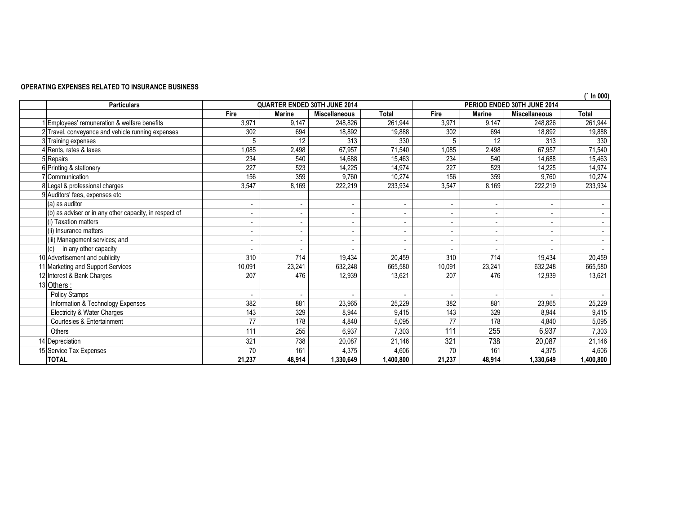### **OPERATING EXPENSES RELATED TO INSURANCE BUSINESS**

| In 000)                                                |                          |                                     |                          |                          |                          |               |                             |           |
|--------------------------------------------------------|--------------------------|-------------------------------------|--------------------------|--------------------------|--------------------------|---------------|-----------------------------|-----------|
| <b>Particulars</b>                                     |                          | <b>QUARTER ENDED 30TH JUNE 2014</b> |                          |                          |                          |               | PERIOD ENDED 30TH JUNE 2014 |           |
|                                                        | Fire                     | <b>Marine</b>                       | <b>Miscellaneous</b>     | <b>Total</b>             | Fire                     | <b>Marine</b> | <b>Miscellaneous</b>        | Total     |
| 1 Employees' remuneration & welfare benefits           | 3,971                    | 9,147                               | 248,826                  | 261,944                  | 3,971                    | 9,147         | 248,826                     | 261,944   |
| 2 Travel, conveyance and vehicle running expenses      | 302                      | 694                                 | 18,892                   | 19,888                   | 302                      | 694           | 18,892                      | 19,888    |
| 3 Training expenses                                    | 5                        | 12                                  | 313                      | 330                      | 5                        | 12            | 313                         | 330       |
| 4 Rents, rates & taxes                                 | 1,085                    | 2,498                               | 67,957                   | 71,540                   | 1,085                    | 2,498         | 67,957                      | 71,540    |
| 5 Repairs                                              | 234                      | 540                                 | 14,688                   | 15,463                   | 234                      | 540           | 14,688                      | 15,463    |
| 6 Printing & stationery                                | 227                      | 523                                 | 14,225                   | 14,974                   | 227                      | 523           | 14.225                      | 14,974    |
| 7 Communication                                        | 156                      | 359                                 | 9,760                    | 10,274                   | 156                      | 359           | 9,760                       | 10,274    |
| 8 Legal & professional charges                         | 3,547                    | 8,169                               | 222,219                  | 233,934                  | 3,547                    | 8,169         | 222,219                     | 233,934   |
| 9 Auditors' fees, expenses etc                         |                          |                                     |                          |                          |                          |               |                             |           |
| (a) as auditor                                         | $\overline{\phantom{a}}$ | $\sim$                              | $\overline{\phantom{a}}$ | $\blacksquare$           | $\overline{\phantom{a}}$ | $\sim$        |                             |           |
| (b) as adviser or in any other capacity, in respect of |                          |                                     | $\blacksquare$           | $\overline{\phantom{a}}$ | $\blacksquare$           |               |                             |           |
| (i) Taxation matters                                   |                          | $\overline{\phantom{a}}$            | $\overline{\phantom{a}}$ | $\overline{\phantom{a}}$ | $\overline{\phantom{a}}$ |               |                             |           |
| (ii) Insurance matters                                 |                          |                                     | $\overline{\phantom{a}}$ | $\overline{\phantom{a}}$ | $\overline{\phantom{a}}$ |               |                             |           |
| (iii) Management services; and                         | $\overline{\phantom{a}}$ | $\blacksquare$                      | $\overline{\phantom{a}}$ | $\overline{\phantom{a}}$ | $\overline{\phantom{a}}$ | $\sim$        |                             |           |
| in any other capacity<br>(c)                           |                          | $\sim$                              |                          |                          | $\blacksquare$           |               |                             |           |
| 10 Advertisement and publicity                         | $\overline{310}$         | 714                                 | 19,434                   | 20,459                   | 310                      | 714           | 19,434                      | 20,459    |
| 11 Marketing and Support Services                      | 10,091                   | 23,241                              | 632,248                  | 665,580                  | 10,091                   | 23,241        | 632,248                     | 665,580   |
| 12 Interest & Bank Charges                             | 207                      | 476                                 | 12,939                   | 13,621                   | 207                      | 476           | 12,939                      | 13,621    |
| 13 Others:                                             |                          |                                     |                          |                          |                          |               |                             |           |
| <b>Policy Stamps</b>                                   |                          |                                     |                          |                          | $\blacksquare$           |               |                             |           |
| Information & Technology Expenses                      | 382                      | 881                                 | 23,965                   | 25,229                   | 382                      | 881           | 23,965                      | 25,229    |
| Electricity & Water Charges                            | 143                      | 329                                 | 8,944                    | 9,415                    | 143                      | 329           | 8,944                       | 9,415     |
| Courtesies & Entertainment                             | 77                       | 178                                 | 4,840                    | 5,095                    | 77                       | 178           | 4.840                       | 5,095     |
| Others                                                 | 111                      | 255                                 | 6,937                    | 7.303                    | 111                      | 255           | 6,937                       | 7,303     |
| 14 Depreciation                                        | 321                      | 738                                 | 20,087                   | 21,146                   | 321                      | 738           | 20,087                      | 21,146    |
| 15 Service Tax Expenses                                | 70                       | 161                                 | 4,375                    | 4,606                    | 70                       | 161           | 4,375                       | 4,606     |
| <b>TOTAL</b>                                           | 21.237                   | 48,914                              | 1,330,649                | 1.400.800                | 21.237                   | 48.914        | 1,330,649                   | 1,400,800 |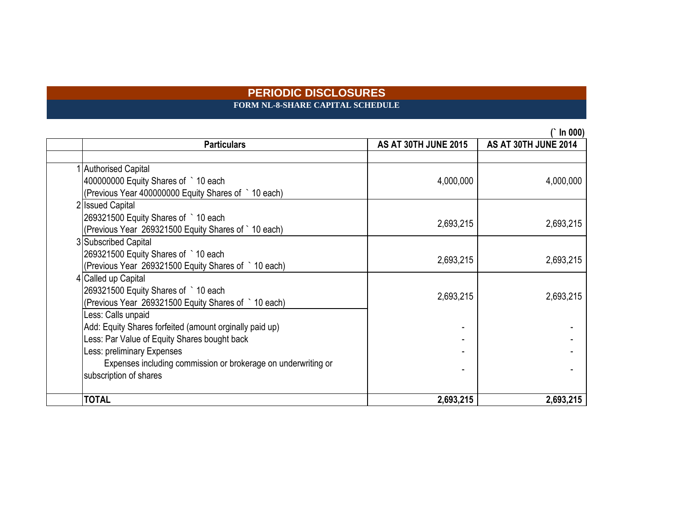**FORM NL-8-SHARE CAPITAL SCHEDULE**

| <b>Particulars</b>                                            | <b>AS AT 30TH JUNE 2015</b> | AS AT 30TH JUNE 2014 |
|---------------------------------------------------------------|-----------------------------|----------------------|
|                                                               |                             |                      |
| 1 Authorised Capital                                          |                             |                      |
| 400000000 Equity Shares of ` 10 each                          | 4,000,000                   | 4,000,000            |
| (Previous Year 400000000 Equity Shares of ` 10 each)          |                             |                      |
| 2 Issued Capital                                              |                             |                      |
| 269321500 Equity Shares of ` 10 each                          | 2,693,215                   | 2,693,215            |
| (Previous Year 269321500 Equity Shares of `10 each)           |                             |                      |
| 3 Subscribed Capital                                          |                             |                      |
| 269321500 Equity Shares of `10 each                           | 2,693,215                   | 2,693,215            |
| (Previous Year 269321500 Equity Shares of ` 10 each)          |                             |                      |
| 4 Called up Capital                                           |                             |                      |
| 269321500 Equity Shares of ` 10 each                          | 2,693,215                   | 2,693,215            |
| (Previous Year 269321500 Equity Shares of ` 10 each)          |                             |                      |
| Less: Calls unpaid                                            |                             |                      |
| Add: Equity Shares forfeited (amount orginally paid up)       |                             |                      |
| ess: Par Value of Equity Shares bought back                   |                             |                      |
| ess: preliminary Expenses                                     |                             |                      |
| Expenses including commission or brokerage on underwriting or |                             |                      |
| subscription of shares                                        |                             |                      |
| <b>TOTAL</b>                                                  | 2,693,215                   | 2,693,215            |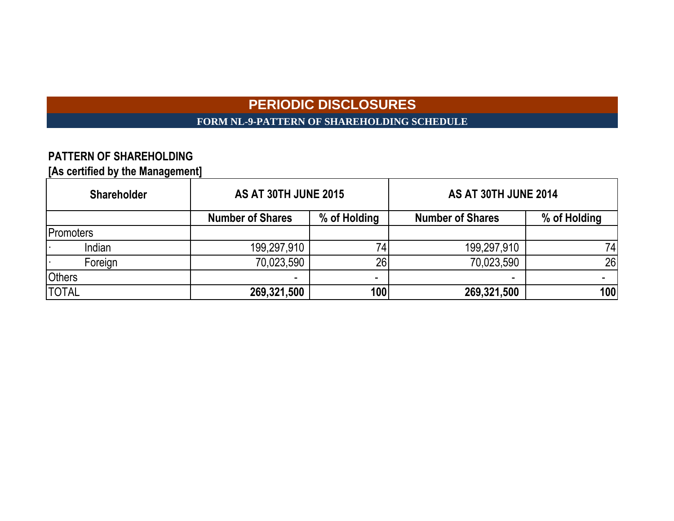# **PERIODIC DISCLOSURES FORM NL-9-PATTERN OF SHAREHOLDING SCHEDULE**

# **PATTERN OF SHAREHOLDING**

**[As certified by the Management]**

| <b>Shareholder</b> | <b>AS AT 30TH JUNE 2015</b> |              | AS AT 30TH JUNE 2014    |              |  |  |
|--------------------|-----------------------------|--------------|-------------------------|--------------|--|--|
|                    | <b>Number of Shares</b>     | % of Holding | <b>Number of Shares</b> | % of Holding |  |  |
| <b>Promoters</b>   |                             |              |                         |              |  |  |
| Indian             | 199,297,910                 | 74           | 199,297,910             | 74           |  |  |
| Foreign            | 70,023,590                  | 26           | 70,023,590              | 26           |  |  |
| <b>Others</b>      |                             | -            | -                       |              |  |  |
| <b>TOTAL</b>       | 269,321,500                 | 100          | 269,321,500             | 100          |  |  |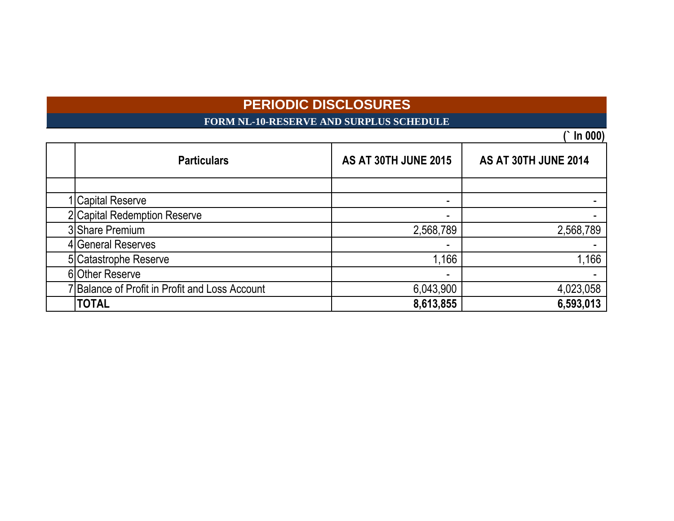**FORM NL-10-RESERVE AND SURPLUS SCHEDULE**

| <b>Particulars</b>                             | <b>AS AT 30TH JUNE 2015</b> | AS AT 30TH JUNE 2014 |
|------------------------------------------------|-----------------------------|----------------------|
|                                                |                             |                      |
| <b>Capital Reserve</b>                         | $\overline{\phantom{0}}$    |                      |
| 2 Capital Redemption Reserve                   | ۰                           |                      |
| 3 Share Premium                                | 2,568,789                   | 2,568,789            |
| 4 General Reserves                             | $\overline{\phantom{a}}$    |                      |
| 5 Catastrophe Reserve                          | 1,166                       | 1,166                |
| 6 Other Reserve                                | $\overline{\phantom{0}}$    |                      |
| 7 Balance of Profit in Profit and Loss Account | 6,043,900                   | 4,023,058            |
| <b>TOTAL</b>                                   | 8,613,855                   | 6,593,013            |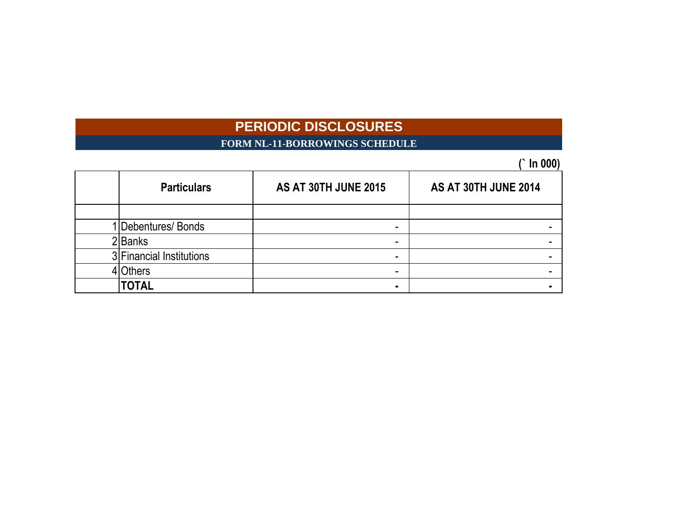# **FORM NL-11-BORROWINGS SCHEDULE**

| <b>Particulars</b>       | <b>AS AT 30TH JUNE 2015</b> | AS AT 30TH JUNE 2014 |
|--------------------------|-----------------------------|----------------------|
|                          |                             |                      |
| Debentures/Bonds         | ۰                           |                      |
| 2Banks                   |                             |                      |
| 3 Financial Institutions | ۰                           |                      |
| <b>Others</b>            | -                           |                      |
| <b>TOTAL</b>             |                             |                      |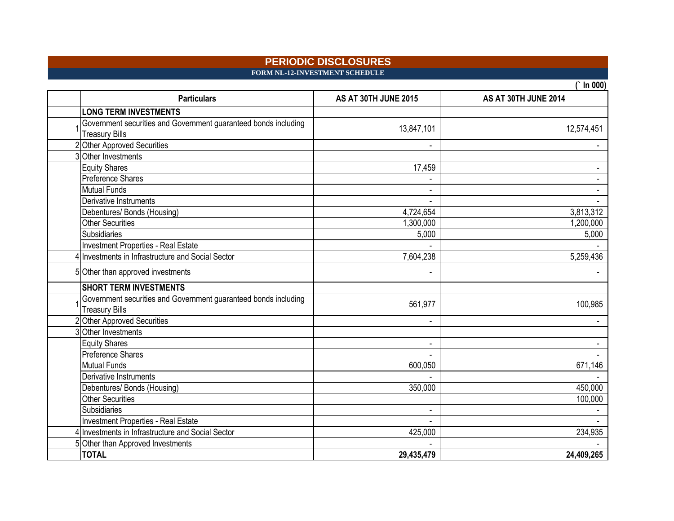### **PERIODIC DISCLOSURES FORM NL-12-INVESTMENT SCHEDULE**

| <b>Particulars</b>                                                                       | AS AT 30TH JUNE 2015 | AS AT 30TH JUNE 2014 |
|------------------------------------------------------------------------------------------|----------------------|----------------------|
| <b>LONG TERM INVESTMENTS</b>                                                             |                      |                      |
| Government securities and Government guaranteed bonds including<br><b>Treasury Bills</b> | 13,847,101           | 12,574,451           |
| Other Approved Securities                                                                |                      |                      |
| 3 Other Investments                                                                      |                      |                      |
| <b>Equity Shares</b>                                                                     | 17,459               |                      |
| <b>Preference Shares</b>                                                                 |                      |                      |
| <b>Mutual Funds</b>                                                                      |                      |                      |
| Derivative Instruments                                                                   |                      |                      |
| Debentures/ Bonds (Housing)                                                              | 4,724,654            | 3,813,312            |
| <b>Other Securities</b>                                                                  | 1,300,000            | 1,200,000            |
| Subsidiaries                                                                             | 5,000                | 5,000                |
| Investment Properties - Real Estate                                                      |                      |                      |
| 4 Investments in Infrastructure and Social Sector                                        | 7,604,238            | 5,259,436            |
| 5 Other than approved investments                                                        |                      |                      |
| <b>SHORT TERM INVESTMENTS</b>                                                            |                      |                      |
| Government securities and Government guaranteed bonds including<br><b>Treasury Bills</b> | 561,977              | 100,985              |
| 2 Other Approved Securities                                                              |                      |                      |
| 3 Other Investments                                                                      |                      |                      |
| <b>Equity Shares</b>                                                                     |                      |                      |
| Preference Shares                                                                        |                      |                      |
| <b>Mutual Funds</b>                                                                      | 600,050              | 671,146              |
| Derivative Instruments                                                                   |                      |                      |
| Debentures/ Bonds (Housing)                                                              | 350,000              | 450,000              |
| <b>Other Securities</b>                                                                  |                      | 100,000              |
| Subsidiaries                                                                             |                      |                      |
| Investment Properties - Real Estate                                                      |                      |                      |
| Investments in Infrastructure and Social Sector                                          | 425,000              | 234,935              |
| 5 Other than Approved Investments                                                        |                      |                      |
| <b>TOTAL</b>                                                                             | 29,435,479           | 24,409,265           |

 $\overline{(} \ln 000)$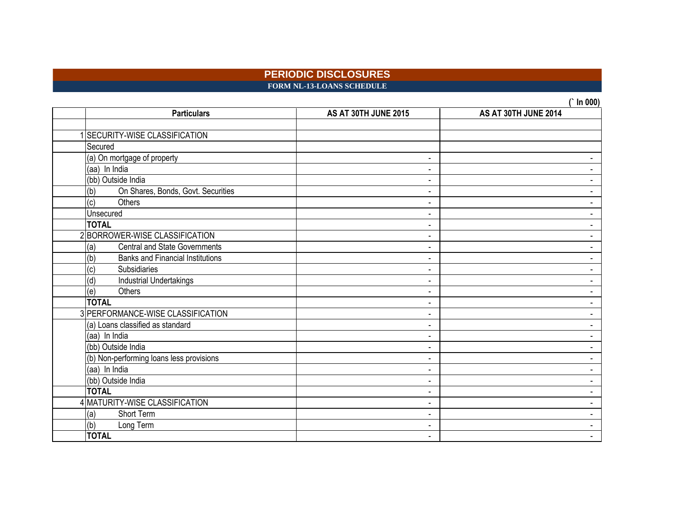### **PERIODIC DISCLOSURES FORM NL-13-LOANS SCHEDULE**

| <b>Particulars</b>                             | AS AT 30TH JUNE 2015 | <b>III VVV)</b><br>AS AT 30TH JUNE 2014 |
|------------------------------------------------|----------------------|-----------------------------------------|
|                                                |                      |                                         |
| <b>SECURITY-WISE CLASSIFICATION</b>            |                      |                                         |
| Secured                                        |                      |                                         |
| (a) On mortgage of property                    | -                    |                                         |
| (aa) In India                                  |                      |                                         |
| (bb) Outside India                             |                      |                                         |
| On Shares, Bonds, Govt. Securities<br>(b)      |                      |                                         |
| $\overline{c}$<br><b>Others</b>                |                      |                                         |
| Unsecured                                      |                      |                                         |
| <b>TOTAL</b>                                   |                      |                                         |
| 2BORROWER-WISE CLASSIFICATION                  |                      |                                         |
| <b>Central and State Governments</b><br>(a)    |                      |                                         |
| (b)<br><b>Banks and Financial Institutions</b> |                      | $\overline{\phantom{0}}$                |
| (c)<br>Subsidiaries                            | $\blacksquare$       |                                         |
| (d)<br>Industrial Undertakings                 |                      | $\blacksquare$                          |
| Others<br>(e)                                  |                      | Ξ.                                      |
| <b>TOTAL</b>                                   | $\blacksquare$       | $\blacksquare$                          |
| 3 PERFORMANCE-WISE CLASSIFICATION              |                      | $\overline{\phantom{a}}$                |
| (a) Loans classified as standard               |                      | $\blacksquare$                          |
| (aa) In India                                  |                      | $\blacksquare$                          |
| (bb) Outside India                             |                      | $\blacksquare$                          |
| (b) Non-performing loans less provisions       |                      |                                         |
| (aa) In India                                  |                      |                                         |
| (bb) Outside India                             |                      |                                         |
| <b>TOTAL</b>                                   |                      |                                         |
| 4 MATURITY-WISE CLASSIFICATION                 |                      |                                         |
| <b>Short Term</b><br>(a)                       |                      |                                         |
| (b)<br>Long Term                               |                      | $\blacksquare$                          |
| <b>TOTAL</b>                                   |                      |                                         |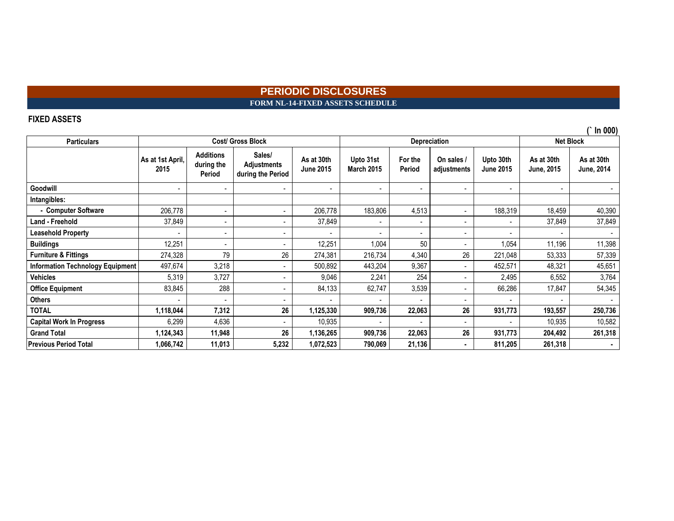### **PERIODIC DISCLOSURES FORM NL-14-FIXED ASSETS SCHEDULE**

### **FIXED ASSETS**

**Particulars Goodwill** - - - - - - - - - - **Intangibles: - Computer Software** 206,778 - - 206,778 183,806 4,513 - 188,319 18,459 40,390 **Land - Freehold** 37,849 - - 37,849 - - - - 37,849 37,849 **Leasehold Property** - - - - - - - - - - **Buildings** 12,251 - - 12,251 1,004 50 - 1,054 11,196 11,398 **Furniture & Fittings** 274,328 79 26 274,381 216,734 4,340 26 221,048 53,333 57,339 **Information Technology Equipment** 497,674 3,218 - 500,892 443,204 9,367 - 452,571 48,321 48,321 45,651 **Vehicles** 5,319 3,727 - 9,046 2,241 254 - 2,495 6,552 3,764 **Office Equipment** | 83,845 | 288 | - 84,133 | 62,747 | 3,539 | - | 66,286 | 17,847 | 54,345 **Others** - - - - - - - - - - **TOTAL 1,118,044 7,312 26 1,125,330 909,736 22,063 26 931,773 193,557 250,736 Capital Work In Progress** 6,299 4,636 - 10,935 - - - - 10,935 10,582 **Grand Total 1,124,343 11,948 26 1,136,265 909,736 22,063 26 931,773 204,492 261,318 Previous Period Total 1,066,742 11,013 5,232 1,072,523 790,069 21,136 - 811,205 261,318 - Upto 31st March 2015 For the Period Upto 30th June 2015 As at 30th June, 2015 As at 30th June, 2014 On sales / adjustments Cost/ Gross Block Depreciation Net Block As at 1st April, 2015 Additions during the Period Sales/ Adjustments during the Period As at 30th June 2015**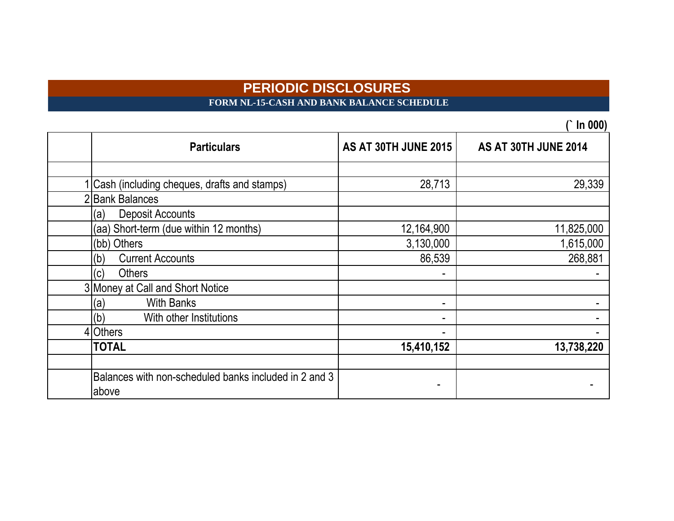**FORM NL-15-CASH AND BANK BALANCE SCHEDULE**

| <b>Particulars</b>                                    | <b>AS AT 30TH JUNE 2015</b> | AS AT 30TH JUNE 2014 |
|-------------------------------------------------------|-----------------------------|----------------------|
|                                                       |                             |                      |
| Cash (including cheques, drafts and stamps)           | 28,713                      | 29,339               |
| <b>Bank Balances</b>                                  |                             |                      |
| <b>Deposit Accounts</b><br>(a)                        |                             |                      |
| (aa) Short-term (due within 12 months)                | 12,164,900                  | 11,825,000           |
| (bb) Others                                           | 3,130,000                   | 1,615,000            |
| <b>Current Accounts</b><br>(b)                        | 86,539                      | 268,881              |
| Others<br>(c)                                         |                             |                      |
| 3 Money at Call and Short Notice                      |                             |                      |
| <b>With Banks</b><br>(a)                              |                             |                      |
| (b)<br>With other Institutions                        |                             |                      |
| 4 Others                                              |                             |                      |
| <b>TOTAL</b>                                          | 15,410,152                  | 13,738,220           |
|                                                       |                             |                      |
| Balances with non-scheduled banks included in 2 and 3 |                             |                      |
| above                                                 |                             |                      |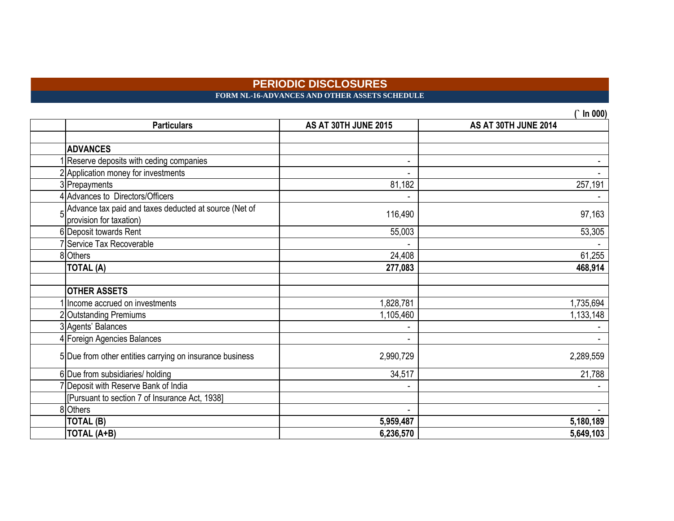**FORM NL-16-ADVANCES AND OTHER ASSETS SCHEDULE** 

| <b>Particulars</b>                                                                             | AS AT 30TH JUNE 2015 | וטטט ווו<br>AS AT 30TH JUNE 2014 |
|------------------------------------------------------------------------------------------------|----------------------|----------------------------------|
|                                                                                                |                      |                                  |
| <b>ADVANCES</b>                                                                                |                      |                                  |
| Reserve deposits with ceding companies                                                         |                      |                                  |
| 2 Application money for investments                                                            |                      |                                  |
| 3 Prepayments                                                                                  | 81,182               | 257,191                          |
| 4 Advances to Directors/Officers                                                               |                      |                                  |
| $\frac{1}{2}$ Advance tax paid and taxes deducted at source (Net of<br>provision for taxation) | 116,490              | 97,163                           |
| 6 Deposit towards Rent                                                                         | 55,003               | 53,305                           |
| 7 Service Tax Recoverable                                                                      |                      |                                  |
| 8 Others                                                                                       | 24,408               | 61,255                           |
| <b>TOTAL (A)</b>                                                                               | 277,083              | 468,914                          |
|                                                                                                |                      |                                  |
| <b>OTHER ASSETS</b>                                                                            |                      |                                  |
| Income accrued on investments                                                                  | 1,828,781            | 1,735,694                        |
| 2 Outstanding Premiums                                                                         | 1,105,460            | 1,133,148                        |
| 3 Agents' Balances                                                                             |                      |                                  |
| 4 Foreign Agencies Balances                                                                    |                      |                                  |
| 5 Due from other entities carrying on insurance business                                       | 2,990,729            | 2,289,559                        |
| 6 Due from subsidiaries/ holding                                                               | 34,517               | 21,788                           |
| 7 Deposit with Reserve Bank of India                                                           |                      |                                  |
| [Pursuant to section 7 of Insurance Act, 1938]                                                 |                      |                                  |
| 8 Others                                                                                       |                      |                                  |
| <b>TOTAL (B)</b>                                                                               | 5,959,487            | 5,180,189                        |
| <b>TOTAL (A+B)</b>                                                                             | 6,236,570            | 5,649,103                        |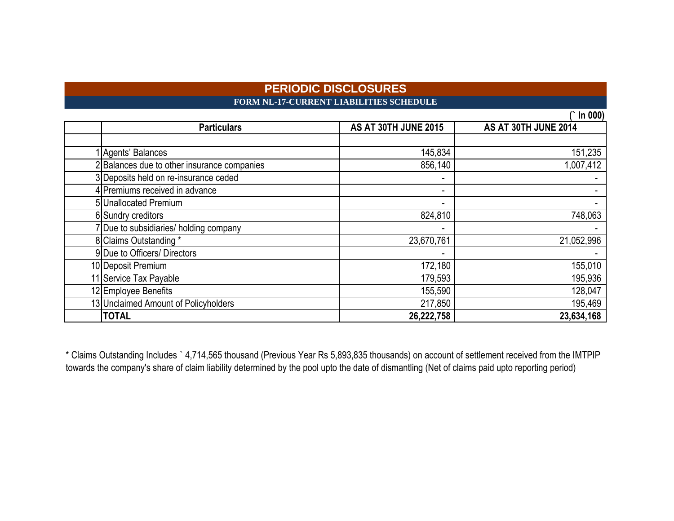## **PERIODIC DISCLOSURES FORM NL-17-CURRENT LIABILITIES SCHEDULE**

|                                             |                             | In $000$             |
|---------------------------------------------|-----------------------------|----------------------|
| <b>Particulars</b>                          | <b>AS AT 30TH JUNE 2015</b> | AS AT 30TH JUNE 2014 |
|                                             |                             |                      |
| Agents' Balances                            | 145,834                     | 151,235              |
| 2 Balances due to other insurance companies | 856,140                     | 1,007,412            |
| 3 Deposits held on re-insurance ceded       |                             |                      |
| 4 Premiums received in advance              | $\overline{\phantom{a}}$    |                      |
| 5 Unallocated Premium                       | $\overline{\phantom{a}}$    |                      |
| 6 Sundry creditors                          | 824,810                     | 748,063              |
| 7 Due to subsidiaries/ holding company      |                             |                      |
| 8 Claims Outstanding *                      | 23,670,761                  | 21,052,996           |
| 9 Due to Officers/ Directors                | $\overline{\phantom{a}}$    |                      |
| 10 Deposit Premium                          | 172,180                     | 155,010              |
| 11 Service Tax Payable                      | 179,593                     | 195,936              |
| 12 Employee Benefits                        | 155,590                     | 128,047              |
| 13 Unclaimed Amount of Policyholders        | 217,850                     | 195,469              |
| <b>TOTAL</b>                                | 26,222,758                  | 23,634,168           |

\* Claims Outstanding Includes ` 4,714,565 thousand (Previous Year Rs 5,893,835 thousands) on account of settlement received from the IMTPIP towards the company's share of claim liability determined by the pool upto the date of dismantling (Net of claims paid upto reporting period)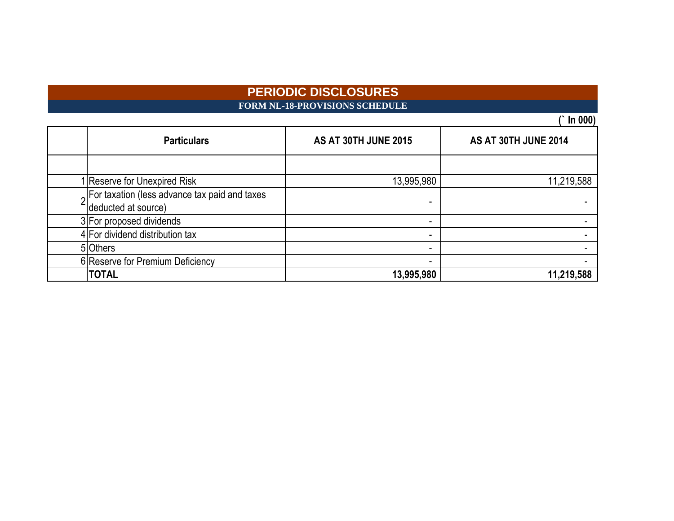**FORM NL-18-PROVISIONS SCHEDULE**

 $\overline{(} \ln 000)$ 

| <b>Particulars</b>                                                  | <b>AS AT 30TH JUNE 2015</b> | AS AT 30TH JUNE 2014 |
|---------------------------------------------------------------------|-----------------------------|----------------------|
|                                                                     |                             |                      |
| I Reserve for Unexpired Risk                                        | 13,995,980                  | 11,219,588           |
| Solfaxation (less advance tax paid and taxes<br>deducted at source) |                             |                      |
| 3 For proposed dividends                                            |                             |                      |
| 4 For dividend distribution tax                                     |                             |                      |
| 5 Others                                                            |                             |                      |
| 6 Reserve for Premium Deficiency                                    |                             |                      |
| <b>TOTAL</b>                                                        | 13,995,980                  | 11,219,588           |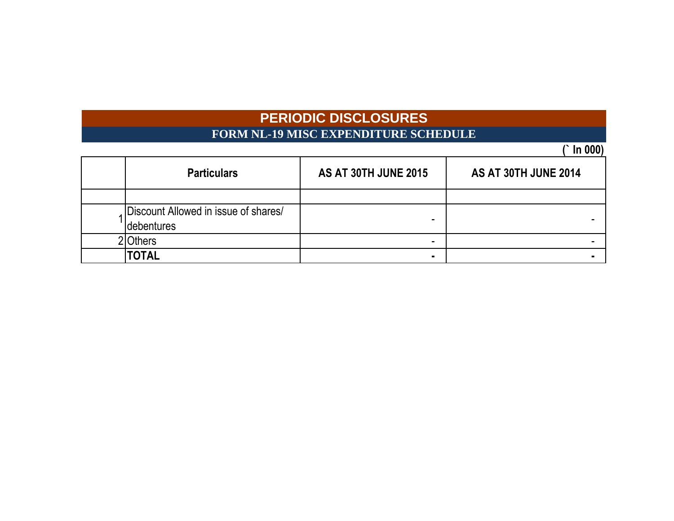# **PERIODIC DISCLOSURES FORM NL-19 MISC EXPENDITURE SCHEDULE**

| <b>Particulars</b>                                  | <b>AS AT 30TH JUNE 2015</b> | <b>AS AT 30TH JUNE 2014</b> |
|-----------------------------------------------------|-----------------------------|-----------------------------|
|                                                     |                             |                             |
| Discount Allowed in issue of shares/<br>Idebentures |                             |                             |
| Others                                              | $\blacksquare$              |                             |
| TOTAL                                               | ٠                           |                             |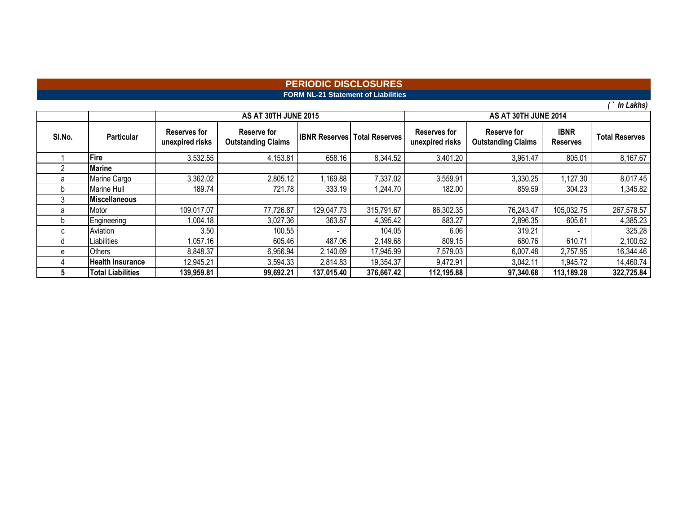### **FORM NL-21 Statement of Liabilities PERIODIC DISCLOSURES**

|        |                          |                                        | <b>AS AT 30TH JUNE 2015</b>              |                      |                       | AS AT 30TH JUNE 2014                   |                                          |                                |                       |  |  |  |  |
|--------|--------------------------|----------------------------------------|------------------------------------------|----------------------|-----------------------|----------------------------------------|------------------------------------------|--------------------------------|-----------------------|--|--|--|--|
| SI.No. | <b>Particular</b>        | <b>Reserves for</b><br>unexpired risks | Reserve for<br><b>Outstanding Claims</b> | <b>IBNR Reserves</b> | <b>Total Reserves</b> | <b>Reserves for</b><br>unexpired risks | Reserve for<br><b>Outstanding Claims</b> | <b>IBNR</b><br><b>Reserves</b> | <b>Total Reserves</b> |  |  |  |  |
|        | Fire                     | 3,532.55                               | 4,153.81                                 | 658.16               | 8,344.52              | 3,401.20                               | 3,961.47                                 | 805.01                         | 8,167.67              |  |  |  |  |
| 2      | Marine                   |                                        |                                          |                      |                       |                                        |                                          |                                |                       |  |  |  |  |
| a      | Marine Cargo             | 3,362.02                               | 2,805.12                                 | .169.88              | 7,337.02              | 3,559.91                               | 3,330.25                                 | .127.30                        | 8,017.45              |  |  |  |  |
| b      | Marine Hull              | 189.74                                 | 721.78                                   | 333.19               | 1,244.70              | 182.00                                 | 859.59                                   | 304.23                         | .345.82               |  |  |  |  |
| 3      | <b>Miscellaneous</b>     |                                        |                                          |                      |                       |                                        |                                          |                                |                       |  |  |  |  |
| a      | Motor                    | 109,017.07                             | 77,726.87                                | 129,047.73           | 315,791.67            | 86,302.35                              | 76,243.47                                | 105,032.75                     | 267,578.57            |  |  |  |  |
| b      | Engineering              | 1,004.18                               | 3,027.36                                 | 363.87               | 4,395.42              | 883.27                                 | 2,896.35                                 | 605.61                         | 4,385.23              |  |  |  |  |
| C      | Aviation                 | 3.50                                   | 100.55                                   |                      | 104.05                | 6.06                                   | 319.21                                   |                                | 325.28                |  |  |  |  |
| d      | Liabilities              | 1,057.16                               | 605.46                                   | 487.06               | 2,149.68              | 809.15                                 | 680.76                                   | 610.71                         | 2,100.62              |  |  |  |  |
| e      | <b>Others</b>            | 8,848.37                               | 6,956.94                                 | 2,140.69             | 17,945.99             | 7,579.03                               | 6,007.48                                 | 2,757.95                       | 16,344.46             |  |  |  |  |
|        | <b>Health Insurance</b>  | 12,945.21                              | 3,594.33                                 | 2,814.83             | 19,354.37             | 9,472.91                               | 3,042.11                                 | 1,945.72                       | 14,460.74             |  |  |  |  |
|        | <b>Total Liabilities</b> | 139,959.81                             | 99,692.21                                | 137,015.40           | 376,667.42            | 112,195.88                             | 97,340.68                                | 113,189.28                     | 322,725.84            |  |  |  |  |

*( ` In Lakhs)*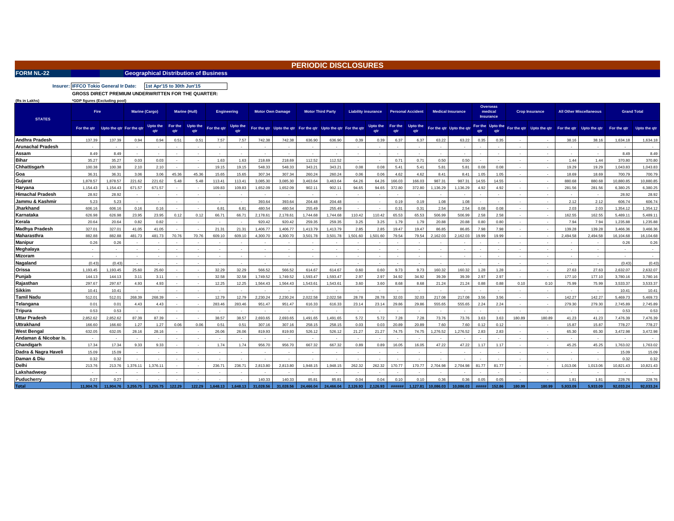| - |  |  |  |
|---|--|--|--|

### **FORM NL-22 Consumersion Consumersity Consumersity Consumersity Consumersity Consumersity Consumersity**

### **PERIODIC DISCLOSURES**

**Insurer: IFFCO Tokio General Ir Date: 1st Apr'15 to 1st Apr'15 to 30th Jun'15**

**GROSS DIRECT PREMIUM UNDERWRITTEN FOR THE QUARTER:** 

| (Rs in Lakhs)            | *GDP figures (Excluding pool) |                          |          |                       |                |                          |             |                        |           |                                                               |           |                          |          |                            |                |                          |          |                          |       |                                                |        |                                                   |          |                                |             |                    |
|--------------------------|-------------------------------|--------------------------|----------|-----------------------|----------------|--------------------------|-------------|------------------------|-----------|---------------------------------------------------------------|-----------|--------------------------|----------|----------------------------|----------------|--------------------------|----------|--------------------------|-------|------------------------------------------------|--------|---------------------------------------------------|----------|--------------------------------|-------------|--------------------|
| <b>STATES</b>            | Fire                          |                          |          | <b>Marine (Cargo)</b> |                | <b>Marine (Hull)</b>     |             | <b>Engineering</b>     |           | <b>Motor Own Damage</b>                                       |           | <b>Motor Third Party</b> |          | <b>Liability insurance</b> |                | <b>Personal Accident</b> |          | <b>Medical Insurance</b> |       | <b>Overseas</b><br>medical<br><b>Insurance</b> |        | <b>Crop Insurance</b>                             |          | <b>All Other Miscellaneous</b> |             | <b>Grand Total</b> |
|                          | For the gtr                   | Upto the gtr For the gtr |          | Upto the<br>qtr       | For the<br>atr | Upto the<br>qtr          | For the gtr | <b>Upto the</b><br>atr |           | For the gtr Upto the gtr For the gtr Upto the gtr For the gtr |           |                          |          | <b>Upto the</b><br>qtr     | For the<br>atr | Upto the<br>qtr          |          | For the gtr Upto the gtr | atr   | For the Upto the<br>atr                        |        | For the gtr Upto the gtr For the gtr Upto the gtr |          |                                | For the qtr | Upto the qtr       |
| Andhra Pradesh           | 137.39                        | 137.39                   | 0.94     | 0.94                  | 0.51           | 0.51                     | 7.57        | 7.57                   | 742.38    | 742.38                                                        | 636.90    | 636.90                   | 0.39     | 0.39                       | 6.37           | 6.37                     | 63.22    | 63.22                    | 0.35  | 0.35                                           |        |                                                   | 38.16    | 38.16                          | 1.634.18    | 1.634.18           |
| <b>Arunachal Pradesh</b> |                               |                          |          |                       |                |                          |             |                        |           |                                                               |           |                          |          |                            |                |                          |          |                          |       |                                                |        |                                                   |          |                                |             |                    |
| Assam                    | 8.49                          | 8.49                     |          |                       |                |                          |             |                        |           |                                                               |           |                          |          |                            |                |                          |          |                          |       |                                                |        |                                                   |          |                                | 8.49        | 8.49               |
| <b>Bihar</b>             | 35.27                         | 35.27                    | 0.03     | 0.03                  |                |                          | 1.63        | 1.63                   | 218.69    | 218.69                                                        | 112.52    | 112.52                   |          |                            | 0.71           | 0.71                     | 0.50     | 0.50                     |       |                                                |        |                                                   | 1.44     | 1.44                           | 370.80      | 370.80             |
| Chhattisgarh             | 100.38                        | 100.38                   | 2.10     | 2.10                  |                | $\sim$                   | 19.15       | 19.15                  | 548.33    | 548.33                                                        | 343.21    | 343.21                   | 0.08     | 0.08                       | 5.41           | 5.41                     | 5.81     | 5.81                     | 0.08  | 0.08                                           |        |                                                   | 19.29    | 19.29                          | 1.043.83    | 1.043.83           |
| Goa                      | 36.31                         | 36.31                    | 3.06     | 3.06                  | 45.36          | 45.36                    | 15.65       | 15.65                  | 307.34    | 307.34                                                        | 260.24    | 260.24                   | 0.06     | 0.06                       | 4.62           | 4.62                     | 8.41     | 8.41                     | 1.05  | 1.05                                           |        |                                                   | 18.69    | 18.69                          | 700.79      | 700.79             |
| Gujarat                  | 1.878.57                      | 1.878.57                 | 221.62   | 221.62                | 5.48           | 5.48                     | 113.41      | 113.41                 | 3.085.30  | 3.085.30                                                      | 3.463.64  | 3.463.64                 | 64.26    | 64.26                      | 166.03         | 166.03                   | 987.3    | 987.31                   | 14.55 | 14.55                                          |        |                                                   | 880.68   | 880.68                         | 10.880.85   | 10.880.85          |
| Haryana                  | 1.154.43                      | 1.154.43                 | 671.57   | 671.57                |                |                          | 109.83      | 109.83                 | 1.652.09  | 1.652.09                                                      | 902.11    | 902.11                   | 94.65    | 94.65                      | 372.80         | 372.80                   | 1.136.29 | 1.136.29                 | 4.92  | 4.92                                           |        |                                                   | 281.56   | 281.56                         | 6.380.25    | 6,380.25           |
| <b>Himachal Pradesh</b>  | 28.92                         | 28.92                    |          |                       |                |                          |             |                        |           |                                                               |           | $\sim$                   |          |                            |                |                          | ÷.       | $\sim$                   |       |                                                |        |                                                   |          | $\sim$                         | 28.92       | 28.92              |
| Jammu & Kashmir          | 5.23                          | 5.23                     |          |                       |                |                          |             |                        | 393.64    | 393.64                                                        | 204.48    | 204.48                   |          |                            | 0.19           | 0.19                     | 1.08     | 1.08                     |       |                                                |        |                                                   | 2.12     | 2.12                           | 606.74      | 606.74             |
| Jharkhand                | 606.16                        | 606.1                    | 0.16     | 0.16                  |                |                          | 6.81        | 6.81                   | 480.54    | 480.54                                                        | 255.49    | 255.49                   |          |                            | 0.31           | 0.31                     | 2.54     | 2.54                     | 0.08  | 0.08                                           |        |                                                   | 2.03     | 2.03                           | 1,354.12    | 1,354.12           |
| Karnataka                | 626.98                        | 626.98                   | 23.95    | 23.95                 | 0.12           | 0.12                     | 66.71       | 66.71                  | 2.178.61  | 2,178.61                                                      | 1.744.68  | 1.744.68                 | 110.42   | 110.42                     | 65.53          | 65.53                    | 506.99   | 506.99                   | 2.58  | 2.58                                           |        |                                                   | 162.55   | 162.55                         | 5.489.1     | 5,489.11           |
| Kerala                   | 20.64                         | 20.64                    | 0.82     | 0.82                  |                |                          |             |                        | 920.42    | 920.42                                                        | 259.35    | 259.35                   | 3.25     | 3.25                       | 1.79           | 1.79                     | 20.88    | 20.88                    | 0.80  | 0.80                                           |        |                                                   | 7.94     | 7.94                           | 1,235.88    | 1,235.88           |
| <b>Madhya Pradesh</b>    | 327.01                        | 327.01                   | 41.05    | 41.05                 |                |                          | 21.31       | 21.31                  | 1.406.77  | 1.406.77                                                      | 1.413.79  | 1.413.79                 | 2.85     | 2.85                       | 19.47          | 19.47                    | 86.85    | 86.85                    | 7.98  | 7.98                                           |        |                                                   | 139.28   | 139.28                         | 3.466.36    | 3.466.36           |
| Maharasthra              | 882.88                        | 882.88                   | 481.73   | 481.73                | 70.76          | 70.76                    | 609.10      | 609.10                 | 4.300.70  | 4.300.70                                                      | 3.501.78  | 3.501.78                 | 1.501.60 | 1.501.60                   | 79.54          | 79.54                    | 2.162.03 | 2.162.03                 | 19.99 | 19.99                                          |        |                                                   | 2.494.58 | 2.494.58                       | 16.104.68   | 16.104.68          |
| <b>Manipur</b>           | 0.26                          | 0.26                     |          |                       |                |                          |             |                        |           |                                                               |           |                          |          |                            |                |                          |          |                          |       |                                                |        |                                                   |          |                                | 0.26        | 0.26               |
| Meghalaya                |                               |                          |          |                       |                |                          |             |                        |           |                                                               |           |                          |          |                            |                |                          |          |                          |       |                                                |        |                                                   |          |                                |             |                    |
| Mizoram                  | $\sim$                        |                          |          |                       |                | $\overline{\phantom{a}}$ |             | $\sim$                 | $\sim$    |                                                               |           | $\sim$                   |          | $\overline{\phantom{a}}$   |                |                          | $\sim$   | $\sim$                   |       |                                                |        |                                                   |          |                                |             | $\sim$             |
| Nagaland                 | (0.43)                        | (0.43)                   |          |                       |                |                          |             | $\sim$                 |           |                                                               |           |                          |          |                            |                |                          |          |                          |       |                                                |        |                                                   |          |                                | (0.43)      | (0.43)             |
| Orissa                   | 1.193.45                      | 1.193.45                 | 25.60    | 25.60                 |                | $\sim$                   | 32.29       | 32.29                  | 566.52    | 566.52                                                        | 614.67    | 614.67                   | 0.60     | 0.60                       | 9.73           | 9.73                     | 160.32   | 160.32                   | 1.28  | 1.28                                           |        |                                                   | 27.63    | 27.63                          | 2.632.07    | 2.632.07           |
| Punjab                   | 144.13                        | 144.13                   | 3.11     | 3.11                  |                |                          | 32.58       | 32.58                  | 1.749.52  | 1.749.52                                                      | 1.593.47  | 1.593.47                 | 2.97     | 2.97                       | 34.92          | 34.92                    | 39.39    | 39.39                    | 2.97  | 2.97                                           |        |                                                   | 177.10   | 177.10                         | 3,780.16    | 3,780.16           |
| Rajasthan                | 297.67                        | 297.67                   | 4.93     | 4.93                  |                |                          | 12.25       | 12.25                  | 1.564.43  | 1.564.43                                                      | 1,543.61  | 1.543.6                  | 3.60     | 3.60                       | 8.68           | 8.68                     | 21.24    | 21.24                    | 0.88  | 0.88                                           | 0.10   | 0.10                                              | 75.99    | 75.99                          | 3.533.37    | 3,533.37           |
| Sikkim                   | 10.41                         | 10.41                    |          |                       |                |                          |             |                        |           |                                                               |           |                          |          |                            |                |                          |          |                          |       |                                                |        |                                                   |          |                                | 10.41       | 10.41              |
| Tamil Nadu               | 512.01                        | 512.01                   | 268.39   | 268.39                |                |                          | 12.79       | 12.79                  | 2.230.24  | 2.230.24                                                      | 2.022.58  | 2.022.58                 | 28.78    | 28.78                      | 32.03          | 32.03                    | 217.08   | 217.08                   | 3.56  | 3.56                                           |        |                                                   | 142.27   | 142.27                         | 5.469.73    | 5.469.73           |
| Telangana                | 0.01                          | 0.01                     | 4.43     | 4.43                  |                |                          | 283.46      | 283.46                 | 951.47    | 951.47                                                        | 616.33    | 616.33                   | 23.14    | 23.14                      | 29.86          | 29.86                    | 555.65   | 555.65                   | 2.24  | 2.24                                           |        |                                                   | 279.30   | 279.30                         | 2,745.89    | 2,745.89           |
| <b>Tripura</b>           | 0.53                          | 0.53                     |          |                       |                |                          |             |                        |           |                                                               |           |                          |          |                            |                |                          |          |                          |       |                                                |        |                                                   |          |                                | 0.53        | 0.53               |
| <b>Uttar Pradesh</b>     | 2.852.62                      | 2.852.62                 | 87.39    | 87.39                 |                |                          | 38.57       | 38.57                  | 2.693.65  | 2.693.65                                                      | 1.491.65  | 1.491.65                 | 5.72     | 5.72                       | 7.28           | 7.28                     | 73.76    | 73.76                    | 3.63  | 3.63                                           | 180.89 | 180.89                                            | 41.23    | 41.23                          | 7.476.39    | 7,476.39           |
| Uttrakhand               | 166,60                        | 166,60                   | 1.27     | 1.27                  | 0.06           | 0.06                     | 0.51        | 0.51                   | 307.16    | 307.1                                                         | 258.15    | 258.15                   | 0.03     | 0.03                       | 20.89          | 20.89                    | 7.60     | 7.60                     | 0.12  | 0.12                                           |        |                                                   | 15.87    | 15.87                          | 778.27      | 778.27             |
| <b>West Bengal</b>       | 632.05                        | 632.05                   | 28.16    | 28.16                 |                | $\overline{\phantom{a}}$ | 26.06       | 26.06                  | 819.93    | 819.93                                                        | 526.12    | 526.12                   | 21.27    | 21.27                      | 74.75          | 74.75                    | 1.276.52 | 1.276.52                 | 2.83  | 2.83                                           |        |                                                   | 65.30    | 65.30                          | 3.472.98    | 3,472.98           |
| Andaman & Nicobar Is.    |                               |                          |          |                       |                |                          |             |                        |           |                                                               |           |                          |          |                            |                |                          |          |                          |       |                                                |        |                                                   |          |                                |             |                    |
| Chandigarh               | 17.34                         | 17.34                    | 9.33     | 9.33                  |                |                          | 1.74        | 1.74                   | 956.70    | 956.70                                                        | 667.32    | 667.32                   | 0.89     | 0.89                       | 16.05          | 16.05                    | 47.22    | 47.22                    | 1.17  | 1.17                                           |        |                                                   | 45.25    | 45.25                          | 1.763.02    | 1.763.02           |
| Dadra & Nagra Haveli     | 15.09                         | 15.09                    |          |                       |                |                          |             |                        |           |                                                               |           |                          |          |                            |                |                          |          |                          |       |                                                |        |                                                   |          |                                | 15.09       | 15.09              |
| Daman & Diu              | 0.32                          | 0.32                     |          |                       |                |                          |             |                        |           |                                                               |           |                          |          |                            |                |                          |          |                          |       |                                                |        |                                                   |          |                                | 0.32        | 0.32               |
| Delhi                    | 213.76                        | 213.76                   | 1.376.11 | 1.376.11              |                |                          | 236.7'      | 236.71                 | 2.813.80  | 2,813.80                                                      | 1.948.15  | 1.948.15                 | 262.32   | 262.32                     | 170.77         | 170.77                   | 2.704.98 | 2.704.98                 | 81.77 | 81.77                                          |        |                                                   | 1,013.06 | 1.013.06                       | 10,821.43   | 10.821.43          |
| Lakshadweep              |                               |                          |          |                       |                |                          |             |                        |           |                                                               |           |                          |          |                            |                |                          |          |                          |       |                                                |        |                                                   |          |                                |             | $\sim$             |
| Puducherry               | 0.27                          | 0.27                     |          |                       |                |                          |             |                        | 140.33    | 140.33                                                        | 85.81     | 85.8'                    | 0.04     | 0.04                       | 0.10           | 0.10                     | 0.36     | 0.36                     | 0.05  | 0.05                                           |        |                                                   | 1.81     | 1.81                           | 228.76      | 228.76             |
| <b>Total</b>             | 11.904.76                     | 11.904.76                | 3.255.75 | 3.255.75              | 122.29         | 122.29                   | 1.648.13    | 1.648.13               | 31.028.56 | 31.028.56                                                     | 24 466 04 | 24 466 04                | 2.126.93 | 2.126.93                   | ######         | 1.127.81                 | 0.086.03 | 10.086.03                |       | 152.86                                         | 180.99 | 180.99                                            | 5.933.09 | 5.933.09                       | 92.033.24   | 92.033.24          |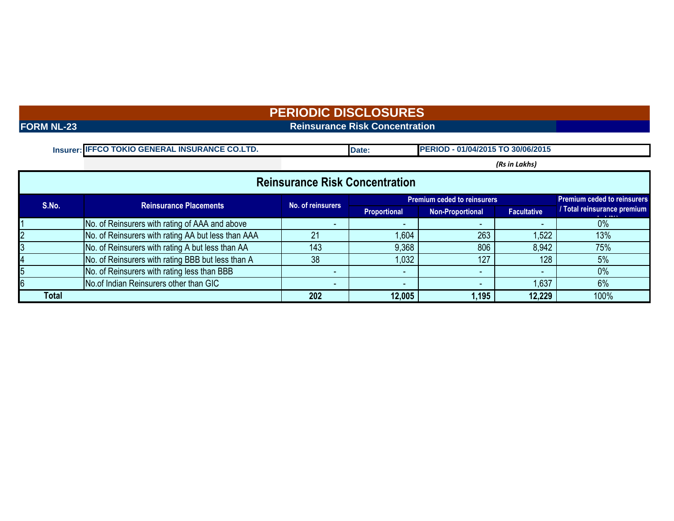**FORM NL-23** Reinsurance Risk Concentration

| Insurer: IFFCO TOKIO GENERAL INSURANCE CO.LTD. | <b>Date</b> | <b>PERIOD - 01/04/2015 TO 30/06/2015</b> |
|------------------------------------------------|-------------|------------------------------------------|

*(Rs in Lakhs)*

| <b>Reinsurance Risk Concentration</b> |                                                    |                   |                          |                                    |                    |                                                |  |  |  |  |  |  |
|---------------------------------------|----------------------------------------------------|-------------------|--------------------------|------------------------------------|--------------------|------------------------------------------------|--|--|--|--|--|--|
| S.No.                                 | <b>Reinsurance Placements</b>                      | No. of reinsurers |                          | <b>Premium ceded to reinsurers</b> |                    | <b>Premium ceded to reinsurers</b>             |  |  |  |  |  |  |
|                                       |                                                    |                   | Proportional             | <b>Non-Proportional</b>            | <b>Facultative</b> | Total reinsurance premium<br><b>CONTRACTOR</b> |  |  |  |  |  |  |
|                                       | No. of Reinsurers with rating of AAA and above     |                   | $\overline{\phantom{0}}$ |                                    |                    | 0%                                             |  |  |  |  |  |  |
|                                       | No. of Reinsurers with rating AA but less than AAA |                   | .604                     | 263                                | 1,522              | 13%                                            |  |  |  |  |  |  |
|                                       | No. of Reinsurers with rating A but less than AA   | 143               | 9,368                    | 806                                | 8,942              | 75%                                            |  |  |  |  |  |  |
|                                       | No. of Reinsurers with rating BBB but less than A  | 38                | .032                     | 127                                | 128                | 5%                                             |  |  |  |  |  |  |
|                                       | No. of Reinsurers with rating less than BBB        |                   | $\overline{\phantom{a}}$ |                                    |                    | 0%                                             |  |  |  |  |  |  |
|                                       | No.of Indian Reinsurers other than GIC             |                   | -                        |                                    | 1,637              | 6%                                             |  |  |  |  |  |  |
| Total                                 |                                                    | 202               | 12,005                   | 1,195                              | 12,229             | 100%                                           |  |  |  |  |  |  |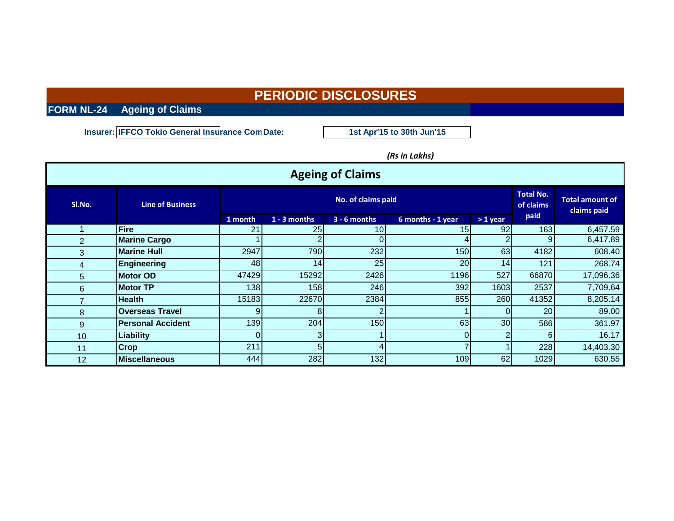**FORM NL-24 Ageing of Claims**

**Insurer: IFFCO Tokio General Insurance Com Date:** 

**1st Apr'15 to 30th Jun'15**

*(Rs in Lakhs)*

| <b>Ageing of Claims</b> |                          |            |                 |                               |                                       |                 |       |           |  |  |  |  |  |
|-------------------------|--------------------------|------------|-----------------|-------------------------------|---------------------------------------|-----------------|-------|-----------|--|--|--|--|--|
| SI.No.                  | <b>Line of Business</b>  |            |                 | <b>Total No.</b><br>of claims | <b>Total amount of</b><br>claims paid |                 |       |           |  |  |  |  |  |
|                         |                          | 1 month    | $1 - 3$ months  | $3 - 6$ months                | 6 months - 1 year                     | $>1$ year       | paid  |           |  |  |  |  |  |
|                         | Fire                     | 21         | <b>25</b>       | 10 <sub>1</sub>               | 15                                    | 92              | 163   | 6,457.59  |  |  |  |  |  |
| 2                       | <b>Marine Cargo</b>      |            |                 |                               | 4                                     |                 |       | 6,417.89  |  |  |  |  |  |
| 3                       | <b>Marine Hull</b>       | 2947       | 790             | 232                           | <b>150</b>                            | 63              | 4182  | 608.40    |  |  |  |  |  |
| 4                       | Engineering              | 48         | 14 <sub>1</sub> | 25                            | <b>20</b>                             | 14              | 121   | 268.74    |  |  |  |  |  |
| 5                       | <b>Motor OD</b>          | 47429      | 15292           | 2426                          | 1196                                  | 527             | 66870 | 17,096.36 |  |  |  |  |  |
| 6                       | <b>Motor TP</b>          | <b>138</b> | 158             | 246                           | 392                                   | 1603            | 2537  | 7,709.64  |  |  |  |  |  |
| 7                       | <b>Health</b>            | 15183      | 22670           | 2384                          | 855                                   | 260             | 41352 | 8,205.14  |  |  |  |  |  |
| 8                       | <b>Overseas Travel</b>   | 9          | 8               |                               |                                       | $\Omega$        | 20    | 89.00     |  |  |  |  |  |
| 9                       | <b>Personal Accident</b> | <b>139</b> | 204             | 150                           | 63                                    | 30 <sub>l</sub> | 586   | 361.97    |  |  |  |  |  |
| 10                      | Liability                | ΩI         | 3               |                               | $\Omega$                              |                 | 61    | 16.17     |  |  |  |  |  |
| 11                      | <b>Crop</b>              | 211        | 51              |                               |                                       |                 | 228   | 14,403.30 |  |  |  |  |  |
| 12                      | <b>Miscellaneous</b>     | 444        | 282             | 132                           | 109                                   | 62              | 1029  | 630.55    |  |  |  |  |  |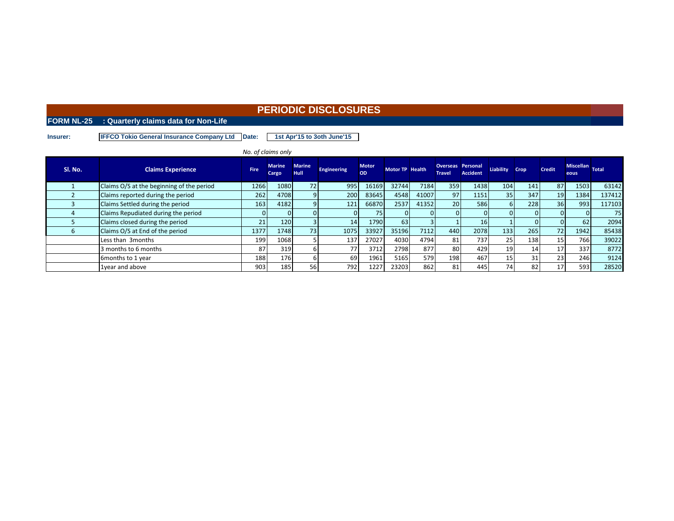### **FORM NL-25 : Quarterly claims data for Non-Life**

**Insurer: IFFCO Tokio General Insurance Company Ltd Date: 1st Apr'15 to 3oth June'15**

|                   |                                           |             | No. of claims only     |                              |                    |                    |                 |       |                                           |                 |                  |      |               |                         |        |
|-------------------|-------------------------------------------|-------------|------------------------|------------------------------|--------------------|--------------------|-----------------|-------|-------------------------------------------|-----------------|------------------|------|---------------|-------------------------|--------|
| Sl. No.           | <b>Claims Experience</b>                  | <b>Fire</b> | <b>Marine</b><br>Cargo | <b>Marine</b><br><b>Hull</b> | <b>Engineering</b> | <b>Motor</b><br>OD | Motor TP Health |       | <b>Overseas Personal</b><br><b>Travel</b> | <b>Accident</b> | <b>Liability</b> | Crop | <b>Credit</b> | Miscellan Total<br>eous |        |
|                   | Claims O/S at the beginning of the period | 1266        | 1080                   | 72                           | 995                | 16169              | 32744           | 7184  | 359                                       | 1438            | 1041             | 141  | 87            | 1503                    | 63142  |
|                   | Claims reported during the period         | 262         | 4708                   |                              | 200                | 83645              | 4548            | 41007 | 97                                        | 1151            | 35 <sub>1</sub>  | 347  | 19            | 1384                    | 137412 |
|                   | Claims Settled during the period          | 163         | 4182                   |                              | 121                | 66870              | 2537            | 41352 | 20 <sub>l</sub>                           | 586             |                  | 228  | 36            | 993                     | 117103 |
|                   | Claims Repudiated during the period       | 0           |                        |                              |                    | 75                 |                 |       |                                           | OΙ              |                  |      |               |                         | 75     |
|                   | Claims closed during the period           | 21          | 120                    |                              | 14                 | 1790               | 63              |       |                                           | 16 <sup>1</sup> |                  |      |               | 62                      | 2094   |
| b                 | Claims O/S at End of the period           | 1377        | 1748                   | 73                           | 1075               | 33927              | 35196           | 7112  | 440                                       | 2078            | 133              | 265  | 72            | 1942                    | 85438  |
|                   | Less than 3months                         | 199         | 1068                   |                              | 137                | 27027              | 4030            | 4794  | 81                                        | 737             | 25 <sub>1</sub>  | 138  | 15            | 766                     | 39022  |
|                   | 3 months to 6 months                      | 87          | 319                    |                              | $7-$               | 3712               | 2798            | 877   | 80                                        | 429             | 19               | 14   | 17            | 337                     | 8772   |
| 6months to 1 year |                                           | 188         | 176                    |                              | 69                 | 1961               | 5165            | 579   | 198                                       | 467             | 15               |      | 23            | 246                     | 9124   |
|                   | 1year and above                           | 903         | 185                    | 56                           | 792                | 1227               | 23203           | 862   | 81                                        | 445             | 74               | 82   | 17            | 593                     | 28520  |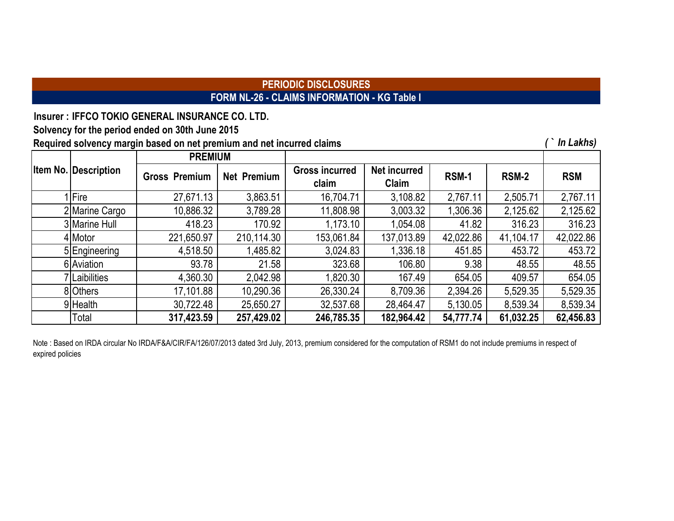# **PERIODIC DISCLOSURES FORM NL-26 - CLAIMS INFORMATION - KG Table I**

**Insurer : IFFCO TOKIO GENERAL INSURANCE CO. LTD.**

**Solvency for the period ended on 30th June 2015**

**Required solvency margin based on net premium and net incurred claims** *( ` In Lakhs)*

|                             | <b>PREMIUM</b>       |                    |                                |                              |              |              |            |
|-----------------------------|----------------------|--------------------|--------------------------------|------------------------------|--------------|--------------|------------|
| <b>Item No. Description</b> | <b>Gross Premium</b> | <b>Net Premium</b> | <b>Gross incurred</b><br>claim | <b>Net incurred</b><br>Claim | <b>RSM-1</b> | <b>RSM-2</b> | <b>RSM</b> |
| <b>Fire</b>                 | 27,671.13            | 3,863.51           | 16,704.71                      | 3,108.82                     | 2,767.11     | 2,505.71     | 2,767.11   |
| 2 Marine Cargo              | 10,886.32            | 3,789.28           | 11,808.98                      | 3,003.32                     | 1,306.36     | 2,125.62     | 2,125.62   |
| 3 Marine Hull               | 418.23               | 170.92             | 1,173.10                       | 1,054.08                     | 41.82        | 316.23       | 316.23     |
| 4 Motor                     | 221,650.97           | 210,114.30         | 153,061.84                     | 137,013.89                   | 42,022.86    | 41,104.17    | 42,022.86  |
| 5 Engineering               | 4,518.50             | 1,485.82           | 3,024.83                       | 1,336.18                     | 451.85       | 453.72       | 453.72     |
| 6 Aviation                  | 93.78                | 21.58              | 323.68                         | 106.80                       | 9.38         | 48.55        | 48.55      |
| 7 Laibilities               | 4,360.30             | 2,042.98           | 1,820.30                       | 167.49                       | 654.05       | 409.57       | 654.05     |
| 8 Others                    | 17,101.88            | 10,290.36          | 26,330.24                      | 8,709.36                     | 2,394.26     | 5,529.35     | 5,529.35   |
| 9Health                     | 30,722.48            | 25,650.27          | 32,537.68                      | 28,464.47                    | 5,130.05     | 8,539.34     | 8,539.34   |
| Total                       | 317,423.59           | 257,429.02         | 246,785.35                     | 182,964.42                   | 54,777.74    | 61,032.25    | 62,456.83  |

Note : Based on IRDA circular No IRDA/F&A/CIR/FA/126/07/2013 dated 3rd July, 2013, premium considered for the computation of RSM1 do not include premiums in respect of expired policies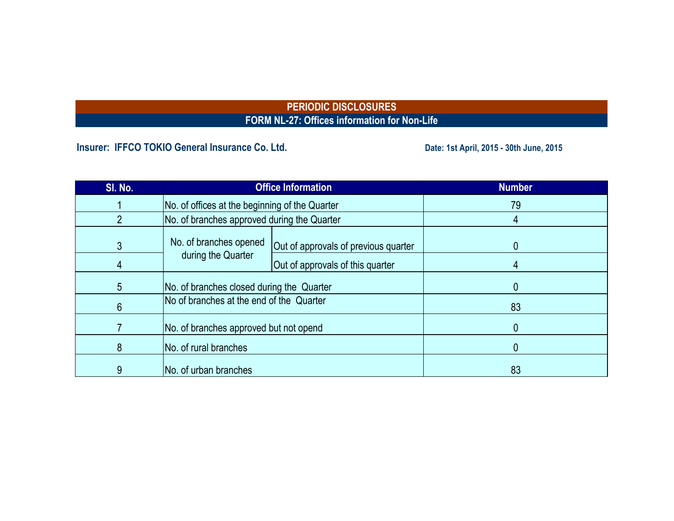# **PERIODIC DISCLOSURES FORM NL-27: Offices information for Non-Life**

**Insurer: IFFCO TOKIO General Insurance Co. Ltd. Date: 1st April, 2015 - 30th June, 2015** 

| SI. No. |                                                | <b>Office Information</b>            | <b>Number</b> |
|---------|------------------------------------------------|--------------------------------------|---------------|
|         | No. of offices at the beginning of the Quarter |                                      | 79            |
|         | No. of branches approved during the Quarter    |                                      |               |
| 3       | No. of branches opened                         | Out of approvals of previous quarter |               |
|         | during the Quarter                             | Out of approvals of this quarter     |               |
| 5       | No. of branches closed during the Quarter      |                                      |               |
| 6       | No of branches at the end of the Quarter       |                                      | 83            |
|         | No. of branches approved but not opend         |                                      |               |
| 8       | No. of rural branches                          |                                      |               |
| 9       | No. of urban branches                          |                                      | 83            |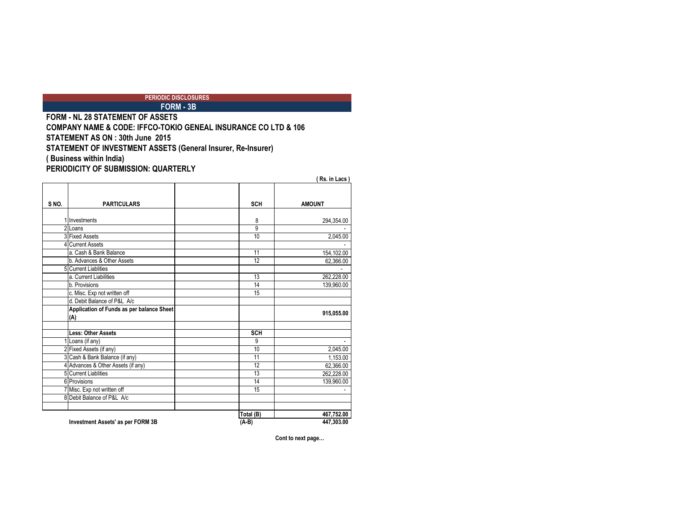### **FORM - 3B PERIODIC DISCLOSURES**

**FORM - NL 28 STATEMENT OF ASSETS COMPANY NAME & CODE: IFFCO-TOKIO GENEAL INSURANCE CO LTD & 106 STATEMENT AS ON : 30th June 2015 STATEMENT OF INVESTMENT ASSETS (General Insurer, Re-Insurer) ( Business within India) PERIODICITY OF SUBMISSION: QUARTERLY**

|       |                                                  |                | (Rs. in Lacs) |
|-------|--------------------------------------------------|----------------|---------------|
| S NO. | <b>PARTICULARS</b>                               | <b>SCH</b>     | <b>AMOUNT</b> |
|       |                                                  |                |               |
|       | 1 Investments                                    | 8              | 294,354.00    |
|       | 2 Loans                                          | $\overline{9}$ |               |
|       | 3 Fixed Assets                                   | 10             | 2,045.00      |
|       | <b>Current Assets</b>                            |                |               |
|       | a. Cash & Bank Balance                           | 11             | 154,102.00    |
|       | b. Advances & Other Assets                       | 12             | 62,366.00     |
|       | <b>5</b> Current Liablities                      |                |               |
|       | a. Current Liabilities                           | 13             | 262,228.00    |
|       | b. Provisions                                    | 14             | 139,960.00    |
|       | c. Misc. Exp not written off                     | 15             |               |
|       | d. Debit Balance of P&L A/c                      |                |               |
|       | Application of Funds as per balance Sheet<br>(A) |                | 915,055.00    |
|       |                                                  |                |               |
|       | <b>Less: Other Assets</b>                        | <b>SCH</b>     |               |
|       | Loans (if any)                                   | 9              |               |
|       | 2 Fixed Assets (if any)                          | 10             | 2,045.00      |
|       | 3 Cash & Bank Balance (if any)                   | 11             | 1,153.00      |
|       | 4 Advances & Other Assets (if any)               | 12             | 62,366.00     |
|       | <b>5</b> Current Liablities                      | 13             | 262.228.00    |
|       | 6 Provisions                                     | 14             | 139,960.00    |
|       | Misc. Exp not written off                        | 15             |               |
|       | 8 Debit Balance of P&L A/c                       |                |               |
|       |                                                  | Total (B)      | 467,752.00    |
|       | <b>Investment Assets' as per FORM 3B</b>         | (A-B)          | 447,303.00    |

**Cont to next page…**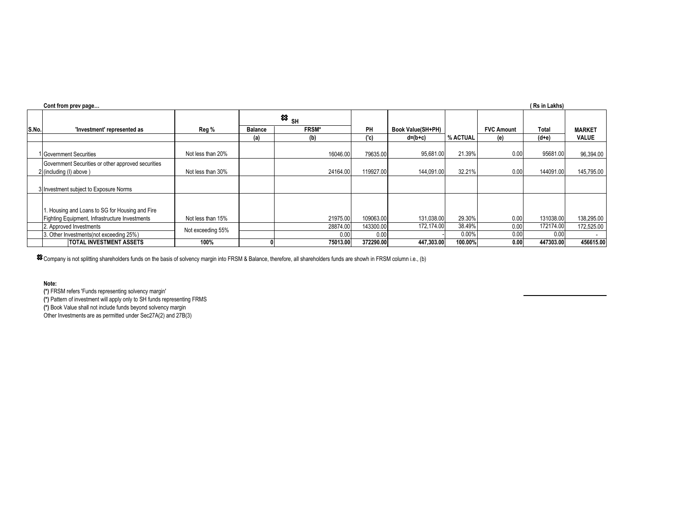|       | (Rs in Lakhs)<br>Cont from prev page                                          |                   |                                                  |              |           |                   |          |                   |           |               |  |  |  |
|-------|-------------------------------------------------------------------------------|-------------------|--------------------------------------------------|--------------|-----------|-------------------|----------|-------------------|-----------|---------------|--|--|--|
|       |                                                                               |                   | $\boldsymbol{\mathop{\approx}}$ $_{\mathsf{SH}}$ |              |           |                   |          |                   |           |               |  |  |  |
| S.No. | 'Investment' represented as                                                   | Reg %             | <b>Balance</b>                                   | <b>FRSM*</b> | PH        | Book Value(SH+PH) |          | <b>FVC Amount</b> | Total     | <b>MARKET</b> |  |  |  |
|       |                                                                               |                   | (a)                                              | (b)          | ('c)      | $d=(b+c)$         | % ACTUAL | (e)               | $(d+e)$   | <b>VALUE</b>  |  |  |  |
|       | 1 Government Securities                                                       | Not less than 20% |                                                  | 16046.00     | 79635.00  | 95,681.00         | 21.39%   | 0.00              | 95681.00  | 96,394.00     |  |  |  |
|       | Government Securities or other approved securities<br>2 (including (I) above) | Not less than 30% |                                                  | 24164.00     | 119927.00 | 144,091.00        | 32.21%   | 0.00              | 144091.00 | 145,795.00    |  |  |  |
|       | 3 Investment subject to Exposure Norms                                        |                   |                                                  |              |           |                   |          |                   |           |               |  |  |  |
|       |                                                                               |                   |                                                  |              |           |                   |          |                   |           |               |  |  |  |
|       | 1. Housing and Loans to SG for Housing and Fire                               |                   |                                                  |              |           |                   |          |                   |           |               |  |  |  |
|       | Fighting Equipment, Infrastructure Investments                                | Not less than 15% |                                                  | 21975.00     | 109063.00 | 131,038.00        | 29.30%   | 0.00              | 131038.00 | 138,295.00    |  |  |  |
|       | 2. Approved Investments                                                       | Not exceeding 55% |                                                  | 28874.00     | 143300.00 | 172.174.00        | 38.49%   | 0.00              | 172174.00 | 172,525.00    |  |  |  |
|       | 3. Other Investments(not exceeding 25%)                                       |                   |                                                  | 0.00         | 0.00      |                   | 0.00%    | 0.00              | 0.00      | $\sim$        |  |  |  |
|       | <b>TOTAL INVESTMENT ASSETS</b>                                                | 100%              |                                                  | 75013.00     | 372290.00 | 447,303.00        | 100.00%  | 0.00              | 447303.00 | 456615.00     |  |  |  |

 $\rm \hat{s}$  Company is not splitting shareholders funds on the basis of solvency margin into FRSM & Balance, therefore, all shareholders funds are showh in FRSM column i.e., (b)

**Note:**

**(\*)** FRSM refers 'Funds representing solvency margin'

**(\*)** Pattern of investment will apply only to SH funds representing FRMS

**(\*)** Book Value shall not include funds beyond solvency margin

Other Investments are as permitted under Sec27A(2) and 27B(3)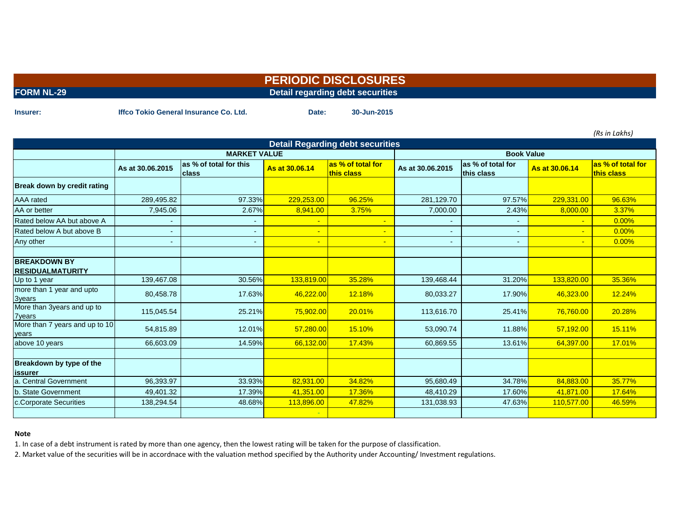**FORM NL-29** Detail regarding debt securities

**Insurer: Date: 30-Jun-2015 Iffco Tokio General Insurance Co. Ltd.**

*(Rs in Lakhs)*

| <b>Detail Regarding debt securities</b>        |                  |                                         |                |                                 |                  |                                 |                |                                 |  |  |  |  |  |
|------------------------------------------------|------------------|-----------------------------------------|----------------|---------------------------------|------------------|---------------------------------|----------------|---------------------------------|--|--|--|--|--|
|                                                |                  | <b>MARKET VALUE</b>                     |                |                                 |                  | <b>Book Value</b>               |                |                                 |  |  |  |  |  |
|                                                | As at 30.06.2015 | las % of total for this<br><b>class</b> | As at 30,06,14 | as % of total for<br>this class | As at 30.06.2015 | as % of total for<br>this class | As at 30,06,14 | as % of total for<br>this class |  |  |  |  |  |
| Break down by credit rating                    |                  |                                         |                |                                 |                  |                                 |                |                                 |  |  |  |  |  |
| <b>AAA</b> rated                               | 289,495.82       | 97.33%                                  | 229,253.00     | 96.25%                          | 281,129.70       | 97.57%                          | 229,331.00     | 96.63%                          |  |  |  |  |  |
| AA or better                                   | 7,945.06         | 2.67%                                   | 8,941.00       | 3.75%                           | 7,000.00         | 2.43%                           | 8,000.00       | 3.37%                           |  |  |  |  |  |
| Rated below AA but above A                     |                  |                                         |                |                                 |                  |                                 | ÷              | 0.00%                           |  |  |  |  |  |
| Rated below A but above B                      | $\blacksquare$   |                                         |                |                                 |                  |                                 | $\blacksquare$ | 0.00%                           |  |  |  |  |  |
| Any other                                      | $\sim$           |                                         | $\blacksquare$ |                                 | $\blacksquare$   | $\overline{\phantom{0}}$        | $\blacksquare$ | 0.00%                           |  |  |  |  |  |
|                                                |                  |                                         |                |                                 |                  |                                 |                |                                 |  |  |  |  |  |
| <b>BREAKDOWN BY</b><br><b>RESIDUALMATURITY</b> |                  |                                         |                |                                 |                  |                                 |                |                                 |  |  |  |  |  |
| Up to 1 year                                   | 139,467.08       | 30.56%                                  | 133,819.00     | 35.28%                          | 139,468.44       | 31.20%                          | 133,820.00     | 35.36%                          |  |  |  |  |  |
| more than 1 year and upto<br><b>3years</b>     | 80,458.78        | 17.63%                                  | 46,222.00      | 12.18%                          | 80,033.27        | 17.90%                          | 46,323.00      | 12.24%                          |  |  |  |  |  |
| More than 3years and up to<br><b>7years</b>    | 115,045.54       | 25.21%                                  | 75,902.00      | 20.01%                          | 113,616.70       | 25.41%                          | 76,760.00      | 20.28%                          |  |  |  |  |  |
| More than 7 years and up to 10<br>years        | 54,815.89        | 12.01%                                  | 57,280.00      | 15.10%                          | 53,090.74        | 11.88%                          | 57,192.00      | 15.11%                          |  |  |  |  |  |
| above 10 years                                 | 66,603.09        | 14.59%                                  | 66,132.00      | 17.43%                          | 60,869.55        | 13.61%                          | 64,397.00      | 17.01%                          |  |  |  |  |  |
|                                                |                  |                                         |                |                                 |                  |                                 |                |                                 |  |  |  |  |  |
| Breakdown by type of the<br>issurer            |                  |                                         |                |                                 |                  |                                 |                |                                 |  |  |  |  |  |
| a. Central Government                          | 96,393.97        | 33.93%                                  | 82,931.00      | 34.82%                          | 95,680.49        | 34.78%                          | 84,883.00      | 35.77%                          |  |  |  |  |  |
| b. State Government                            | 49,401.32        | 17.39%                                  | 41,351.00      | 17.36%                          | 48,410.29        | 17.60%                          | 41,871.00      | 17.64%                          |  |  |  |  |  |
| c.Corporate Securities                         | 138,294.54       | 48.68%                                  | 113,896.00     | 47.82%                          | 131,038.93       | 47.63%                          | 110,577.00     | 46.59%                          |  |  |  |  |  |
|                                                |                  |                                         |                |                                 |                  |                                 |                |                                 |  |  |  |  |  |

### **Note**

1. In case of a debt instrument is rated by more than one agency, then the lowest rating will be taken for the purpose of classification.

2. Market value of the securities will be in accordnace with the valuation method specified by the Authority under Accounting/ Investment regulations.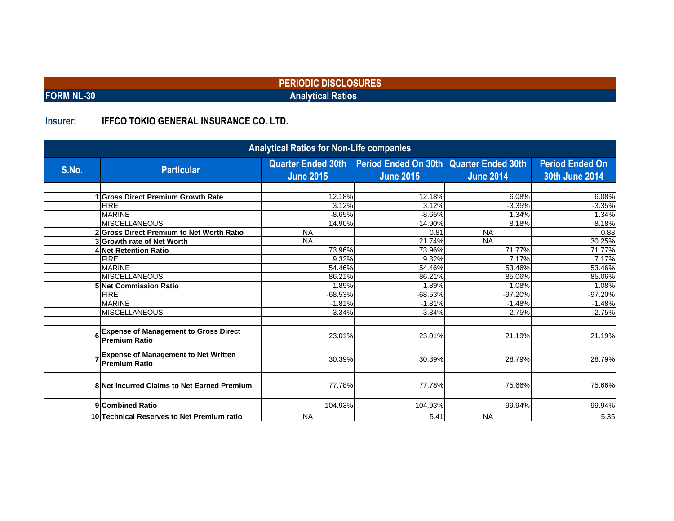**FORM NL-30 Analytical Ratios**

# **Insurer: IFFCO TOKIO GENERAL INSURANCE CO. LTD.**

| <b>Analytical Ratios for Non-Life companies</b> |                                                                      |                                               |                                                             |                  |                                                 |  |  |  |  |  |  |  |
|-------------------------------------------------|----------------------------------------------------------------------|-----------------------------------------------|-------------------------------------------------------------|------------------|-------------------------------------------------|--|--|--|--|--|--|--|
| S.No.                                           | <b>Particular</b>                                                    | <b>Quarter Ended 30th</b><br><b>June 2015</b> | Period Ended On 30th Quarter Ended 30th<br><b>June 2015</b> | <b>June 2014</b> | <b>Period Ended On</b><br><b>30th June 2014</b> |  |  |  |  |  |  |  |
|                                                 |                                                                      |                                               |                                                             |                  |                                                 |  |  |  |  |  |  |  |
|                                                 | <b>Gross Direct Premium Growth Rate</b>                              | 12.18%                                        | 12.18%                                                      | 6.08%            | 6.08%                                           |  |  |  |  |  |  |  |
|                                                 | <b>FIRE</b>                                                          | 3.12%                                         | 3.12%                                                       | $-3.35%$         | $-3.35%$                                        |  |  |  |  |  |  |  |
|                                                 | <b>MARINE</b>                                                        | $-8.65%$                                      | $-8.65%$                                                    | 1.34%            | 1.34%                                           |  |  |  |  |  |  |  |
|                                                 | <b>MISCELLANEOUS</b>                                                 | 14.90%                                        | 14.90%                                                      | 8.18%            | 8.18%                                           |  |  |  |  |  |  |  |
|                                                 | 2 Gross Direct Premium to Net Worth Ratio                            | <b>NA</b>                                     | 0.81                                                        | <b>NA</b>        | 0.88                                            |  |  |  |  |  |  |  |
|                                                 | 3 Growth rate of Net Worth                                           | <b>NA</b>                                     | 21.74%                                                      | <b>NA</b>        | 30.25%                                          |  |  |  |  |  |  |  |
|                                                 | 4 Net Retention Ratio                                                | 73.96%                                        | 73.96%                                                      | 71.77%           | 71.77%                                          |  |  |  |  |  |  |  |
|                                                 | <b>FIRE</b>                                                          | 9.32%                                         | 9.32%                                                       | 7.17%            | 7.17%                                           |  |  |  |  |  |  |  |
|                                                 | <b>MARINE</b>                                                        | 54.46%                                        | 54.46%                                                      | 53.46%           | 53.46%                                          |  |  |  |  |  |  |  |
|                                                 | <b>MISCELLANEOUS</b>                                                 | 86.21%                                        | 86.21%                                                      | 85.06%           | 85.06%                                          |  |  |  |  |  |  |  |
|                                                 | <b>5 Net Commission Ratio</b>                                        | 1.89%                                         | 1.89%                                                       | 1.08%            | 1.08%                                           |  |  |  |  |  |  |  |
|                                                 | <b>FIRE</b>                                                          | $-68.53%$                                     | $-68.53%$                                                   | $-97.20%$        | -97.20%                                         |  |  |  |  |  |  |  |
|                                                 | <b>MARINE</b>                                                        | $-1.81%$                                      | $-1.81%$                                                    | $-1.48%$         | $-1.48%$                                        |  |  |  |  |  |  |  |
|                                                 | <b>MISCELLANEOUS</b>                                                 | 3.34%                                         | 3.34%                                                       | 2.75%            | 2.75%                                           |  |  |  |  |  |  |  |
| 6                                               | <b>Expense of Management to Gross Direct</b><br><b>Premium Ratio</b> | 23.01%                                        | 23.01%                                                      | 21.19%           | 21.19%                                          |  |  |  |  |  |  |  |
|                                                 | <b>Expense of Management to Net Written</b><br><b>Premium Ratio</b>  | 30.39%                                        | 30.39%                                                      | 28.79%           | 28.79%                                          |  |  |  |  |  |  |  |
|                                                 | 8 Net Incurred Claims to Net Earned Premium                          | 77.78%                                        | 77.78%                                                      | 75.66%           | 75.66%                                          |  |  |  |  |  |  |  |
|                                                 | 9 Combined Ratio                                                     | 104.93%                                       | 104.93%                                                     | 99.94%           | 99.94%                                          |  |  |  |  |  |  |  |
|                                                 | 10 Technical Reserves to Net Premium ratio                           | <b>NA</b>                                     | 5.41                                                        | <b>NA</b>        | 5.35                                            |  |  |  |  |  |  |  |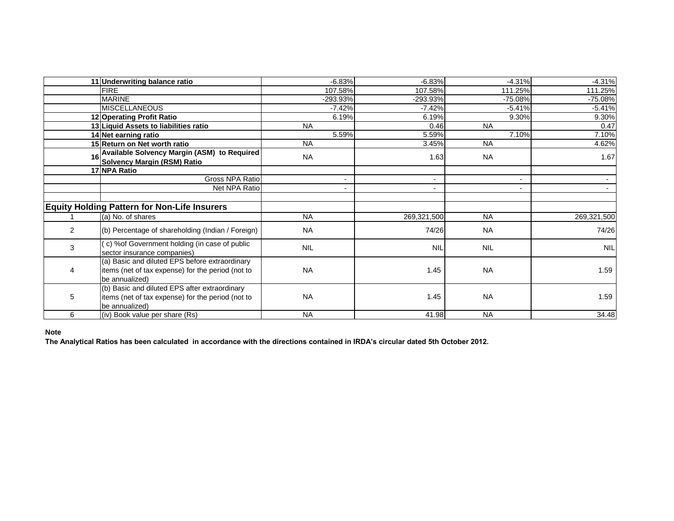|   | 11 Underwriting balance ratio                                                                                         | $-6.83%$   | $-6.83%$                 | $-4.31%$                 | $-4.31%$    |
|---|-----------------------------------------------------------------------------------------------------------------------|------------|--------------------------|--------------------------|-------------|
|   | <b>FIRE</b>                                                                                                           | 107.58%    | 107.58%                  | 111.25%                  | 111.25%     |
|   | <b>MARINE</b>                                                                                                         | -293.93%   | -293.93%                 | $-75.08%$                | $-75.08%$   |
|   | <b>MISCELLANEOUS</b>                                                                                                  | $-7.42%$   | $-7.42%$                 | $-5.41%$                 | $-5.41%$    |
|   | 12 Operating Profit Ratio                                                                                             | 6.19%      | 6.19%                    | 9.30%                    | 9.30%       |
|   | 13 Liquid Assets to liabilities ratio                                                                                 | <b>NA</b>  | 0.46                     | <b>NA</b>                | 0.47        |
|   | 14 Net earning ratio                                                                                                  | 5.59%      | 5.59%                    | 7.10%                    | 7.10%       |
|   | 15 Return on Net worth ratio                                                                                          | <b>NA</b>  | 3.45%                    | <b>NA</b>                | 4.62%       |
|   | 16 Available Solvency Margin (ASM) to Required                                                                        | <b>NA</b>  | 1.63                     | <b>NA</b>                | 1.67        |
|   | <b>Solvency Margin (RSM) Ratio</b>                                                                                    |            |                          |                          |             |
|   | 17 NPA Ratio                                                                                                          |            |                          |                          |             |
|   | Gross NPA Ratio                                                                                                       |            |                          | $\sim$                   |             |
|   | Net NPA Ratio                                                                                                         |            | $\overline{\phantom{0}}$ | $\overline{\phantom{a}}$ |             |
|   |                                                                                                                       |            |                          |                          |             |
|   | <b>Equity Holding Pattern for Non-Life Insurers</b>                                                                   |            |                          |                          |             |
|   | (a) No. of shares                                                                                                     | <b>NA</b>  | 269,321,500              | <b>NA</b>                | 269,321,500 |
| 2 | (b) Percentage of shareholding (Indian / Foreign)                                                                     | <b>NA</b>  | 74/26                    | <b>NA</b>                | 74/26       |
| 3 | (c) % of Government holding (in case of public<br>sector insurance companies)                                         | <b>NIL</b> | <b>NIL</b>               | <b>NIL</b>               | <b>NIL</b>  |
| 4 | (a) Basic and diluted EPS before extraordinary<br>items (net of tax expense) for the period (not to<br>be annualized) | <b>NA</b>  | 1.45                     | <b>NA</b>                | 1.59        |
| 5 | (b) Basic and diluted EPS after extraordinary<br>items (net of tax expense) for the period (not to<br>be annualized)  | <b>NA</b>  | 1.45                     | <b>NA</b>                | 1.59        |
| 6 | (iv) Book value per share (Rs)                                                                                        | <b>NA</b>  | 41.98                    | <b>NA</b>                | 34.48       |

### **Note**

**The Analytical Ratios has been calculated in accordance with the directions contained in IRDA's circular dated 5th October 2012.**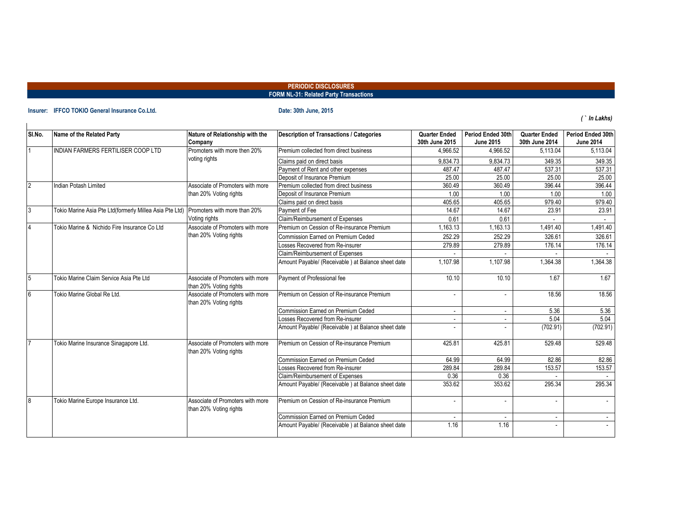### **PERIODIC DISCLOSURES FORM NL-31: Related Party Transactions**

### **Insurer: IFFCO TOKIO General Insurance Co.Ltd. Date: 30th June, 2015**

*( ` In Lakhs)*

| SI.No.         | Name of the Related Party                               | Nature of Relationship with the                            | <b>Description of Transactions / Categories</b>    | <b>Quarter Ended</b> | Period Ended 30th | <b>Quarter Ended</b> | Period Ended 30th |
|----------------|---------------------------------------------------------|------------------------------------------------------------|----------------------------------------------------|----------------------|-------------------|----------------------|-------------------|
|                |                                                         | Company                                                    |                                                    | 30th June 2015       | <b>June 2015</b>  | 30th June 2014       | <b>June 2014</b>  |
|                | INDIAN FARMERS FERTILISER COOP LTD                      | Promoters with more then 20%                               | Premium collected from direct business             | 4.966.52             | 4.966.52          | 5.113.04             | 5.113.04          |
|                |                                                         | voting rights                                              | Claims paid on direct basis                        | 9.834.73             | 9,834.73          | 349.35               | 349.35            |
|                |                                                         |                                                            | Payment of Rent and other expenses                 | 487.47               | 487.47            | 537.31               | 537.31            |
|                |                                                         |                                                            | Deposit of Insurance Premium                       | 25.00                | 25.00             | 25.00                | 25.00             |
| $\overline{2}$ | <b>Indian Potash Limited</b>                            | Associate of Promoters with more                           | Premium collected from direct business             | 360.49               | 360.49            | 396.44               | 396.44            |
|                |                                                         | than 20% Voting rights                                     | Deposit of Insurance Premium                       | 1.00                 | 1.00              | 1.00                 | 1.00              |
|                |                                                         |                                                            | Claims paid on direct basis                        | 405.65               | 405.65            | 979.40               | 979.40            |
| 13             | Tokio Marine Asia Pte Ltd(formerly Millea Asia Pte Ltd) | Promoters with more than 20%                               | Payment of Fee                                     | 14.67                | 14.67             | 23.91                | 23.91             |
|                |                                                         | Voting rights                                              | Claim/Reimbursement of Expenses                    | 0.61                 | 0.61              |                      |                   |
|                | Tokio Marine & Nichido Fire Insurance Co Ltd            | Associate of Promoters with more                           | Premium on Cession of Re-insurance Premium         | 1.163.13             | 1.163.13          | 1.491.40             | 1.491.40          |
|                |                                                         | than 20% Voting rights                                     | <b>Commission Earned on Premium Ceded</b>          | 252.29               | 252.29            | 326.61               | 326.61            |
|                |                                                         |                                                            | Losses Recovered from Re-insurer                   | 279.89               | 279.89            | 176.14               | 176.14            |
|                |                                                         |                                                            | Claim/Reimbursement of Expenses                    |                      |                   |                      |                   |
|                |                                                         |                                                            | Amount Payable/ (Receivable) at Balance sheet date | 1.107.98             | 1.107.98          | 1.364.38             | 1.364.38          |
| 15             | Tokio Marine Claim Service Asia Pte Ltd                 | Associate of Promoters with more<br>than 20% Voting rights | Payment of Professional fee                        | 10.10                | 10.10             | 1.67                 | 1.67              |
| 6              | Tokio Marine Global Re Ltd.                             | Associate of Promoters with more<br>than 20% Voting rights | Premium on Cession of Re-insurance Premium         |                      |                   | 18.56                | 18.56             |
|                |                                                         |                                                            | <b>Commission Earned on Premium Ceded</b>          | $\sim$               |                   | 5.36                 | 5.36              |
|                |                                                         |                                                            | Losses Recovered from Re-insurer                   | $\sim$               |                   | 5.04                 | 5.04              |
|                |                                                         |                                                            | Amount Payable/ (Receivable) at Balance sheet date |                      |                   | (702.91)             | (702.91)          |
|                | Tokio Marine Insurance Sinagapore Ltd.                  | Associate of Promoters with more<br>than 20% Voting rights | Premium on Cession of Re-insurance Premium         | 425.81               | 425.81            | 529.48               | 529.48            |
|                |                                                         |                                                            | Commission Earned on Premium Ceded                 | 64.99                | 64.99             | 82.86                | 82.86             |
|                |                                                         |                                                            | Losses Recovered from Re-insurer                   | 289.84               | 289.84            | 153.57               | 153.57            |
|                |                                                         |                                                            | Claim/Reimbursement of Expenses                    | 0.36                 | 0.36              |                      |                   |
|                |                                                         |                                                            | Amount Payable/ (Receivable) at Balance sheet date | 353.62               | 353.62            | 295.34               | 295.34            |
| 8              | Tokio Marine Europe Insurance Ltd.                      | Associate of Promoters with more<br>than 20% Voting rights | Premium on Cession of Re-insurance Premium         |                      |                   |                      |                   |
|                |                                                         |                                                            | Commission Earned on Premium Ceded                 |                      |                   | $\sim$               |                   |
|                |                                                         |                                                            | Amount Payable/ (Receivable) at Balance sheet date | 1.16                 | 1.16              |                      |                   |
|                |                                                         |                                                            |                                                    |                      |                   |                      |                   |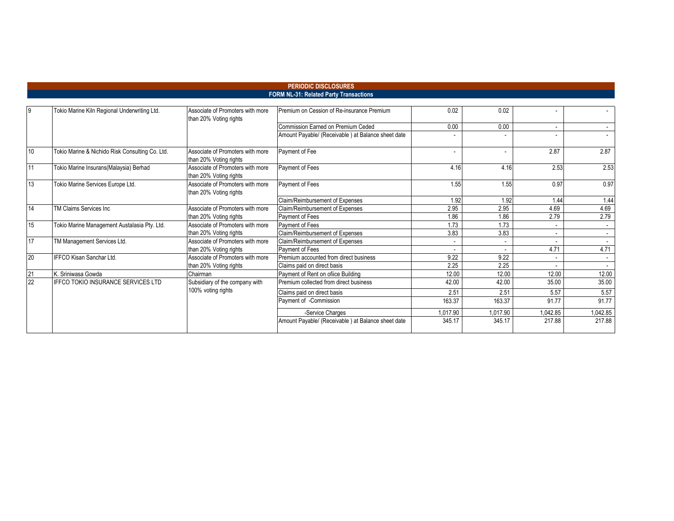### **FORM NL-31: Related Party Transactions**

| $\overline{9}$ | Tokio Marine Kiln Regional Underwriting Ltd.    | Associate of Promoters with more<br>than 20% Voting rights | Premium on Cession of Re-insurance Premium         | 0.02     | 0.02     |          |          |
|----------------|-------------------------------------------------|------------------------------------------------------------|----------------------------------------------------|----------|----------|----------|----------|
|                |                                                 |                                                            | Commission Earned on Premium Ceded                 | 0.00     | 0.00     |          |          |
|                |                                                 |                                                            | Amount Payable/ (Receivable) at Balance sheet date |          |          |          |          |
| 10             | Tokio Marine & Nichido Risk Consulting Co. Ltd. | Associate of Promoters with more<br>than 20% Voting rights | Payment of Fee                                     | $\sim$   |          | 2.87     | 2.87     |
| 11             | Tokio Marine Insurans(Malaysia) Berhad          | Associate of Promoters with more<br>than 20% Voting rights | Payment of Fees                                    | 4.16     | 4.16     | 2.53     | 2.53     |
| 13             | Tokio Marine Services Europe Ltd.               | Associate of Promoters with more<br>than 20% Voting rights | Payment of Fees                                    | 1.55     | 1.55     | 0.97     | 0.97     |
|                |                                                 |                                                            | Claim/Reimbursement of Expenses                    | 1.92     | 1.92     | 1.44     | 1.44     |
| 14             | TM Claims Services Inc                          | Associate of Promoters with more                           | Claim/Reimbursement of Expenses                    | 2.95     | 2.95     | 4.69     | 4.69     |
|                |                                                 | than 20% Voting rights                                     | <b>Payment of Fees</b>                             | 1.86     | 1.86     | 2.79     | 2.79     |
| 15             | Tokio Marine Management Austalasia Pty. Ltd.    | Associate of Promoters with more                           | Payment of Fees                                    | 1.73     | 1.73     |          |          |
|                |                                                 | than 20% Voting rights                                     | Claim/Reimbursement of Expenses                    | 3.83     | 3.83     |          |          |
| 17             | TM Management Services Ltd.                     | Associate of Promoters with more                           | Claim/Reimbursement of Expenses                    | $\sim$   |          |          |          |
|                |                                                 | than 20% Voting rights                                     | Payment of Fees                                    |          |          | 4.71     | 4.71     |
| 20             | IFFCO Kisan Sanchar Ltd.                        | Associate of Promoters with more                           | Premium accounted from direct business             | 9.22     | 9.22     |          |          |
|                |                                                 | than 20% Voting rights                                     | Claims paid on direct basis                        | 2.25     | 2.25     |          |          |
| 21             | K. Sriniwasa Gowda                              | Chairman                                                   | Payment of Rent on office Building                 | 12.00    | 12.00    | 12.00    | 12.00    |
| 22             | <b>IFFCO TOKIO INSURANCE SERVICES LTD</b>       | Subsidiary of the company with                             | Premium collected from direct business             | 42.00    | 42.00    | 35.00    | 35.00    |
|                |                                                 | 100% voting rights                                         | Claims paid on direct basis                        | 2.51     | 2.51     | 5.57     | 5.57     |
|                |                                                 |                                                            | Payment of -Commission                             | 163.37   | 163.37   | 91.77    | 91.77    |
|                |                                                 |                                                            | -Service Charges                                   | 1,017.90 | 1,017.90 | 1,042.85 | 1,042.85 |
|                |                                                 |                                                            | Amount Payable/ (Receivable) at Balance sheet date | 345.17   | 345.17   | 217.88   | 217.88   |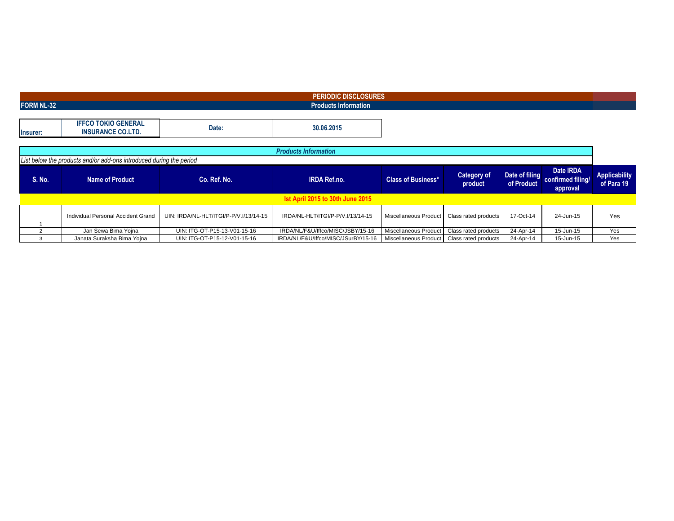| <b>PERIODIC DISCLOSURES</b> |                                                                     |                                        |                                     |                           |                               |                              |                                                   |                                    |  |  |  |  |  |
|-----------------------------|---------------------------------------------------------------------|----------------------------------------|-------------------------------------|---------------------------|-------------------------------|------------------------------|---------------------------------------------------|------------------------------------|--|--|--|--|--|
| <b>FORM NL-32</b>           |                                                                     |                                        | <b>Products Information</b>         |                           |                               |                              |                                                   |                                    |  |  |  |  |  |
|                             |                                                                     |                                        |                                     |                           |                               |                              |                                                   |                                    |  |  |  |  |  |
| Insurer:                    | <b>IFFCO TOKIO GENERAL</b><br><b>INSURANCE CO.LTD.</b>              | Date:                                  | 30.06.2015                          |                           |                               |                              |                                                   |                                    |  |  |  |  |  |
|                             |                                                                     |                                        |                                     |                           |                               |                              |                                                   |                                    |  |  |  |  |  |
| <b>Products Information</b> |                                                                     |                                        |                                     |                           |                               |                              |                                                   |                                    |  |  |  |  |  |
|                             | List below the products and/or add-ons introduced during the period |                                        |                                     |                           |                               |                              |                                                   |                                    |  |  |  |  |  |
| S. No.                      | <b>Name of Product</b>                                              | Co. Ref. No.                           | <b>IRDA Ref.no.</b>                 | <b>Class of Business*</b> | <b>Category of</b><br>product | Date of filing<br>of Product | Date <b>IRDA</b><br>confirmed filing/<br>approval | <b>Applicability</b><br>of Para 19 |  |  |  |  |  |
|                             |                                                                     |                                        | Ist April 2015 to 30th June 2015    |                           |                               |                              |                                                   |                                    |  |  |  |  |  |
|                             | Individual Personal Accident Grand                                  | UIN: IRDA/NL-HLT/ITGI/P-P/V.I/13/14-15 | IRDA/NL-HLT/ITGI/P-P/V.I/13/14-15   | Miscellaneous Product     | Class rated products          | 17-Oct-14                    | 24-Jun-15                                         | Yes                                |  |  |  |  |  |
| $\mathcal{L}$               | Jan Sewa Bima Yojna                                                 | UIN: ITG-OT-P15-13-V01-15-16           | IRDA/NL/F&U/Iffco/MISC/JSBY/15-16   | Miscellaneous Product     | Class rated products          | 24-Apr-14                    | 15-Jun-15                                         | Yes                                |  |  |  |  |  |
| 3                           | Janata Suraksha Bima Yojna                                          | UIN: ITG-OT-P15-12-V01-15-16           | IRDA/NL/F&U/Iffco/MISC/JSurBY/15-16 | Miscellaneous Product     | Class rated products          | 24-Apr-14                    | 15-Jun-15                                         | Yes                                |  |  |  |  |  |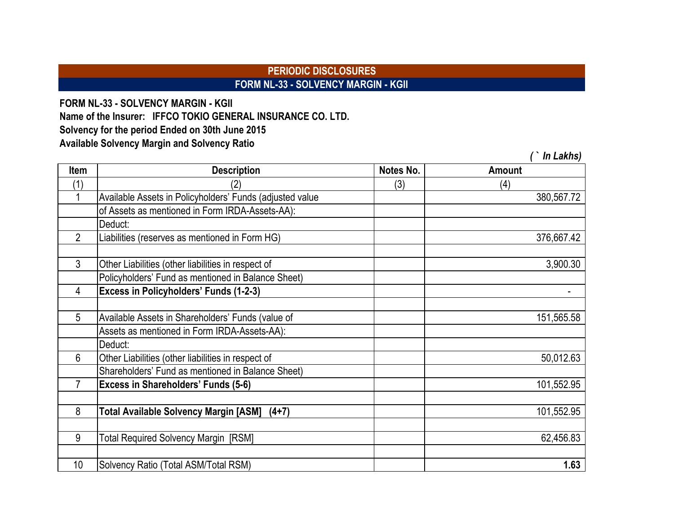## **PERIODIC DISCLOSURES FORM NL-33 - SOLVENCY MARGIN - KGII**

*( ` In Lakhs)*

**FORM NL-33 - SOLVENCY MARGIN - KGII Solvency for the period Ended on 30th June 2015 Available Solvency Margin and Solvency Ratio Name of the Insurer: IFFCO TOKIO GENERAL INSURANCE CO. LTD.**

**Item Description Notes No. Amount**  $(1)$   $(2)$   $(3)$   $(4)$ 1 Available Assets in Policyholders' Funds (adjusted value 380,567.72 of Assets as mentioned in Form IRDA-Assets-AA): Deduct: 2 Liabilities (reserves as mentioned in Form HG) 376,667.42 3 Other Liabilities (other liabilities in respect of 3,900.30 Policyholders' Fund as mentioned in Balance Sheet) 4 **Excess in Policyholders' Funds (1-2-3)** - 5 Available Assets in Shareholders' Funds (value of 151,565.58 and 151,565.58 Assets as mentioned in Form IRDA-Assets-AA): Deduct: 6 Other Liabilities (other liabilities in respect of 50,012.63 Shareholders' Fund as mentioned in Balance Sheet) 7 **Excess in Shareholders' Funds (5-6)** 101,552.95 8 **Total Available Solvency Margin [ASM] (4+7)** 101,552.95 9 Total Required Solvency Margin [RSM] 62,456.83 10 Solvency Ratio (Total ASM/Total RSM) **1.63**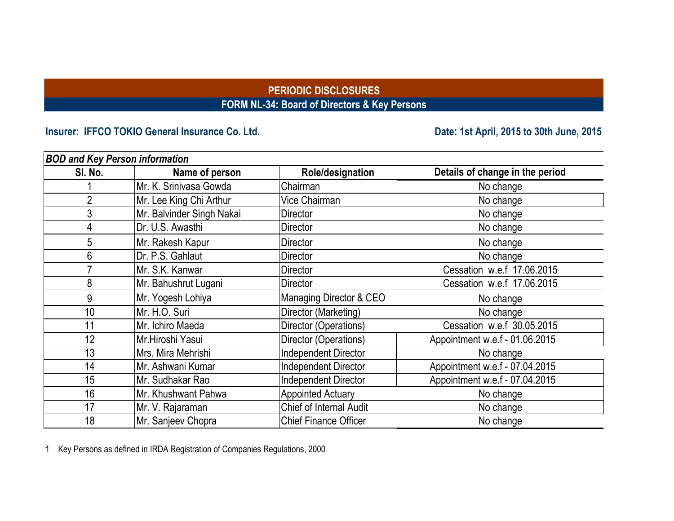## **PERIODIC DISCLOSURES FORM NL-34: Board of Directors & Key Persons**

# **Insurer: IFFCO TOKIO General Insurance Co. Ltd. Date: 1st April, 2015 to 30th June, 2015**

| <b>BOD and Key Person information</b> |                           |                                |                                 |
|---------------------------------------|---------------------------|--------------------------------|---------------------------------|
| SI. No.                               | Name of person            | Role/designation               | Details of change in the period |
|                                       | Mr. K. Srinivasa Gowda    | Chairman                       | No change                       |
| $\overline{2}$                        | Mr. Lee King Chi Arthur   | Vice Chairman                  | No change                       |
| 3                                     | Mr. Balvinder Singh Nakai | <b>Director</b>                | No change                       |
| 4                                     | Dr. U.S. Awasthi          | <b>Director</b>                | No change                       |
| 5                                     | Mr. Rakesh Kapur          | <b>Director</b>                | No change                       |
| 6                                     | Dr. P.S. Gahlaut          | <b>Director</b>                | No change                       |
|                                       | Mr. S.K. Kanwar           | Director                       | Cessation w.e.f 17.06.2015      |
| 8                                     | Mr. Bahushrut Lugani      | Director                       | Cessation w.e.f 17.06.2015      |
| 9                                     | Mr. Yogesh Lohiya         | Managing Director & CEO        | No change                       |
| 10                                    | Mr. H.O. Suri             | Director (Marketing)           | No change                       |
| 11                                    | Mr. Ichiro Maeda          | Director (Operations)          | Cessation w.e.f 30.05.2015      |
| 12                                    | Mr.Hiroshi Yasui          | Director (Operations)          | Appointment w.e.f - 01.06.2015  |
| 13                                    | Mrs. Mira Mehrishi        | <b>Independent Director</b>    | No change                       |
| 14                                    | Mr. Ashwani Kumar         | <b>Independent Director</b>    | Appointment w.e.f - 07.04.2015  |
| 15                                    | Mr. Sudhakar Rao          | <b>Independent Director</b>    | Appointment w.e.f - 07.04.2015  |
| 16                                    | Mr. Khushwant Pahwa       | <b>Appointed Actuary</b>       | No change                       |
| 17                                    | Mr. V. Rajaraman          | <b>Chief of Internal Audit</b> | No change                       |
| 18                                    | Mr. Sanjeev Chopra        | <b>Chief Finance Officer</b>   | No change                       |

1 Key Persons as defined in IRDA Registration of Companies Regulations, 2000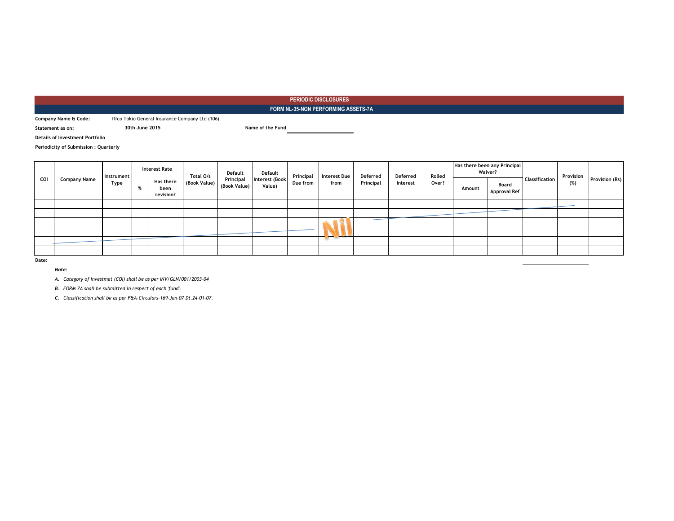### **FORM NL-35-NON PERFORMING ASSETS-7A**

**Company Name & Code:** Iffco Tokio General Insurance Company Ltd (106)

**30th June 2015 Name of the Fund**

**Details of Investment Portfolio**

**Statement as on:**

**Periodicity of Submission : Quarterly**

|       |                     | Instrument |          | <b>Interest Rate</b>                  | Total O/s    |                           |                          |          | Default | Default   | Principal | <b>Interest Due</b> | Deferred | Deferred                     | Rolled |     | Has there been any Principal<br><b>Waiver?</b> | Classification | Provision |  |
|-------|---------------------|------------|----------|---------------------------------------|--------------|---------------------------|--------------------------|----------|---------|-----------|-----------|---------------------|----------|------------------------------|--------|-----|------------------------------------------------|----------------|-----------|--|
| COI   | <b>Company Name</b> | Type       | $\alpha$ | <b>Has there</b><br>been<br>revision? | (Book Value) | Principal<br>(Book Value) | Interest (Book<br>Value) | Due from | from    | Principal | Interest  | Over?               | Amount   | Board<br><b>Approval Ref</b> |        | (%) | Provision (Rs)                                 |                |           |  |
|       |                     |            |          |                                       |              |                           |                          |          |         |           |           |                     |          |                              |        |     |                                                |                |           |  |
|       |                     |            |          |                                       |              |                           |                          |          |         |           |           |                     |          |                              |        |     |                                                |                |           |  |
|       |                     |            |          |                                       |              |                           |                          |          | . .     |           |           |                     |          |                              |        |     |                                                |                |           |  |
|       |                     |            |          |                                       |              |                           |                          |          | -       |           |           |                     |          |                              |        |     |                                                |                |           |  |
|       |                     |            |          |                                       |              |                           |                          |          |         |           |           |                     |          |                              |        |     |                                                |                |           |  |
|       |                     |            |          |                                       |              |                           |                          |          |         |           |           |                     |          |                              |        |     |                                                |                |           |  |
| Date: |                     |            |          |                                       |              |                           |                          |          |         |           |           |                     |          |                              |        |     |                                                |                |           |  |

*Note:*

*A. Category of Investmet (COI) shall be as per INV/GLN/001/2003-04*

*B. FORM 7A shall be submitted in respect of each 'fund'.*

*C. Classification shall be as per F&A-Circulars-169-Jan-07 Dt.24-01-07.*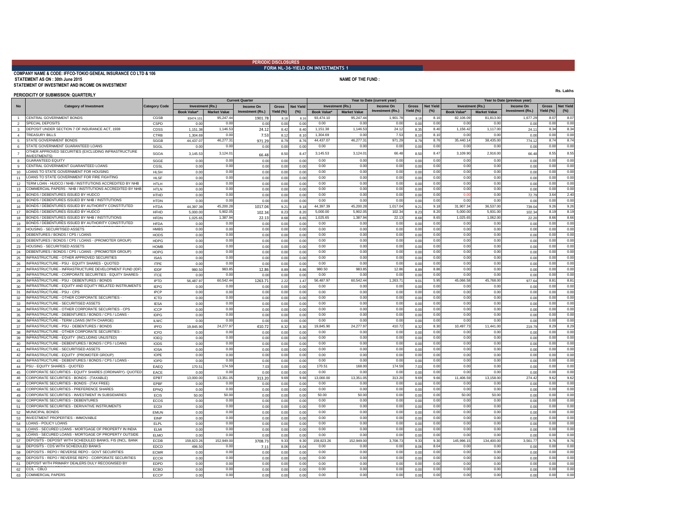### **PERIODIC DISCLOSURES FORM NL-36-YIELD ON INVESTMENTS 1**

### **COMPANY NAME & CODE: IFFCO-TOKIO GENEAL INSURANCE CO LTD & 106 STATEMENT AS ON : 30th June 2015 NAME OF THE FUND : NAME OF THE FUND : NAME OF THE FUND** : **STATEMENT OF INVESTMENT AND INCOME ON INVESTMENT**

**Rs. Lakhs**

0.00 0.00 0.00 0.00

### **PERIODICITY OF SUBMISSION: QUARTERLY**

**Book Value\*** 1 CENTRALGOVERNMENTBONDS | CGSB | 93474.101| 95,247.44| 1901.78| 8.18| 8.18| 93,474.10 | 95,247.44| 1,901.78| 8.18| 8.16| 82,106.09| 81,813.00| 1,677.29 2 SPECIALDEPOSITS | CSPD | 0.00| 0.00| 0.00| 0.00| 0.00| 0.00| 0.00| 0.00| 0.00| 0.00| 0.00| 0.00| 0.00| 0.00| 0.00| 0.00| 0.00| 3 CDSS 1,151.38 24.12 8.42 8.40 8.35 24.11 DEPOSIT UNDER SECTION 7 OF INSURANCE ACT, 1938 1,146.53 1,151.38 1,146.53 24.12 8.40 4 TREASURYBILLS | CTRB | 1,304.69 0.00| 7.53 | 8.10 | 1,304.69 | 0.00 | 7.53 | 8.10 | 8.10 | 0.00 | 0.00 | 0.00 | 0.00 5 STATEGOVERNMENTBONDS | SGGB | 44,437.07| 46,277.31| 8.76| 44,437.07 | 46,277.31| 971.29| 8.79| 8.76| 35,440.14| 38,435.00| 774.12 6 STATEGOVERNMENT GUARANTEED.LOANS | SGGL | 0.00| 0.00| 0.00| 0.00| 0.00| 0.00| 0.00| 0.00| 0.00| 0.00| 0.00| 0.00| 0.00| 0.00| 0.00| 0.00| 0.00| 0.00| 0.00| 0.00| 0.00| 0.00| 0.00| 0.00| 0.00| 0.00| 0.00| 0.00| 0.00| 7 |UNESTMENTS\CDUCUCUCUCUCUCUCUCUCUCUCUCUCUCU SGOA | 3,145.53| 3,124.01| 66.48| 8.50| 8.47| 3,124.01| 66.48| 8.50| 8.47| 3,109.90| 2,916.00| 66.48|<br>INVESTMENTS\ 8 GUARANTEEDEQUITY | SGGE | 0.00| 0.00| 0.00| 0.00| 0.00| 0.00| 0.00| 0.00| 0.00| 0.00| 0.00| 0.00| 0.00| 0.00| 0.00| 0.00| 0.00| 0.00| 0.00| 0.00| 0 9 CENTRAL GOVERNMENT GUARANTEED LOANS | CGSL | 0.00| 0.00| 0.00| 0.00| 0.00| 0.00| 0.00| 0.00| 0.00| 0.00| 0.00| 0.00| 0.00| 0.00| 0.00| 0.00| 0.00| 0.00| 0.00| 0.00| 0.00| 0.00| 0.00| 0.00| 0.00| 0.00| 0.00| 0.00| 0. 10 LOANS TO STATE GOVERNMENT FOR HOUSING | HLSH | 0.00| 0.00| 0.00| 0.00| 0.00| 0.00| 0.00| 0.00| 0.00| 0.00| 0.00| 0.00| 0.00| 0.00| 0.00| 0.00| 0.00| 0.00| 0.00| 0.00| 0.00| 0.00| 0.00| 0.00| 0.00| 0.00| 0.00| 0.00| 11 HLSF 0.00 0.00 0.00 0.00 0.00 0.00 LOANS TO STATE GOVERNMENT FOR FIRE FIGHTING 12 HTLH 0.00 0.00 0.00 0.00 0.00 0.00 TERM LOAN - HUDCO / NHB / INSTITUTIONS ACCREDITED BY NHB 0.00 0.00 0.00 0.00 0.00 EQUIPMENTS 13 HTLN 0.00 0.00 0.00 0.00 0.00 0.00 COMMERCIAL PAPERS - NHB / INSTITUTIONS ACCREDITED BY NHB 0.00 0.00 0.00 0.00 0.00 14 BONDS/DEBENTURESISSUEDBYHUDCO | HTHD | 0.00| 0.00| 0.00| 0.00| 0.00| 0.00| 0.00| 0.00| 0.00| 0.00| 0.00| 0.00| 0.00| 0.00| 0.00| 0.00| 0.00| 0.00| 0.00| 72.79 15 BONDS/DEBENTURESISSUED BY NHB/INSTITUTIONS | HTDN | 0.00| 0.00| 0.00| 0.00| 0.00| 0.00| 0.00| 0.00| 0.00| 0.00| 0.00| 0.00| 0.00| 0.00| 0.00| 0.00| 0.00| 0.00| 0.00| 0.00| 0.00| 0.00| 0.00| 0.00| 0.00| 0.00| 0.00| 0.0 16 BONDS / DEBENTURES ISSUED BY AUTHORITY CONSTITUTED HTDA 44,397.39 45,200.28 1017.04 9.21 9.18 44,397.39 44,397.39 1017.04 9.21 9.18 9.21 9.18 31,907.34 36,537.00 739.04 17 BONDS / DEBENTURES ISSUED BY HUDCO | HFHD | 5,000.00 | 5,902.05 | 102.34 8.23 | 5,000.00 | 5,902.05 | 102.34 | 8.23 | 8.20 | 5,000.00 | 5,931.00 | 102.34 18 BONDS / DEBENTURES ISSUED BY NHB / INSTITUTIONS | HFDN | 1,025.65 1,387.94 22.13 8.68 8.65 1,025.65 8.68 8.65 8.68 8.65 8.68 8.65 1,025.65 1,062.00 22.20 19 HFDA 0.00 0.00 0.00 0.00 0.00 0.00 ACCREDITED BY NHB BONDS / DEBENTURES ISSUED BY AUTHORITY CONSTITUTED 20 HMBS 0.00 0.00 0.00 0.00 0.00 0.00 HOUSING - SECURITISED ASSETS 0.00 0.00 0.00 0.00 0.00 UNDER ANY HOUSING / BUIDLING SCHEME APPROVED BY 21 DEBENTURES/BONDS/CPS/LOANS HODS | 0.00| 0.00| 0.00| 0.00| 0.00| 0.00| 0.00| 0.00| 0.00| 0.00| 0.00| 0.00| 0.00| 0.00| 22 DEBENTURES/BONDS/CPS/LOANS-(PROMOTER GROUP) | HDPG | 0.00| 0.00| 0.00| 0.00| 0.00| 0.00 0.00| 0.00| 0.00| 0.00| 0.00| 0.00| 0.00| 0.00| 0.00| 0.00| 0.00| 0.00| 0.00| 0.00| 0.00| 0.00| 0.00| 0.00| 0.00| 0.00| 0.00| 0.00| 23 HOUSING SECURITISED ASSETS | HOMB || 0.00| 0.00| 0.00| 0.00| 0.00| 0.00 || 0.00| 0.00| 0.00| 0.00| 0.00| 0.00| 0.00| 0.00| 0.00| 0.00| 0.00| 0.00| 0.00| 0.00| 0.00| 0.00| 0.00| 0.00| 0.00| 0.00| 0.00| 0.00| 0.0 24 HOPG 0.00 0.00 0.00 0.00 0.00 0.00 DEBENTURES / BONDS / CPS / LOANS - (PROMOTER GROUP) 0.00 0.00 0.00 0.00 0.00 25 INFRASTRUCTURE - OTHER APPROVED SECURITIES | ISAS | 0.00| 0.00| 0.00| 0.00| 0.00| 0.00| 0.00| 0.00| 0.00| 0.00| 0.00| 0.00| 0.00| 0.00| 0.00| 0.00| 0.00| 0.00| 0.00| 0.00| 0.00| 0.00| 0.00| 0.00| 0.00| 0.00| 0.00| 0. 26 INFRASTRUCTURE - PSU - EQUITY SHARES - QUOTED | ITPE | 0.00| 0.00| 0.00| 0.00| 0.00| 0.00| 0.00| 0.00| 0.00| 0.00| 0.00| 0.00| 0.00| 0.00| 0.00| 0.00| 0.00| 0.00| 0.00| 0.00| 0.00| 0.00| 0.00| 0.00| 0.00| 0.00| 0.00| 0. 27 INFRASTRUCTURE -INFRASTRUCTURE DEVELOPMENT FUND (IDF) IDDF | 980.50 983.85 12.86 8.89 8.86 980.50 | 983.85 12.86 8.89 8.86 0.00 0.00 0.00 0.00 28 INFRASTRUCTURE - CORPORATE SECURITIES - EQUITY SHARES- | ITCE | 0.00| 0.00| 0.00| 0.00| 0.00| 0.00| 0.00| 0.00| 0.00| 0.00| 0.00| 0.00| 0.00| 0.00| 0.00| 0.00| 0.00| 0.00| 0.00| 0.00| 0.00| 0.00| 0.00| 0.00| 0.00| 0.00| 29 INFRASTRUCTURE PSU DEBENTURES / BONDS | IPTD | 56,487.97| 60,542.44| 1263.71| 2.22| 1.47| 56,487.97 | 60,542.44| 1.263.71| 9.01| 5.95| 45,066.58| 45,768.00| 977.64<br>30 INFRASTRUCTURE EQUITY AND EQUITY RELATED INSTRUMENTS 31 IPCP 0.00 0.00 0.00 0.00 0.00 0.00 32 INFRASTRUCTURE - OTHER CORPORATE SECURITIES - | ICTD | 0.00| 0.00| 0.00| 0.00| 0.00| 0.00| 0.00| 0.00| 0.00| 0.00| 0.00| 0.00| 0.00| 0.00| 0.00| 0.00| 0.00| 0.00| 0.00| 0.00| 0.00| 0.00| 0.00| 0.00| 0.00| 0.00| 0.00| 0. 33 IESA 0.00 0.00 0.00 0.00 0.00 0.00 DEBENTURES/ BONDS INFRASTRUCTURE - SECURITISED ASSETS 0.00 0.00 0.00 0.00 0.00 34 INFRASTRUCTURE - OTHER CORPORATE SECURITIES - CPS | ICCP | 0.00| 0.00| 0.00| 0.00| 0.00| 0.00| 0.00| 0.00| 0.00| 0.00| 0.00| 0.00| 0.00| 0.00| 0.00| 0.00| 0.00| 0.00| 0.00| 0.00| 0.00| 0.00| 0.00| 0.00| 0.00| 0.00| 0.00 35 INFRASTRUCTURE - DEBENTURES / BONDS / CPS / LOANS - | DPG | 0.00| 0.00| 0.00| 0.00| 0.00| 0.00| 0.00| 0.00| 0.00| 0.00| 0.00| 0.00| 0.00| 0.00| 0.00| 0.00| 0.00| 0.00| 0.00| 0.00| 0.00| 0.00| 0.00| 0.00| 0.00| 0.00| 36 ILWC 0.00 0.00 0.00 0.00 0.00 0.00 INFRASTRUCTURE - TERM LOANS (WITH CHARGE) 0.00 0.00 0.00 0.00 0.00 (PROMOTER GROUP) 37 IPFD 19,845.90 410.72 8.32 8.30 8.32 219.79 INFRASTRUCTURE - PSU - DEBENTURES / BONDS 24,277.97 19,845.90 24,277.97 410.72 8.30 38 INFRASTRUCTURE - OTHER CORPORATE SECURITIES - | ICFD | 0.00| 0.00| 0.00| 0.00| 0.00| 0.00| 0.00| 0.00| 0.00| 0.00| 0.00| 0.00| 0.00| 0.00| 0.00| 0.00| 0.00| 0.00| 0.00| 0.00| 0.00| 0.00| 0.00| 0.00| 0.00| 0.00| 0.00| 0. 39 IOEQ 0.00 0.00 0.00 0.00 0.00 0.00 DEBENTURES/ BONDS INFRASTRUCTURE - EQUITY (INCLUDING UNLISTED) 0.00 0.00 0.00 0.00 0.00 40 IODS 0.00 0.00 0.00 0.00 0.00 0.00 INFRASTRUCTURE - DEBENTURES / BONDS / CPS / LOANS 0.00 0.00 0.00 0.00 0.00 41 INFRASTRUCTURE SECURITISEDASSETS 0.004 0.001 0.001 0.001 0.00 0.00 0.00 0.00 0.00 0.001 0.001 0.001 0.001 0.001 0.001 0.001 0.001 42 IOPE 0.00 0.00 0.00 0.00 0.00 0.00 INFRASTRUCTURE - EQUITY (PROMOTER GROUP) 0.00 0.00 0.00 0.00 0.00 43 IOPD 0.00 0.00 0.00 0.00 0.00 0.00 INFRASTRUCTURE - DEBENTURES / BONDS / CPS / LOANS - 44 EAEQ 170.51 7.03 0.00 0.00 7.03 0.00 PSU - EQUITY SHARES - QUOTED 174.59 170.51 168.00 174.59 0.00 (PROMOTER GROUP) 45 CORPORATE SECURITIES - EQUITY SHARES (ORDINARY)- QUOTED | EACE | 0.00| 0.00| 0.00| 0.00| 0.00| 0.00| 0.00| 0.00| 0.00| 0.00| 0.00| 0.00| 0.00| 0.00| 0.00| 0.00| 0.00| 0.00| 0.00| 0.00| 0.00| 0.00| 0.00| 0.00| 0.00| 0.00 46 CORPORATESECURITIES-BONDS-(TAXABLE) | EPBT | 13,000.00 13,351.05| 313.20| 9.69| 9.66| 13,000.00 | 13,351.05| 13,351.05| 313.20| 9.69| 9.69| 9.68| 11,406.59| 13,158.00| 274.42 47 CORPORATE SECURITIES - BONDS - (TAX FREE) | EPBF || 0.00| 0.00| 0.00| 0.00| 0.00| 0.00| 0.00| 0.00| 0.00| 0.00| 0.00| 0.00| 0.00| 0.00| 0.00| 0.00| 0.00| 0.00| 0.00| 0.00| 0.00| 0.00| 0.00| 0.00| 0.00| 0.00| 0. 48 CORPORATE SECURITIES - PREFERENCE SHARES | EPNQ | 0.00| 0.00| 0.00| 0.00| 0.00| 0.00| 0.00| 0.00| 0.00| 0.00| 0.00| 0.00| 0.00| 0.00| 0.00| 0.00| 0.00| 0.00| 0.00| 0.00| 0.00| 0.00| 0.00| 0.00| 0.00| 0.00| 0.00| 0.00 49 |CORPORATESECURITIES-INVESTMENTINSUBSIDIARIES | ECIS | 50.00| 50.00| 0.00| 0.00| 0.00| 0.00| 0.00| 0.00| 0.00| 0.00| 0.00| 0.00| 50.00| 50.00| 50.00| 50.00| 0.00| 0.00| 0.00| 0.00| 0.00| 0.00| 0.00| 0.00| 0.00| 0.00| 0. 50 CORPORATE SECURITIES - DEBENTURES 0.00 | 0.00 | 0.00 | 0.00 | 0.00 | 0.00 | 0.00 | 0.00 | 0.00 | 0.00 | 0.00 | 0.00 | 0.00 | 0.00 | 0.00 | 0.00 | 0.00 | 0.00 | 0.00 | 0.00 | 0.00 | 0. 51 CORPORATE SECURITIES - DERIVATIVE INSTRUMENTS | ECDI | 0.00| 0.00| 0.00| 0.00| 0.00| 0.00| 0.00| 0.00| 0.00| 0.00| 0.00| 0.00| 0.00| 0.00| 0.00| 0.00| 0.00| 0.00| 0.00| 0.00| 0.00| 0.00| 0.00| 0.00| 0.00| 0.00| 0.00| 0. 52 MUNICIPALBONDS EMUN | 0.00| 0.00| 0.00| 0.00| 0.00| 0.00| 0.00| 0.00| 0.00| 0.00| 0.00| 0.00| 0.00| 0.00| 0.00| 53 EINP 0.00 0.00 0.00 0.00 0.00 0.00 INVESTMENT PROPERTIES - IMMOVABLE 0.00 0.00 0.00 0.00 0.00 54 LCANS POLICYLOANS | ELPL || 0.00| 0.00| 0.00| 0.00| 0.00| 0.00| 0.00| 0.00| 0.00| 0.00| 0.00| 0.00| 0.00| 0.00| 0.00| 0.00| 0.00| 0.00| 0.00| 0.00| 0.00| 0.00| 0.00| 0.00| 55 LOANS - SECURED LOANS - MORTGAGE OF PROPERTY IN INDIA | ELMI | 0.00| 0.00| 0.00| 0.00| 0.00| 0.00| 0.00| 0.00| 0.00| 0.00| 0.00| 0.00| 0.00| 0.00| 0.00| 0.00| 0.00| 0.00| 0.00| 0.00| 0.00| 0.00| 0.00| 0.00| 0.00| 0.00| 56 ELMO 0.00 0.00 0.00 0.00 0.00 0.00 LOANS - SECURED LOANS - MORTGAGE OF PROPERTY OUTSIDE (TERM LOAN) 57 DEPOSITS - DEPOSIT WITH SCHEDULED BANKS, FIS (INCL. BANK ECDB 159,823.26 152,949.00 3708.73 9.33 15.30 3.33 9.30 159,823.26 152,949.00 3,708.73 9.33 9.30 145,996.15 134,400.00 3,561.77 58 EDCD 496.50 7.11 8.06 8.04 8.06 0.00 DEPOSITS - CDS WITH SCHEDULED BANKS 0.00 0.00 0.00 0.00 8.04 BALANCE AWAITING INVESTMENT), CCIL, RBI 59 DEPOSITS REPO / REVERSE REPO - GOVT SECURITIES | ECMR | 0.00| 0.00| 0.00| 0.00| 0.00| 0.00| 0.00| 0.00| 0.00| 0.00| 0.00| 0.00| 0.00| 0.00| 0.00| 0.00| 0.00| 0.00| 0.00| 0.00| 0.00| 0.00| 0.00| 0.00| 0.00| 0.00| 0.00| 0 60 DEPOSITS REPO / REVERSE REPO - CORPORATE SECURITIES | ECCR | 0.00| 0.00| 0.00| 0.00| 0.00| 0.00| 0.00| 0.00| 0.00| 0.00| 0.00| 0.00| 0.00| 0.00| 0.00| 0.00| 0.00| 0.00| 0.00| 0.00| 0.00| 0.00| 0.00| 0.00| 0.00| 0.00| 0. 61 EDPD 0.00 0.00 0.00 0.00 0.00 0.00 DEPOSIT WITH PRIMARY DEALERS DULY RECOGNISED BY 62 ECBO 0.00 0.00 0.00 0.00 0.00 0.00 **No Category of Investment** Category Code **Current Quarter Year to Date (current year) Year to Date (previous year) Investment (Rs.) Income On Investment (Rs.)** 82,106.09 81,813.00 1,677.29 8.07 8.07 SPECIAL DEPOSITS 0.00 0.00 0.00 0.00 0.00 0.00 0.00 0.00 0.00 CENTRAL GOVERNMENT BONDS CGSB CGSB 93474.101 95,247.44 1901.78 8.18 8.16 93,474.10 95,247.44 1,901.78 8.16 **Investment (Rs.) Income On**  ent (Rs.) **Gross Yield (%)** let Yield<br>(%) Market Value Investment (Rs.) Yield (%) (%) Book Value\* | Market Value Investment (Rs.) | Yield (%) | (%) C%) C%) | Westment (Rs.) | Yield (%) | (%) | Yield (%) | (%) | C%) | Yield (%) | Yield (%) | Yield (%) | Yield (%) | **Gross Yield (%) Net Yield (%) Investment (Rs.) Income On Investment (Rs.) Gross Yield (%) Net Yield (%)** 1,156,42 1,117,00 24,11 8.34 8.34 TREASURY BILLS 1,304.69 0.00 7,53 8.10 1,304.69 0.00 7.53 8.10 8.10 0.00 0.00 0.00 0.00 35,440.14 38,435.00 8.74 8.74 0.00 0.00 0.00 0.00 STATE GOVERNMENT BONDS 46,277.31 44,437.07 46,277.31 971.29 8.76 3,109.90 2,916.00 66.48 8.55 8.55 GUARANTEED EQUITY 0.00 0.00 0.00 0.00 0.00 0.00 0.00 0.00 0.00 OTHER APPROVED SECURITIES (EXCLUDING INFRASTRUCTURE **INVESTMENTS**<br>B GUARANTEED FOUITY 3,124.01 3,145.53 3,124.01 66.48 8.47 0.00 0.00 0.00 0.00 0.00 0.00 0.00 0.00 0.00 0.00 0.00 0.00 0.00 0.00 0.00 0.00 0.00 0.00 0.00 0.00 0.00 0.00 0.00 0.00 0.00 BONDS / DEBENTURES ISSUED BY HUDCO 0.00 0.00 0.00 0.00 0.00 0.00 0.00 0.00 0.00 0.00 0.00 0.00 0.00 UNDER ANY HOUSING / BUILDING SCHEME APPROVED BY BONDS / DEBENTURES ISSUED BY HUDCO 5,902.05 5,000.00 5,902.05 102.34 8.20 45,200.28 1017.04 9.21 9.18 44,397.39 45,200.28 1,017.04 9.21 9.18 0.00 0.00 3.64 2.40 0.00 0.00 0.00 0.00 0.00 5,000.00 5,931.00 102.34 8.19 8.19 1,387.94 22.13 8.68 8.65 1.025.65 1.387.94 22.13 8.68 8.65 31,907.34 36,537.00 739.04 9.26 9.26 0.00 0.00 0.00 0.00 1,025.65 1,062.00 22.20 8.66 8.66 0.00 0.00 0.00 0.00 0.00 0.00 0.00 0.00 0.00 0.00 0.00 0.00 0.00 0.00 0.00 0.00 0.00 0.00 0.00 0.00 0.00 0.00 0.00 0.00 0.00 0.00 0.00 0.00 0.00 0.00 0.00 0.00 0.00 00 10 1263.71 60,542.44 1,263.71 5.95 6.96 1,263.71 56,487.97 60,542.44 56,487.97 1,263.71 56,487.97 60,542.44 1,263.71 9,01 5.95 0.00 0.00 0.00 0.00 0.00 0.00 0.00 0.00 0.00 45,066,58 45,768,00 977.64 8.81 8.81 (PROMOTER GROUP) INFRASTRUCTURE - PSU - CPS 0.00 0.00 0.00 0.00 0.00 0.00 0.00 0.00 0.00 0.00 0.00 0.00 0.00 0.00 0.00 0.00 0.00 0.00 0.00 0.00 0.00 0.00 0.00 0.00 0.00 0.00 0.00 0.00 0.00 0.00 0.00 0.00 0.00 0.00 0.00 0.00 0.00 0.00 0.00 0.00 0.00 0.00 0.00 0.00 0.00 0.00 0.00 0.00 10,497.73 11,441.00 219.79 8.29 8.29 0.00 0.00 0.00 0.00 0.00 0.00 0.00 0.00 0.00 0.00 0.00 0.00 0.00 0.00 0.00 0.00 0.00 0.00 0.00 0.00 0.00 0.00 0.00 0.00 0.00 INFRASTRUCTURE - SECURITISED ASSETS 0.00 0.00 0.00 0.00 0.00 0.00 0.00 0.00 0.00 0.00 0.00 0.00 0.00 0.00 0.00 0.00 0.00 0.00 0.00 0.00 0.00 0.00 CORPORATE SECURITIES - BONDS - (TAXABLE) 13,351.05 13,000.00 13,351.05 313.20 9.66 0.00 0.00 0.00 0.00 0.00 0.00 0.00 0.00 11,406.59 13,158.00 274.42 9.62 9.62 50.00 50.00 0.00 0.00 0.00 0.00 0.00 0.00 CORPORATE SECURITIES - INVESTMENT IN SUBSIDIARIES 50.00 50.00 50.00 0.00 0.00 0.00 0.00 0.00 0.00 MUNICIPAL BONDS EMUN 0.00 0.00 0.00 0.00 0.00 0.00 0.00 0.00 0.00 0.00 0.00 0.00 0.00 0.00 0.00 0.00 0.00 0.00 LOANS - POLICY LOANS 0.00 0.00 0.00 0.00 0.00 0.00 0.00 0.00 0.00 0.00 0.00 0.00 0.00 0.00 0.00 0.00 0.00 0.00 0.00 0.00 0.00 0.00 0.00 0.00 0.00 0.00 0.00 145,996.15 134,400.00 3,561.77 9.76 9.76 0.00 0.00 0.00 0.00 152,949.00 3708.73 9.33 9.30 159,823.26 152,949.00 3,708.73 9.31 9.30 0.00 0.00 0.00 0.00 0.00 0.00 0.00 0.00 0.00 0.00 0.00 0.00 CCIL - CBLO 0.00 0.00 0.00 0.00 0.00 0.00 0.00 0.00 0.00 62 CCIL - CBLO 0.00 0.00 0.00 0.00 0.00 0.00 0.00 0.00 0.00 COMMERCIAL PAPERS 0.00 0.00 0.00 0.00 0.00

63 |COMMERCIALPAPERS ECCP | 0.00| 0.00| 0.00| 0.00| 0.00| 0.00| 0.00| 0.00 0.00| 0.00| 0.00| 0.00| 0.00| 0.00| 0.00|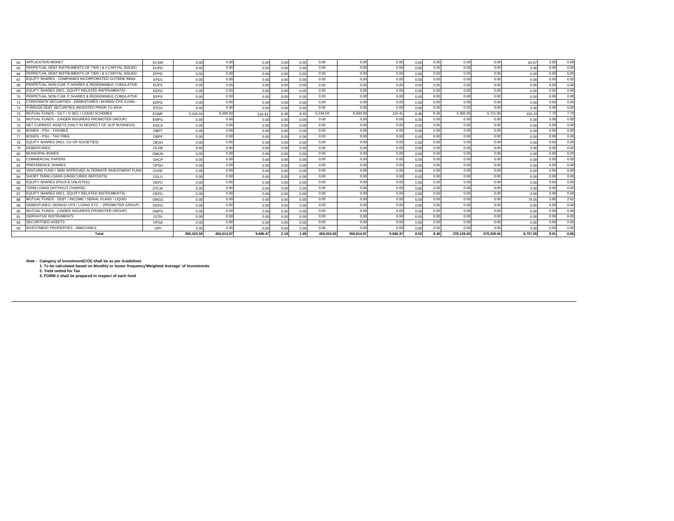| 64 | <b>APPLICATION MONEY</b>                                 | <b>ECAM</b> | 0.00     | 0.00       | 0.00     | 0.00 | 0.00 | 0.00       | 0.00       | 0.00     | 0.00 | 0.00 | 0.00       | 0.00       | 62.67    | 0.00          | 0.00 |
|----|----------------------------------------------------------|-------------|----------|------------|----------|------|------|------------|------------|----------|------|------|------------|------------|----------|---------------|------|
| 65 | PERPETUAL DEBT INSTRUMENTS OF TIER I & II CAPITAL ISSUED | <b>EUPD</b> | 0.00     | 0.00       | 0.00     | 0.00 | 0.00 | 0.00       | 0.00       | 0.00     | 0.00 | 0.00 | 0.00       | 0.00       | 0.00     | 0.00          | 0.00 |
| 66 | PERPETUAL DEBT INSTRUMENTS OF TIER I & II CAPITAL ISSUED | EPPD        | 0.00     | 0.00       | 0.00     | 0.00 | 0.00 | 0.00       | 0.00       | 0.00     | 0.00 | 0.00 | 0.00       | 0.00       | 0.00     | 0.00          | 0.00 |
| 67 | EQUITY SHARES - COMPANIES INCORPORATED OUTSIDE INDIA     | EFES        | 0.00     | 0.00       | 0.00     | 0.00 | 0.00 | 0.00       | 0.00       | 0.00     | 0.00 | 0.00 | 0.00       | 0.00       | 0.00     | 0.00          | 0.00 |
| 68 | PERPETUAL NON-CUM. P.SHARES & REDEEMABLE CUMULATIVE      | <b>EUPS</b> | 0.00     | 0.00       | 0.00     | 0.00 | 0.00 | 0.00       | 0.00       | 0.00     | 0.00 | 0.00 | 0.00       | 0.00       | 0.00     | 0.00          | 0.00 |
| 69 | EQUITY SHARES (INCL. EQUITY RELATED INSTRUMENTS)         | EEPG        | 0.00     | 0.00       | 0.00     | 0.00 | 0.00 | 0.00       | 0.00       | 0.00     | 0.00 | 0.00 | 0.00       | 0.00       | 0.00     | 0.00          | 0.00 |
| 70 | PERPETUAL NON-CUM. P.SHARES & REDEEMABLE CUMULATIVE      | <b>FPPS</b> | 0.00     | 0.00       | 0.00     | 0.00 | 0.00 | 0.00       | 0.00       | 0.00     | 0.00 | 0.00 | 0.00       | 0.00       | 0.00     | 0.00          | 0.00 |
| 71 | CORPORATE SECURITIES - DEBENTURES / BONDS/ CPS /LOAN ·   | <b>EDPG</b> | 0.00     | 0.00       | 0.00     | 0.00 | 0.00 | 0.00       | 0.00       | 0.00     | 0.00 | 0.00 | 0.00       | 0.00       | 0.00     | 0.00          | 0.00 |
| 72 | FOREIGN DEBT SECURITIES (INVESTED PRIOR TO IRDA          | EFDS        | 0.00     | 0.00       | 0.00     | 0.00 | 0.00 | 0.00       | 0.00       | 0.00     | 0.00 | 0.00 | 0.00       | 0.00       | 0.00     | 0.00          | 0.00 |
| 73 | MUTUAL FUNDS - GILT / G SEC / LIQUID SCHEMES             | <b>EGMF</b> | 5.234.04 | 6,000.50   | 110.41   | 8.48 | 8.45 | 5,234.04   | 6,000.50   | 110.41   | 8.48 | 8.45 | 5,366.00   | 6.711.00   | 103.33   | 7.70          | 7.70 |
| 74 | MUTUAL FUNDS - (UNDER INSURERS PROMOTER GROUP)           | <b>FMPG</b> | 0.00     | 0.00       | 0.00     | 0.00 | 0.00 | 0.00       | 0.00       | 0.00     | 0.00 | 0.00 | 0.00       | 0.00       | 0.00     | 0.00          | 0.00 |
| 75 | NET CURRENT ASSETS (ONLY IN RESPECT OF ULIP BUSINESS)    | <b>ENCA</b> | 0.00     | 0.00       | 0.00     | 0.00 | 0.00 | 0.00       | 0.00       | 0.00     | 0.00 | 0.00 | 0.00       | 0.00       | 0.00     | 0.00          | 0.00 |
| 76 | <b>BONDS - PSU - TAXABLE</b>                             | OBPT        | 0.00     | 0.00       | 0.00     | 0.00 | 0.00 | 0.00       | 0.00       | 0.00     | 0.00 | 0.00 | 0.00       | 0.00       | 0.00     | 0.00          | 0.00 |
| 77 | BONDS - PSU - TAX FREE                                   | OBPF        | 0.00     | 0.00       | 0.00     | 0.00 | 0.00 | 0.00       | 0.00       | 0.00     | 0.00 | 0.00 | 0.00       | 0.00       | 0.00     | 0.00          | 0.00 |
| 78 | EQUITY SHARES (INCL CO-OP SOCIETIES)                     | OESH        | 0.00     | 0.00       | 0.00     | 0.00 | 0.00 | 0.00       | 0.00       | 0.00     | 0.00 | 0.00 | 0.00       | 0.00       | 0.00     | 0.00          | 0.00 |
| 79 | DEBENTURES                                               | OLDB        | 0.00     | 0.00       | 0.00     | 0.00 | 0.00 | 0.00       | 0.00       | 0.00     | 0.00 | 0.00 | 0.00       | 0.00       | 0.00     | 0.00          | 0.00 |
| 80 | <b>MUNICIPAL BONDS</b>                                   | OMUN        | 0.00     | 0.00       | 0.00     | 0.00 | 0.00 | 0.00       | 0.00       | 0.00     | 0.00 | 0.00 | 0.00       | 0.00       | 0.00     | 0.00          | 0.00 |
| 81 | COMMERCIAL PAPERS                                        | OACP        | 0.00     | 0.00       | 0.00     | 0.00 | 0.00 | 0.00       | 0.00       | 0.00     | 0.00 | 0.00 | 0.00       | 0.00       | 0.00     | 0.00          | 0.00 |
| 82 | PREFERENCE SHARES                                        | OPSH        | 0.00     | 0.00       | 0.00     | 0.00 | 0.00 | 0.00       | 0.00       | 0.00     | 0.00 | 0.00 | 0.00       | 0.00       | 0.00     | 0.00          | 0.00 |
| 83 | VENTURE FUND / SEBI APPROVED ALTERNATE INVESTMENT FUND   | OVNF        | 0.00     | 0.00       | 0.00     | 0.00 | 0.00 | 0.00       | 0.00       | 0.00     | 0.00 | 0.00 | 0.00       | 0.00       | 0.00     | 0.00          | 0.00 |
| 84 | SHORT TERM LOANS (UNSECURED DEPOSITS)                    | OSLU        | 0.00     | 0.00       | 0.00     | 0.00 | 0.00 | 0.00       | 0.00       | 0.00     | 0.00 | 0.00 | 0.00       | 0.00       | 0.00     | 0.00          | 0.00 |
| 85 | EQUITY SHARES (PSUS & UNLISTED)                          | OEPU        | 0.00     | 0.00       | 0.00     | 0.00 | 0.00 | 0.00       | 0.00       | 0.00     | 0.00 | 0.00 | 0.00       | 0.00       | 0.00     | 0.00          | 0.00 |
| 86 | TERM LOANS (WITHOUT CHARGE)                              | OTLW        | 0.00     | 0.00       | 0.00     | 0.00 | 0.00 | 0.00       | 0.00       | 0.00     | 0.00 | 0.00 | 0.00       | 0.00       | 0.00     | 0.00          | 0.00 |
| 87 | EQUITY SHARES (INCL. EQUITY RELATED INSTRUMENTS) -       | OEPG        | 0.00     | 0.00       | 0.00     | 0.00 | 0.00 | 0.00       | 0.00       | 0.00     | 0.00 | 0.00 | 0.00       | 0.00       | 0.00     | 0.00          | 0.00 |
| 88 | MUTUAL FUNDS - DEBT / INCOME / SERIAL PLANS / LIQUID     | OMGS        | 0.00     | 0.00       | 0.00     | 0.00 | 0.00 | 0.00       | 0.00       | 0.00     | 0.00 | 0.00 | 0.00       | 0.00       | 79.05    | 3.95          | 2.61 |
| 89 | DEBENTURES / BONDS/ CPS / LOANS ETC. - (PROMOTER GROUP)  | ODPG        | 0.00     | 0.00       | 0.00     | 0.00 | 0.00 | 0.00       | 0.00       | 0.00     | 0.00 | 0.00 | 0.00       | 0.00       | 0.00     | 0.00          | 0.00 |
| 90 | MUTUAL FUNDS - (UNDER INSURERS PROMOTER GROUP)           | OMPG        | 0.00     | 0.00       | 0.00     | 0.00 | 0.00 | 0.00       | 0.00       | 0.00     | 0.00 | 0.00 | 0.00       | 0.00       | 0.00     | 0.00          | 0.00 |
| 91 | DERIVATIVE INSTRUMENTS                                   | OCDI        | 0.00     | 0.00       | 0.00     | 0.00 | 0.00 | 0.00       | 0.00       | 0.00     | 0.00 | 0.00 | 0.00       | 0.00       | 0.00     | 0.00          | 0.00 |
| 92 | <b>SECURITISED ASSETS</b>                                | OPSA        | 0.00     | 0.00       | 0.00     | 0.00 | 0.00 | 0.00       | 0.00       | 0.00     | 0.00 | 0.00 | 0.00       | 0.00       | 0.00     | 0.00          | 0.00 |
| 93 | <b>INVESTMENT PROPERTIES - IMMOVABLE</b>                 | OIPI        | 0.00     | 0.00       | 0.00     | 0.00 | 0.00 | 0.00       | 0.00       | 0.00     | 0.00 | 0.00 | 0.00       | 0.00       | 0.00     | 0.00          | 0.00 |
|    | Total                                                    |             |          | 456.614.97 | 9.946.47 | 2.19 | 1.49 | 450.024.50 | 456.614.97 | 9.946.47 | 8.53 | 8.40 | 378,128,60 | 379.339.00 | 8.757.05 | $9.0^{\circ}$ | 6.06 |

Note : Category of Investment(COI) shall be as per Guidelines<br>1. To be calculated based on Monthly or lesser frequency'Weighted Average' of Investments<br>2. Yield netted for Tax<br>3. FORM-1 shall be prepared in respect of each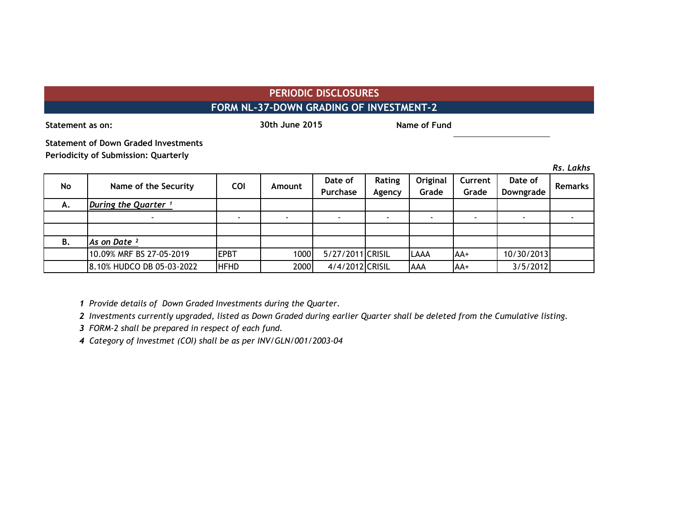# **PERIODIC DISCLOSURES FORM NL-37-DOWN GRADING OF INVESTMENT-2**

**Statement as on: Name of Fund 30th June 2015 Name of Fund 30th June 2015**

**Statement of Down Graded Investments Periodicity of Submission: Quarterly**

|           |                                 |             |        |                     |                  |                   |                  |                      | Rs. Lakhs      |
|-----------|---------------------------------|-------------|--------|---------------------|------------------|-------------------|------------------|----------------------|----------------|
| <b>No</b> | Name of the Security            | <b>COI</b>  | Amount | Date of<br>Purchase | Rating<br>Agency | Original<br>Grade | Current<br>Grade | Date of<br>Downgrade | <b>Remarks</b> |
| А.        | During the Quarter <sup>1</sup> |             |        |                     |                  |                   |                  |                      |                |
|           |                                 |             |        | $\blacksquare$      |                  |                   |                  |                      |                |
|           |                                 |             |        |                     |                  |                   |                  |                      |                |
| В.        | As on Date <sup>2</sup>         |             |        |                     |                  |                   |                  |                      |                |
|           | 10.09% MRF BS 27-05-2019        | <b>EPBT</b> | 1000   | 5/27/2011 CRISIL    |                  | <b>LAAA</b>       | $AA+$            | 10/30/2013           |                |
|           | 8.10% HUDCO DB 05-03-2022       | <b>HFHD</b> | 2000   | 4/4/2012 CRISIL     |                  | <b>AAA</b>        | AA+              | 3/5/2012             |                |

*1 Provide details of Down Graded Investments during the Quarter.* 

*2 Investments currently upgraded, listed as Down Graded during earlier Quarter shall be deleted from the Cumulative listing.*

*3 FORM-2 shall be prepared in respect of each fund.*

*4 Category of Investmet (COI) shall be as per INV/GLN/001/2003-04*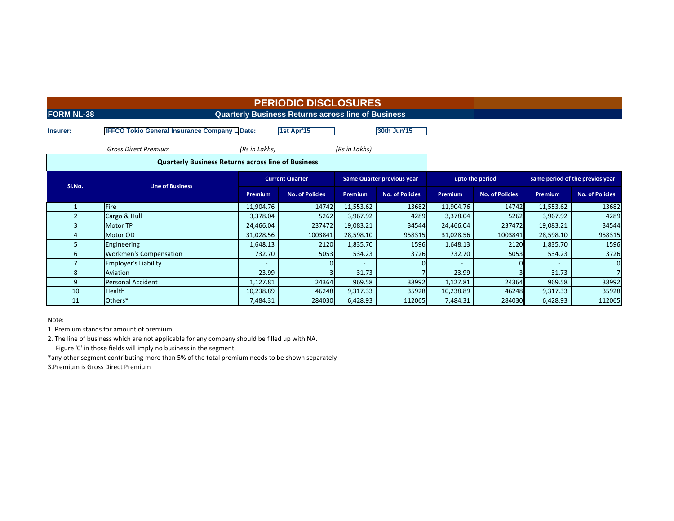**FORM NL-38 CONSIDERING A CONSIDER A CONSIDER A CONSIDER A CONSIDER A CONSIDER A CONSIDER A CONSIDER A CONSIDER A CONSIDER A CONSIDERATION** 

**Insurer: IFFCO Tokio General Insurance Company LDate: 1st Apr'15 30th Jun'15** 

 *Gross Direct Premium (Rs in Lakhs) (Rs in Lakhs)*

 **Quarterly Business Returns across line of Business**

| SI.No. | <b>Line of Business</b>       | <b>Current Quarter</b>   |                        | <b>Same Quarter previous year</b> |                        |                | upto the period        | same period of the previos year                                                                                        |                        |  |
|--------|-------------------------------|--------------------------|------------------------|-----------------------------------|------------------------|----------------|------------------------|------------------------------------------------------------------------------------------------------------------------|------------------------|--|
|        |                               | <b>Premium</b>           | <b>No. of Policies</b> | <b>Premium</b>                    | <b>No. of Policies</b> | <b>Premium</b> | <b>No. of Policies</b> | <b>Premium</b><br>11,553.62<br>3,967.92<br>19,083.21<br>28,598.10<br>1,835.70<br>534.23<br>31.73<br>969.58<br>9,317.33 | <b>No. of Policies</b> |  |
|        | <b>Fire</b>                   | 11,904.76                | 14742                  | 11,553.62                         | 13682                  | 11,904.76      | 14742                  |                                                                                                                        | 13682                  |  |
|        | Cargo & Hull                  | 3,378.04                 | 5262                   | 3,967.92                          | 4289                   | 3,378.04       | 5262                   |                                                                                                                        | 4289                   |  |
|        | <b>Motor TP</b>               | 24,466.04                | 237472                 | 19,083.21                         | 34544                  | 24,466.04      | 237472                 |                                                                                                                        | 34544                  |  |
|        | Motor OD                      | 31,028.56                | 1003841                | 28,598.10                         | 958315                 | 31,028.56      | 1003841                |                                                                                                                        | 958315                 |  |
|        | Engineering                   | 1,648.13                 | 2120                   | 1,835.70                          | 1596                   | 1,648.13       | 2120                   |                                                                                                                        | 1596                   |  |
|        | <b>Workmen's Compensation</b> | 732.70                   | 5053                   | 534.23                            | 3726                   | 732.70         | 5053                   |                                                                                                                        | 3726                   |  |
|        | <b>Employer's Liability</b>   | $\overline{\phantom{a}}$ |                        |                                   |                        |                |                        |                                                                                                                        | 0                      |  |
|        | Aviation                      | 23.99                    |                        | 31.73                             |                        | 23.99          |                        |                                                                                                                        |                        |  |
| 9      | <b>Personal Accident</b>      | 1,127.81                 | 24364                  | 969.58                            | 38992                  | 1,127.81       | 24364                  |                                                                                                                        | 38992                  |  |
| 10     | <b>Health</b>                 | 10,238.89                | 46248                  | 9,317.33                          | 35928                  | 10,238.89      | 46248                  |                                                                                                                        | 35928                  |  |
| 11     | Others*                       | 7,484.31                 | 284030                 | 6,428.93                          | 112065                 | 7,484.31       | 284030                 | 6,428.93                                                                                                               | 112065                 |  |

Note:

1. Premium stands for amount of premium

2. The line of business which are not applicable for any company should be filled up with NA.

Figure '0' in those fields will imply no business in the segment.

\*any other segment contributing more than 5% of the total premium needs to be shown separately

3.Premium is Gross Direct Premium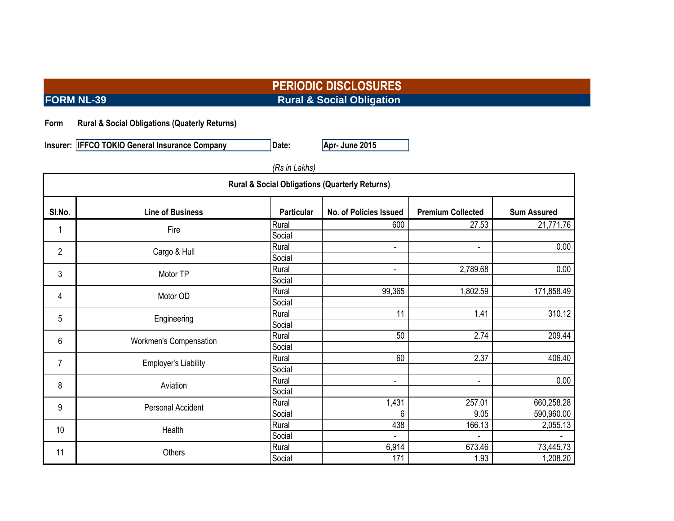**PERIODIC DISCLOSURES FORM NL-39** Rural & Social Obligation

### **Form Rural & Social Obligations (Quaterly Returns)**

**Insurer: IFFCO TOKIO General Insurance Company Date: Apr- June 2015** 

| (Rs in Lakhs)                                             |                             |                   |                        |                                                                                                                              |                    |  |  |  |  |
|-----------------------------------------------------------|-----------------------------|-------------------|------------------------|------------------------------------------------------------------------------------------------------------------------------|--------------------|--|--|--|--|
| <b>Rural &amp; Social Obligations (Quarterly Returns)</b> |                             |                   |                        |                                                                                                                              |                    |  |  |  |  |
| SI.No.                                                    | <b>Line of Business</b>     | <b>Particular</b> | No. of Policies Issued | <b>Premium Collected</b>                                                                                                     | <b>Sum Assured</b> |  |  |  |  |
|                                                           | Fire                        | Rural             | 600                    | 27.53                                                                                                                        | 21,771.76          |  |  |  |  |
|                                                           |                             | Social            |                        |                                                                                                                              |                    |  |  |  |  |
| $\overline{2}$                                            | Cargo & Hull                | Rural             | $\overline{a}$         | $\overline{\phantom{a}}$                                                                                                     | 0.00               |  |  |  |  |
|                                                           |                             | Social            |                        |                                                                                                                              |                    |  |  |  |  |
| 3                                                         | Motor TP                    | Rural             | ۰                      | 2,789.68                                                                                                                     | 0.00               |  |  |  |  |
|                                                           |                             | Social            |                        | 1,802.59<br>1.41<br>2.74<br>2.37<br>$\overline{\phantom{a}}$<br>257.01<br>9.05<br>166.13<br>$\overline{a}$<br>673.46<br>1.93 |                    |  |  |  |  |
| 4                                                         | Motor OD                    | Rural             | 99,365                 |                                                                                                                              | 171,858.49         |  |  |  |  |
|                                                           |                             | Social            |                        |                                                                                                                              |                    |  |  |  |  |
| 5                                                         | Engineering                 | Rural             | 11                     |                                                                                                                              | 310.12             |  |  |  |  |
|                                                           |                             | Social            |                        |                                                                                                                              |                    |  |  |  |  |
| 6                                                         | Workmen's Compensation      | Rural             | 50                     |                                                                                                                              | 209.44             |  |  |  |  |
|                                                           |                             | Social            |                        |                                                                                                                              |                    |  |  |  |  |
| $\overline{7}$                                            | <b>Employer's Liability</b> | Rural             | 60                     |                                                                                                                              | 406.40             |  |  |  |  |
|                                                           |                             | Social            |                        |                                                                                                                              |                    |  |  |  |  |
| 8                                                         | Aviation                    | Rural             | -                      |                                                                                                                              | 0.00               |  |  |  |  |
|                                                           |                             | Social            |                        |                                                                                                                              |                    |  |  |  |  |
| 9                                                         | Personal Accident           | Rural             | 1,431                  |                                                                                                                              | 660,258.28         |  |  |  |  |
|                                                           |                             | Social            | 6                      |                                                                                                                              | 590,960.00         |  |  |  |  |
| 10                                                        | Health                      | Rural             | 438                    |                                                                                                                              | 2,055.13           |  |  |  |  |
|                                                           |                             | Social            | $\overline{a}$         |                                                                                                                              |                    |  |  |  |  |
| 11                                                        | Others                      | Rural             | 6,914                  |                                                                                                                              | 73,445.73          |  |  |  |  |
|                                                           |                             | Social            | 171                    |                                                                                                                              | 1,208.20           |  |  |  |  |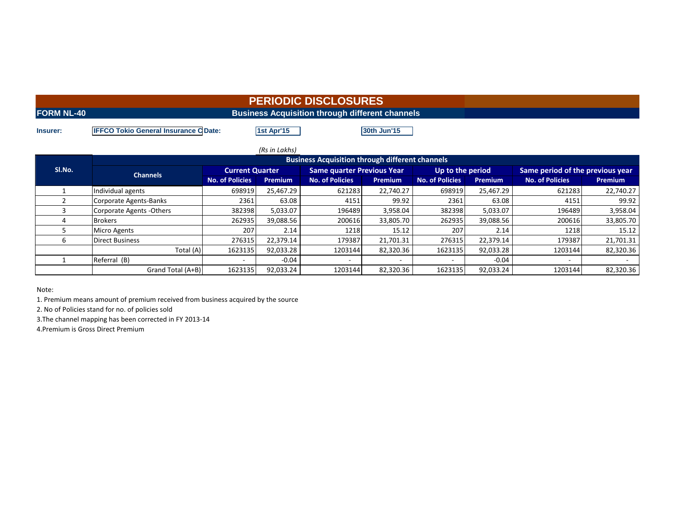|                   |                                             |            | <b>PERIODIC DISCLOSURES</b> |  |
|-------------------|---------------------------------------------|------------|-----------------------------|--|
| <b>FORM NL-40</b> |                                             |            |                             |  |
| Insurer:          | <b>IFFCO Tokio General Insurance CDate:</b> | 1st Apr'15 | 30th Jun'15                 |  |

|        |                                                        |                        | (Rs in Lakhs)  |                                   |                |                        |                |                                                                                                                       |                |  |  |
|--------|--------------------------------------------------------|------------------------|----------------|-----------------------------------|----------------|------------------------|----------------|-----------------------------------------------------------------------------------------------------------------------|----------------|--|--|
|        | <b>Business Acquisition through different channels</b> |                        |                |                                   |                |                        |                |                                                                                                                       |                |  |  |
| SI.No. | <b>Channels</b>                                        | <b>Current Quarter</b> |                | <b>Same quarter Previous Year</b> |                | Up to the period       |                | Same period of the previous year                                                                                      |                |  |  |
|        |                                                        | <b>No. of Policies</b> | <b>Premium</b> | <b>No. of Policies</b>            | <b>Premium</b> | <b>No. of Policies</b> | <b>Premium</b> | <b>No. of Policies</b><br>621283<br>4151<br>196489<br>200616<br>1218<br>179387<br>1203144<br>$\overline{\phantom{a}}$ | <b>Premium</b> |  |  |
|        | Individual agents                                      | 698919                 | 25,467.29      | 621283                            | 22,740.27      | 698919                 | 25,467.29      |                                                                                                                       | 22,740.27      |  |  |
|        | Corporate Agents-Banks                                 | 2361                   | 63.08          | 4151                              | 99.92          | 2361                   | 63.08          |                                                                                                                       | 99.92          |  |  |
|        | Corporate Agents - Others                              | 382398                 | 5,033.07       | 196489                            | 3,958.04       | 382398                 | 5,033.07       |                                                                                                                       | 3,958.04       |  |  |
|        | <b>Brokers</b>                                         | 262935                 | 39,088.56      | 200616                            | 33,805.70      | 262935                 | 39,088.56      |                                                                                                                       | 33,805.70      |  |  |
|        | <b>Micro Agents</b>                                    | 207                    | 2.14           | 1218                              | 15.12          | 207                    | 2.14           |                                                                                                                       | 15.12          |  |  |
|        | <b>Direct Business</b>                                 | 276315                 | 22,379.14      | 179387                            | 21,701.31      | 276315                 | 22,379.14      |                                                                                                                       | 21,701.31      |  |  |
|        | Total (A)                                              | 1623135                | 92,033.28      | 1203144                           | 82,320.36      | 1623135                | 92,033.28      |                                                                                                                       | 82,320.36      |  |  |
|        | Referral (B)                                           |                        | $-0.04$        |                                   |                |                        | $-0.04$        |                                                                                                                       |                |  |  |
|        | Grand Total (A+B)                                      | 1623135                | 92,033.24      | 1203144                           | 82,320.36      | 1623135                | 92,033.24      | 1203144                                                                                                               | 82,320.36      |  |  |

Note:

1. Premium means amount of premium received from business acquired by the source

2. No of Policies stand for no. of policies sold

3.The channel mapping has been corrected in FY 2013-14

4.Premium is Gross Direct Premium